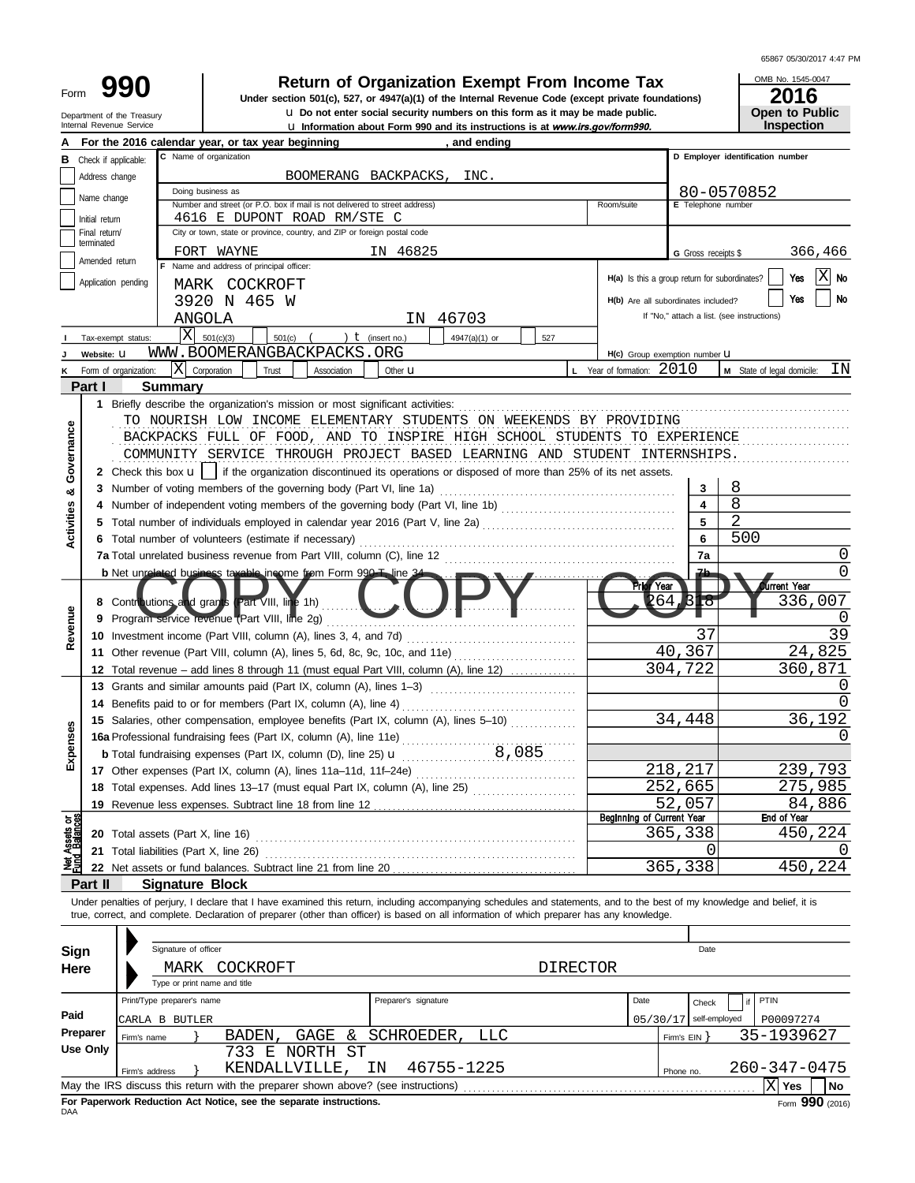|  | 65867 05/30/2017 4:47 PM |  |  |
|--|--------------------------|--|--|
|--|--------------------------|--|--|

| 990<br>Form |  |
|-------------|--|
|-------------|--|

**u** Information about Form 990 and its instructions is at www.irs.gov/form990. u **Do not enter social security numbers on this form as it may be made public. Open to Public 990** Return of Organization Exempt From Income Tax DNB No. 1545-0<br>Under section 501(c), 527, or 4947(a)(1) of the Internal Revenue Code (except private foundations) 2016

OMB No. 1545-0047 **Inspection**

|                                                                   | U. Do not enter social security numbers on this form as it may be made public.<br>Department of the Treasury<br>Internal Revenue Service<br>La Information about Form 990 and its instructions is at www.irs.gov/form990. |                              |                                                                                                                                                                            |             |                     |               |  | Open to Public<br><b>Inspection</b> |                                               |                     |                                            |                                  |          |
|-------------------------------------------------------------------|---------------------------------------------------------------------------------------------------------------------------------------------------------------------------------------------------------------------------|------------------------------|----------------------------------------------------------------------------------------------------------------------------------------------------------------------------|-------------|---------------------|---------------|--|-------------------------------------|-----------------------------------------------|---------------------|--------------------------------------------|----------------------------------|----------|
|                                                                   |                                                                                                                                                                                                                           |                              | For the 2016 calendar year, or tax year beginning                                                                                                                          |             |                     | and ending    |  |                                     |                                               |                     |                                            |                                  |          |
| в                                                                 | Check if applicable:                                                                                                                                                                                                      | C Name of organization       |                                                                                                                                                                            |             |                     |               |  |                                     |                                               |                     |                                            | D Employer identification number |          |
|                                                                   | Address change                                                                                                                                                                                                            | BOOMERANG BACKPACKS,<br>INC. |                                                                                                                                                                            |             |                     |               |  |                                     |                                               |                     |                                            |                                  |          |
|                                                                   | Name change                                                                                                                                                                                                               | Doing business as            |                                                                                                                                                                            |             |                     |               |  |                                     |                                               |                     | 80-0570852                                 |                                  |          |
|                                                                   |                                                                                                                                                                                                                           |                              | Number and street (or P.O. box if mail is not delivered to street address)                                                                                                 |             |                     |               |  |                                     | Room/suite                                    |                     | E Telephone number                         |                                  |          |
|                                                                   | Initial return                                                                                                                                                                                                            |                              | 4616 E DUPONT ROAD RM/STE C                                                                                                                                                |             |                     |               |  |                                     |                                               |                     |                                            |                                  |          |
|                                                                   | Final return/<br>terminated                                                                                                                                                                                               |                              | City or town, state or province, country, and ZIP or foreign postal code                                                                                                   |             |                     |               |  |                                     |                                               |                     |                                            |                                  |          |
|                                                                   | Amended return                                                                                                                                                                                                            |                              | FORT WAYNE                                                                                                                                                                 |             | IN 46825            |               |  |                                     |                                               | G Gross receipts \$ |                                            |                                  | 366,466  |
|                                                                   |                                                                                                                                                                                                                           |                              | Name and address of principal officer:                                                                                                                                     |             |                     |               |  |                                     | H(a) Is this a group return for subordinates? |                     |                                            | Yes                              | No       |
|                                                                   | Application pending                                                                                                                                                                                                       |                              | MARK COCKROFT                                                                                                                                                              |             |                     |               |  |                                     |                                               |                     |                                            |                                  |          |
|                                                                   |                                                                                                                                                                                                                           |                              | 3920 N 465 W                                                                                                                                                               |             |                     |               |  |                                     | H(b) Are all subordinates included?           |                     |                                            | Yes                              | No       |
|                                                                   |                                                                                                                                                                                                                           | <b>ANGOLA</b>                |                                                                                                                                                                            |             |                     | IN 46703      |  |                                     |                                               |                     | If "No," attach a list. (see instructions) |                                  |          |
|                                                                   | Tax-exempt status:                                                                                                                                                                                                        | $\vert X \vert$              | 501(c)(3)<br>501(c)                                                                                                                                                        |             | $\int$ (insert no.) | 4947(a)(1) or |  | 527                                 |                                               |                     |                                            |                                  |          |
|                                                                   | Website: U                                                                                                                                                                                                                |                              | WWW.BOOMERANGBACKPACKS.ORG                                                                                                                                                 |             |                     |               |  |                                     | H(c) Group exemption number L1                |                     |                                            |                                  |          |
| κ                                                                 | Form of organization:                                                                                                                                                                                                     | $ X $ Corporation            | Trust                                                                                                                                                                      | Association | Other $\mathbf u$   |               |  |                                     | <b>L</b> Year of formation: $2010$            |                     |                                            | M State of legal domicile:       | ΙN       |
|                                                                   | Part I                                                                                                                                                                                                                    | <b>Summary</b>               |                                                                                                                                                                            |             |                     |               |  |                                     |                                               |                     |                                            |                                  |          |
|                                                                   |                                                                                                                                                                                                                           |                              |                                                                                                                                                                            |             |                     |               |  |                                     |                                               |                     |                                            |                                  |          |
|                                                                   |                                                                                                                                                                                                                           |                              | TO NOURISH LOW INCOME ELEMENTARY STUDENTS ON WEEKENDS BY PROVIDING                                                                                                         |             |                     |               |  |                                     |                                               |                     |                                            |                                  |          |
| Governance                                                        |                                                                                                                                                                                                                           |                              | BACKPACKS FULL OF FOOD, AND TO INSPIRE HIGH SCHOOL STUDENTS TO EXPERIENCE                                                                                                  |             |                     |               |  |                                     |                                               |                     |                                            |                                  |          |
|                                                                   |                                                                                                                                                                                                                           |                              | COMMUNITY SERVICE THROUGH PROJECT BASED LEARNING AND STUDENT INTERNSHIPS.                                                                                                  |             |                     |               |  |                                     |                                               |                     |                                            |                                  |          |
|                                                                   |                                                                                                                                                                                                                           |                              | 2 Check this box $\mu$   if the organization discontinued its operations or disposed of more than 25% of its net assets.                                                   |             |                     |               |  |                                     |                                               |                     |                                            |                                  |          |
| య                                                                 |                                                                                                                                                                                                                           |                              | 3 Number of voting members of the governing body (Part VI, line 1a)                                                                                                        |             |                     |               |  |                                     |                                               | 3                   | 8                                          |                                  |          |
|                                                                   |                                                                                                                                                                                                                           |                              |                                                                                                                                                                            |             |                     |               |  |                                     |                                               |                     | 8                                          |                                  |          |
| Activities                                                        |                                                                                                                                                                                                                           |                              | 5 Total number of individuals employed in calendar year 2016 (Part V, line 2a) [[[[[[[[[[[[[[[[[[[[[[[[[[[[[[[                                                             |             |                     |               |  |                                     |                                               | 5                   | 2                                          |                                  |          |
|                                                                   |                                                                                                                                                                                                                           |                              | 6 Total number of volunteers (estimate if necessary)                                                                                                                       |             |                     |               |  |                                     |                                               |                     | 500                                        |                                  |          |
|                                                                   |                                                                                                                                                                                                                           |                              |                                                                                                                                                                            |             |                     |               |  |                                     |                                               | 7a                  |                                            |                                  | 0        |
|                                                                   |                                                                                                                                                                                                                           |                              | b Net unrelated business taxable income from Form 990 T, line 34                                                                                                           |             |                     |               |  |                                     | Pri <b>or</b> Year                            | 7ь.                 |                                            | Turrent Year                     | 0        |
|                                                                   |                                                                                                                                                                                                                           |                              | 8 Contributions and grants (Part VIII, line 1h)                                                                                                                            |             |                     |               |  |                                     | R64                                           | ΒI<br>୮ठ            |                                            |                                  | 336,007  |
|                                                                   |                                                                                                                                                                                                                           |                              | Program service revenue (Part VIII, line 2g)                                                                                                                               |             |                     |               |  |                                     |                                               |                     |                                            |                                  | O        |
| Revenue                                                           |                                                                                                                                                                                                                           |                              |                                                                                                                                                                            |             |                     |               |  |                                     |                                               | 37                  |                                            |                                  | 39       |
|                                                                   |                                                                                                                                                                                                                           |                              |                                                                                                                                                                            |             |                     |               |  |                                     |                                               | 40,367              |                                            |                                  | 24,825   |
|                                                                   |                                                                                                                                                                                                                           |                              | 12 Total revenue – add lines 8 through 11 (must equal Part VIII, column (A), line 12)                                                                                      |             |                     |               |  |                                     |                                               | 304,722             |                                            |                                  | 360,871  |
|                                                                   |                                                                                                                                                                                                                           |                              | 13 Grants and similar amounts paid (Part IX, column (A), lines 1-3)                                                                                                        |             |                     |               |  |                                     |                                               |                     |                                            |                                  | $\Omega$ |
|                                                                   |                                                                                                                                                                                                                           |                              | 14 Benefits paid to or for members (Part IX, column (A), line 4)                                                                                                           |             |                     |               |  |                                     |                                               |                     |                                            |                                  | 0        |
|                                                                   |                                                                                                                                                                                                                           |                              | 15 Salaries, other compensation, employee benefits (Part IX, column (A), lines 5-10)                                                                                       |             |                     |               |  |                                     |                                               | 34,448              |                                            |                                  | 36,192   |
|                                                                   |                                                                                                                                                                                                                           |                              |                                                                                                                                                                            |             |                     |               |  |                                     |                                               |                     |                                            |                                  | $\Omega$ |
| 16a Professional fundraising fees (Part IX, column (A), line 11e) |                                                                                                                                                                                                                           |                              |                                                                                                                                                                            |             |                     |               |  |                                     |                                               |                     |                                            |                                  |          |
|                                                                   | Expenses<br>8,085<br><b>b</b> Total fundraising expenses (Part IX, column (D), line 25) <b>u</b><br>218,217<br>17 Other expenses (Part IX, column (A), lines 11a-11d, 11f-24e)<br>252,665                                 |                              |                                                                                                                                                                            |             |                     |               |  |                                     |                                               | 239,793             |                                            |                                  |          |
|                                                                   |                                                                                                                                                                                                                           |                              |                                                                                                                                                                            |             |                     |               |  |                                     |                                               | 275,985             |                                            |                                  |          |
|                                                                   | 18 Total expenses. Add lines 13-17 (must equal Part IX, column (A), line 25)<br>52,057                                                                                                                                    |                              |                                                                                                                                                                            |             |                     |               |  |                                     |                                               |                     | 84,886                                     |                                  |          |
|                                                                   |                                                                                                                                                                                                                           |                              |                                                                                                                                                                            |             |                     |               |  |                                     | <b>Beginning of Current Year</b>              |                     |                                            | End of Year                      |          |
| Net Assets or<br>Fund Balances                                    | 20 Total assets (Part X, line 16)                                                                                                                                                                                         |                              |                                                                                                                                                                            |             |                     |               |  |                                     |                                               | 365,338             |                                            |                                  | 450,224  |
|                                                                   | 21 Total liabilities (Part X, line 26)                                                                                                                                                                                    |                              |                                                                                                                                                                            |             |                     |               |  |                                     |                                               |                     | $\Omega$                                   |                                  | $\Omega$ |
|                                                                   |                                                                                                                                                                                                                           |                              | 22 Net assets or fund balances. Subtract line 21 from line 20                                                                                                              |             |                     |               |  |                                     |                                               | 365,338             |                                            |                                  | 450,224  |
|                                                                   | Part II                                                                                                                                                                                                                   | <b>Signature Block</b>       |                                                                                                                                                                            |             |                     |               |  |                                     |                                               |                     |                                            |                                  |          |
|                                                                   |                                                                                                                                                                                                                           |                              | Under penalties of periury. I declare that I have examined this return, including accompanying schedules and statements, and to the best of my knowledge and belief, it is |             |                     |               |  |                                     |                                               |                     |                                            |                                  |          |

Under penalties of perjury, I declare that I have examined this return, including accompanying schedules and statements, and to the best of my knowledge and belief, it is true, correct, and complete. Declaration of preparer (other than officer) is based on all information of which preparer has any knowledge.

| Sign       |             | Signature of officer         |                                                                    |          |    |                                                                                   |                 |      |            | Date                   |    |                    |    |
|------------|-------------|------------------------------|--------------------------------------------------------------------|----------|----|-----------------------------------------------------------------------------------|-----------------|------|------------|------------------------|----|--------------------|----|
| Here       |             | MARK                         | COCKROFT                                                           |          |    |                                                                                   | <b>DIRECTOR</b> |      |            |                        |    |                    |    |
|            |             | Type or print name and title |                                                                    |          |    |                                                                                   |                 |      |            |                        |    |                    |    |
|            |             | Print/Type preparer's name   |                                                                    |          |    | Preparer's signature                                                              |                 | Date |            | Check                  | if | PTIN               |    |
| Paid       |             | CARLA B BUTLER               |                                                                    |          |    |                                                                                   |                 |      |            | 05/30/17 self-employed |    | P00097274          |    |
| Preparer   | Firm's name |                              | BADEN                                                              | GAGE     | &. | SCHROEDER,<br>LLC                                                                 |                 |      | Firm's EIN |                        |    | 35-1939627         |    |
| Use Only   |             |                              | 733<br>E.                                                          | NORTH ST |    |                                                                                   |                 |      |            |                        |    |                    |    |
|            |             | Firm's address               | KENDALLVILLE,                                                      |          |    | 46755-1225<br>IN                                                                  |                 |      | Phone no.  |                        |    | $260 - 347 - 0475$ |    |
|            |             |                              |                                                                    |          |    | May the IRS discuss this return with the preparer shown above? (see instructions) |                 |      |            |                        |    | ∣X∣ Yes            | No |
| <b>DAA</b> |             |                              | For Paperwork Reduction Act Notice, see the separate instructions. |          |    |                                                                                   |                 |      |            |                        |    | Form 990 (2016)    |    |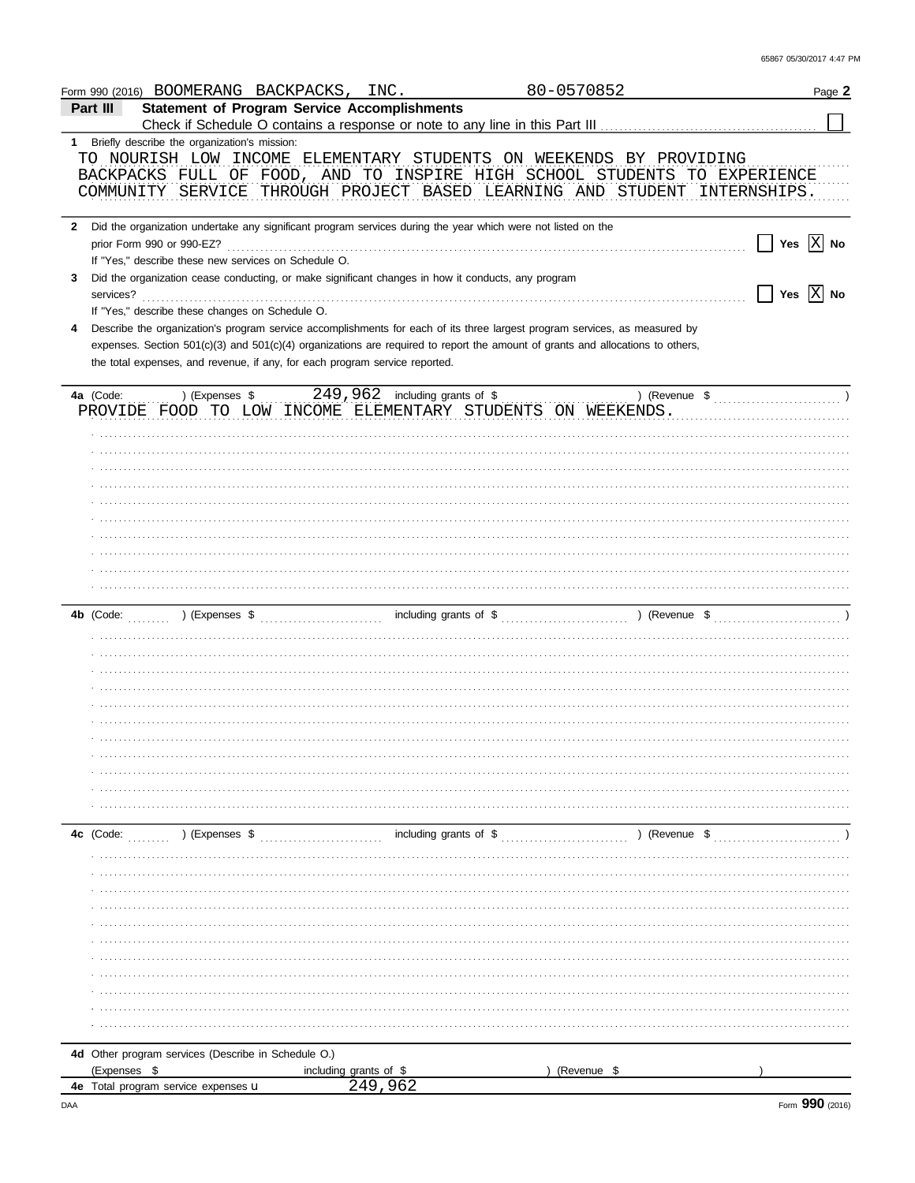|           | Form 990 (2016) BOOMERANG BACKPACKS, INC.                                                          |                                                     |                                   | 80-0570852                                                                                                                     | Page 2                                                                   |
|-----------|----------------------------------------------------------------------------------------------------|-----------------------------------------------------|-----------------------------------|--------------------------------------------------------------------------------------------------------------------------------|--------------------------------------------------------------------------|
| Part III  |                                                                                                    | <b>Statement of Program Service Accomplishments</b> |                                   |                                                                                                                                |                                                                          |
|           | 1 Briefly describe the organization's mission:                                                     |                                                     |                                   |                                                                                                                                |                                                                          |
|           |                                                                                                    |                                                     |                                   | TO NOURISH LOW INCOME ELEMENTARY STUDENTS ON WEEKENDS BY PROVIDING                                                             |                                                                          |
|           |                                                                                                    |                                                     |                                   | BACKPACKS FULL OF FOOD, AND TO INSPIRE HIGH SCHOOL STUDENTS TO EXPERIENCE                                                      |                                                                          |
|           |                                                                                                    |                                                     |                                   | COMMUNITY SERVICE THROUGH PROJECT BASED LEARNING AND STUDENT INTERNSHIPS.                                                      |                                                                          |
|           |                                                                                                    |                                                     |                                   | 2 Did the organization undertake any significant program services during the year which were not listed on the                 |                                                                          |
|           |                                                                                                    |                                                     |                                   |                                                                                                                                | Yes $\boxed{X}$ No                                                       |
|           | If "Yes," describe these new services on Schedule O.                                               |                                                     |                                   |                                                                                                                                |                                                                          |
| 3         | Did the organization cease conducting, or make significant changes in how it conducts, any program |                                                     |                                   |                                                                                                                                |                                                                          |
|           | services?                                                                                          |                                                     |                                   |                                                                                                                                | Yes $\overline{X}$ No                                                    |
|           | If "Yes," describe these changes on Schedule O.                                                    |                                                     |                                   |                                                                                                                                |                                                                          |
| 4         |                                                                                                    |                                                     |                                   | Describe the organization's program service accomplishments for each of its three largest program services, as measured by     |                                                                          |
|           |                                                                                                    |                                                     |                                   | expenses. Section 501(c)(3) and 501(c)(4) organizations are required to report the amount of grants and allocations to others, |                                                                          |
|           | the total expenses, and revenue, if any, for each program service reported.                        |                                                     |                                   |                                                                                                                                |                                                                          |
|           |                                                                                                    |                                                     |                                   |                                                                                                                                | ) (Revenue $\frac{1}{2}$ (Revenue $\frac{1}{2}$ (Revenue $\frac{1}{2}$ ) |
|           |                                                                                                    |                                                     |                                   | PROVIDE FOOD TO LOW INCOME ELEMENTARY STUDENTS ON WEEKENDS.                                                                    |                                                                          |
|           |                                                                                                    |                                                     |                                   |                                                                                                                                |                                                                          |
|           |                                                                                                    |                                                     |                                   |                                                                                                                                |                                                                          |
|           |                                                                                                    |                                                     |                                   |                                                                                                                                |                                                                          |
|           |                                                                                                    |                                                     |                                   |                                                                                                                                |                                                                          |
|           |                                                                                                    |                                                     |                                   |                                                                                                                                |                                                                          |
|           |                                                                                                    |                                                     |                                   |                                                                                                                                |                                                                          |
|           |                                                                                                    |                                                     |                                   |                                                                                                                                |                                                                          |
|           |                                                                                                    |                                                     |                                   |                                                                                                                                |                                                                          |
|           |                                                                                                    |                                                     |                                   |                                                                                                                                |                                                                          |
|           |                                                                                                    |                                                     |                                   |                                                                                                                                |                                                                          |
|           |                                                                                                    |                                                     |                                   |                                                                                                                                |                                                                          |
|           |                                                                                                    |                                                     |                                   |                                                                                                                                |                                                                          |
|           |                                                                                                    |                                                     |                                   |                                                                                                                                |                                                                          |
|           |                                                                                                    |                                                     |                                   |                                                                                                                                |                                                                          |
|           |                                                                                                    |                                                     |                                   |                                                                                                                                |                                                                          |
|           |                                                                                                    |                                                     |                                   |                                                                                                                                |                                                                          |
|           |                                                                                                    |                                                     |                                   |                                                                                                                                |                                                                          |
|           |                                                                                                    |                                                     |                                   |                                                                                                                                |                                                                          |
|           |                                                                                                    |                                                     |                                   |                                                                                                                                |                                                                          |
|           |                                                                                                    |                                                     |                                   |                                                                                                                                |                                                                          |
|           |                                                                                                    |                                                     |                                   |                                                                                                                                |                                                                          |
|           |                                                                                                    |                                                     |                                   |                                                                                                                                |                                                                          |
|           |                                                                                                    |                                                     |                                   |                                                                                                                                |                                                                          |
| 4c (Code: | ) (Expenses \$                                                                                     |                                                     |                                   |                                                                                                                                |                                                                          |
|           |                                                                                                    |                                                     |                                   |                                                                                                                                |                                                                          |
|           |                                                                                                    |                                                     |                                   |                                                                                                                                |                                                                          |
|           |                                                                                                    |                                                     |                                   |                                                                                                                                |                                                                          |
|           |                                                                                                    |                                                     |                                   |                                                                                                                                |                                                                          |
|           |                                                                                                    |                                                     |                                   |                                                                                                                                |                                                                          |
|           |                                                                                                    |                                                     |                                   |                                                                                                                                |                                                                          |
|           |                                                                                                    |                                                     |                                   |                                                                                                                                |                                                                          |
|           |                                                                                                    |                                                     |                                   |                                                                                                                                |                                                                          |
|           |                                                                                                    |                                                     |                                   |                                                                                                                                |                                                                          |
|           |                                                                                                    |                                                     |                                   |                                                                                                                                |                                                                          |
|           |                                                                                                    |                                                     |                                   |                                                                                                                                |                                                                          |
|           |                                                                                                    |                                                     |                                   |                                                                                                                                |                                                                          |
|           | 4d Other program services (Describe in Schedule O.)                                                |                                                     |                                   |                                                                                                                                |                                                                          |
|           | (Expenses \$                                                                                       |                                                     | including grants of \$<br>249,962 | (Revenue \$                                                                                                                    |                                                                          |
|           | 4e Total program service expenses u                                                                |                                                     |                                   |                                                                                                                                |                                                                          |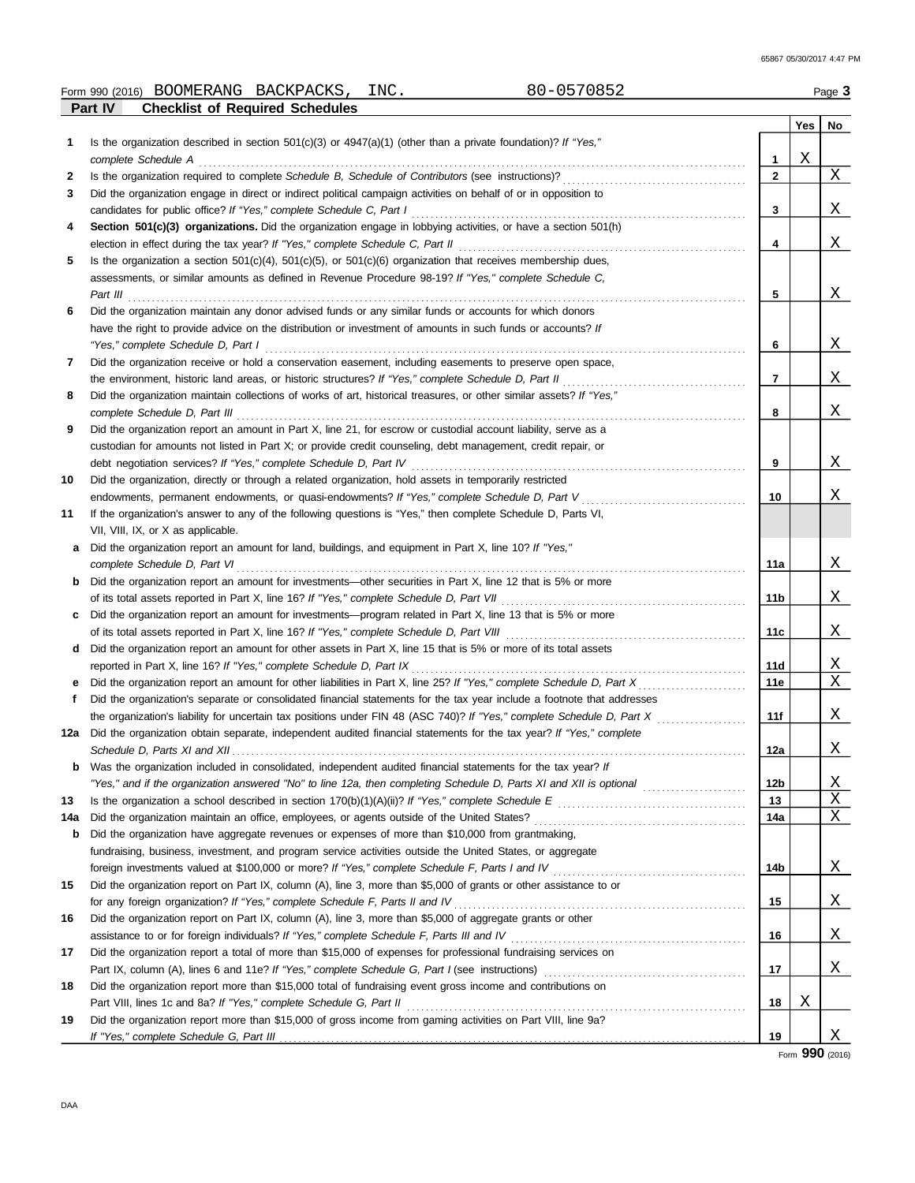|     | 80-0570852<br>Form 990 (2016) BOOMERANG BACKPACKS,<br>INC.                                                                                                                                                                     |                 |     | Page 3   |
|-----|--------------------------------------------------------------------------------------------------------------------------------------------------------------------------------------------------------------------------------|-----------------|-----|----------|
|     | <b>Checklist of Required Schedules</b><br>Part IV                                                                                                                                                                              |                 |     |          |
|     |                                                                                                                                                                                                                                |                 | Yes | No       |
| 1.  | Is the organization described in section $501(c)(3)$ or $4947(a)(1)$ (other than a private foundation)? If "Yes,"                                                                                                              |                 |     |          |
|     | complete Schedule A                                                                                                                                                                                                            | 1               | Χ   |          |
| 2   |                                                                                                                                                                                                                                | 2               |     | Χ        |
| 3   | Did the organization engage in direct or indirect political campaign activities on behalf of or in opposition to                                                                                                               |                 |     |          |
|     | candidates for public office? If "Yes," complete Schedule C, Part I                                                                                                                                                            | 3               |     | Χ        |
| 4   | Section 501(c)(3) organizations. Did the organization engage in lobbying activities, or have a section 501(h)                                                                                                                  |                 |     |          |
|     |                                                                                                                                                                                                                                | 4               |     | Χ        |
| 5   | Is the organization a section $501(c)(4)$ , $501(c)(5)$ , or $501(c)(6)$ organization that receives membership dues,                                                                                                           |                 |     |          |
|     | assessments, or similar amounts as defined in Revenue Procedure 98-19? If "Yes," complete Schedule C,                                                                                                                          |                 |     |          |
|     | Part III                                                                                                                                                                                                                       | 5               |     | Χ        |
| 6   | Did the organization maintain any donor advised funds or any similar funds or accounts for which donors                                                                                                                        |                 |     |          |
|     | have the right to provide advice on the distribution or investment of amounts in such funds or accounts? If                                                                                                                    |                 |     |          |
|     |                                                                                                                                                                                                                                | 6               |     | Χ        |
| 7   | Did the organization receive or hold a conservation easement, including easements to preserve open space,                                                                                                                      |                 |     |          |
|     | the environment, historic land areas, or historic structures? If "Yes," complete Schedule D, Part II                                                                                                                           | 7               |     | Χ        |
| 8   | Did the organization maintain collections of works of art, historical treasures, or other similar assets? If "Yes,"                                                                                                            |                 |     |          |
|     | complete Schedule D, Part III                                                                                                                                                                                                  | 8               |     | Χ        |
| 9   | Did the organization report an amount in Part X, line 21, for escrow or custodial account liability, serve as a                                                                                                                |                 |     |          |
|     | custodian for amounts not listed in Part X; or provide credit counseling, debt management, credit repair, or                                                                                                                   |                 |     |          |
|     | debt negotiation services? If "Yes," complete Schedule D, Part IV [2010] content content content and the services? If "Yes," complete Schedule D, Part IV [2010] [2010] [2010] [2010] [2010] [2010] [2010] [2010] [2010] [2010 | 9               |     | Χ        |
| 10  | Did the organization, directly or through a related organization, hold assets in temporarily restricted                                                                                                                        |                 |     |          |
|     | endowments, permanent endowments, or quasi-endowments? If "Yes," complete Schedule D, Part V                                                                                                                                   | 10              |     | Χ        |
| 11  | If the organization's answer to any of the following questions is "Yes," then complete Schedule D, Parts VI,                                                                                                                   |                 |     |          |
|     | VII, VIII, IX, or X as applicable.                                                                                                                                                                                             |                 |     |          |
| a   | Did the organization report an amount for land, buildings, and equipment in Part X, line 10? If "Yes,"                                                                                                                         |                 |     |          |
|     | complete Schedule D, Part VI et al. et al. et al. et al. et al. et al. et al. et al. et al. et al. et al. et a                                                                                                                 | 11a             |     | Χ        |
|     | <b>b</b> Did the organization report an amount for investments—other securities in Part X, line 12 that is 5% or more                                                                                                          |                 |     |          |
|     |                                                                                                                                                                                                                                | 11 <sub>b</sub> |     | Χ        |
| c   | Did the organization report an amount for investments—program related in Part X, line 13 that is 5% or more                                                                                                                    |                 |     |          |
|     |                                                                                                                                                                                                                                | 11c             |     | Χ        |
|     | d Did the organization report an amount for other assets in Part X, line 15 that is 5% or more of its total assets                                                                                                             |                 |     |          |
|     | reported in Part X, line 16? If "Yes," complete Schedule D, Part IX                                                                                                                                                            | 11d             |     | Χ<br>Χ   |
|     | Did the organization's separate or consolidated financial statements for the tax year include a footnote that addresses                                                                                                        | 11e             |     |          |
| f   |                                                                                                                                                                                                                                | 11f             |     | Χ        |
| 12a | Did the organization obtain separate, independent audited financial statements for the tax year? If "Yes," complete                                                                                                            |                 |     |          |
|     |                                                                                                                                                                                                                                | 12a             |     | Χ        |
|     | Schedule D, Parts XI and XII                                                                                                                                                                                                   |                 |     |          |
| b   | Was the organization included in consolidated, independent audited financial statements for the tax year? If                                                                                                                   | 12b             |     | <u>X</u> |
| 13  |                                                                                                                                                                                                                                | 13              |     | Χ        |
| 14a |                                                                                                                                                                                                                                | 14a             |     | Χ        |
| b   | Did the organization have aggregate revenues or expenses of more than \$10,000 from grantmaking,                                                                                                                               |                 |     |          |
|     | fundraising, business, investment, and program service activities outside the United States, or aggregate                                                                                                                      |                 |     |          |
|     |                                                                                                                                                                                                                                | 14b             |     | Χ        |
| 15  | Did the organization report on Part IX, column (A), line 3, more than \$5,000 of grants or other assistance to or                                                                                                              |                 |     |          |
|     | for any foreign organization? If "Yes," complete Schedule F, Parts II and IV                                                                                                                                                   | 15              |     | Χ        |
| 16  | Did the organization report on Part IX, column (A), line 3, more than \$5,000 of aggregate grants or other                                                                                                                     |                 |     |          |
|     |                                                                                                                                                                                                                                | 16              |     | Χ        |
| 17  | Did the organization report a total of more than \$15,000 of expenses for professional fundraising services on                                                                                                                 |                 |     |          |
|     |                                                                                                                                                                                                                                | 17              |     | Χ        |
| 18  | Did the organization report more than \$15,000 total of fundraising event gross income and contributions on                                                                                                                    |                 |     |          |
|     |                                                                                                                                                                                                                                | 18              | Χ   |          |
| 19  | Did the organization report more than \$15,000 of gross income from gaming activities on Part VIII, line 9a?                                                                                                                   |                 |     |          |
|     |                                                                                                                                                                                                                                | 19              |     | X        |
|     |                                                                                                                                                                                                                                |                 |     |          |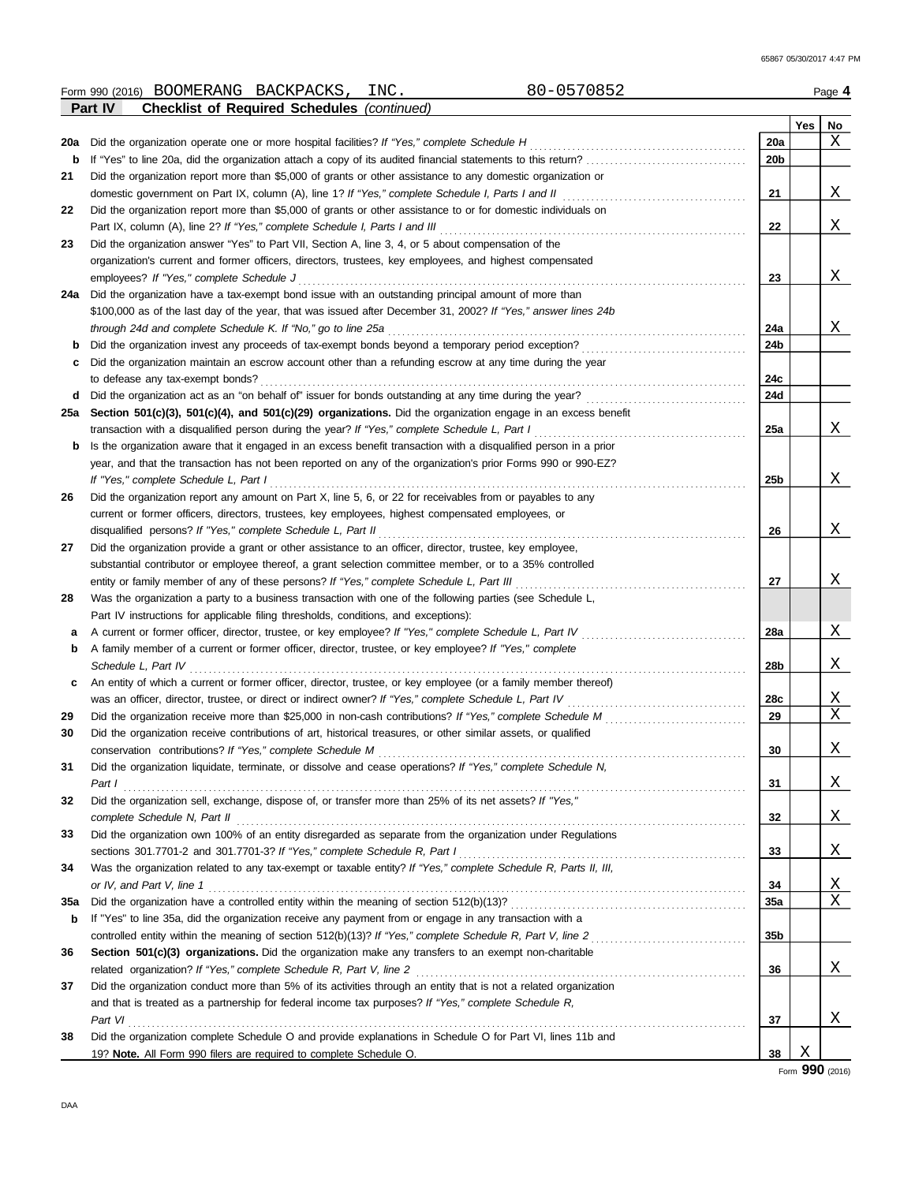|  | 65867 05/30/2017 4:47 PM |  |  |
|--|--------------------------|--|--|
|--|--------------------------|--|--|

|     | 80-0570852<br>Form 990 (2016) BOOMERANG BACKPACKS,<br>INC.                                                                                                                                       |                 |   | Page 4 |
|-----|--------------------------------------------------------------------------------------------------------------------------------------------------------------------------------------------------|-----------------|---|--------|
|     | Part IV<br><b>Checklist of Required Schedules</b> (continued)                                                                                                                                    |                 |   |        |
|     |                                                                                                                                                                                                  |                 |   | Yes No |
| 20a |                                                                                                                                                                                                  | 20a             |   | Χ      |
| b   |                                                                                                                                                                                                  | 20 <sub>b</sub> |   |        |
| 21  | Did the organization report more than \$5,000 of grants or other assistance to any domestic organization or                                                                                      |                 |   |        |
|     |                                                                                                                                                                                                  | 21              |   | Χ      |
| 22  | Did the organization report more than \$5,000 of grants or other assistance to or for domestic individuals on                                                                                    |                 |   |        |
|     | Part IX, column (A), line 2? If "Yes," complete Schedule I, Parts I and III                                                                                                                      | 22              |   | Χ      |
| 23  | Did the organization answer "Yes" to Part VII, Section A, line 3, 4, or 5 about compensation of the                                                                                              |                 |   |        |
|     | organization's current and former officers, directors, trustees, key employees, and highest compensated                                                                                          |                 |   |        |
|     | employees? If "Yes," complete Schedule J                                                                                                                                                         | 23              |   | Χ      |
| 24a | Did the organization have a tax-exempt bond issue with an outstanding principal amount of more than                                                                                              |                 |   |        |
|     | \$100,000 as of the last day of the year, that was issued after December 31, 2002? If "Yes," answer lines 24b                                                                                    |                 |   |        |
|     |                                                                                                                                                                                                  | 24a             |   | Χ      |
| b   | Did the organization invest any proceeds of tax-exempt bonds beyond a temporary period exception?                                                                                                | 24 <sub>b</sub> |   |        |
| c   | Did the organization maintain an escrow account other than a refunding escrow at any time during the year                                                                                        |                 |   |        |
|     | to defease any tax-exempt bonds?                                                                                                                                                                 | 24c             |   |        |
| d   |                                                                                                                                                                                                  | 24d             |   |        |
| 25а | Section 501(c)(3), 501(c)(4), and 501(c)(29) organizations. Did the organization engage in an excess benefit                                                                                     |                 |   |        |
|     |                                                                                                                                                                                                  | 25a             |   | Χ      |
| b   | Is the organization aware that it engaged in an excess benefit transaction with a disqualified person in a prior                                                                                 |                 |   |        |
|     | year, and that the transaction has not been reported on any of the organization's prior Forms 990 or 990-EZ?                                                                                     |                 |   |        |
|     | If "Yes," complete Schedule L, Part I                                                                                                                                                            | 25b             |   | Χ      |
| 26  | Did the organization report any amount on Part X, line 5, 6, or 22 for receivables from or payables to any                                                                                       |                 |   |        |
|     | current or former officers, directors, trustees, key employees, highest compensated employees, or                                                                                                |                 |   | Χ      |
|     | disqualified persons? If "Yes," complete Schedule L, Part II                                                                                                                                     | 26              |   |        |
| 27  | Did the organization provide a grant or other assistance to an officer, director, trustee, key employee,                                                                                         |                 |   |        |
|     | substantial contributor or employee thereof, a grant selection committee member, or to a 35% controlled                                                                                          | 27              |   | X      |
|     |                                                                                                                                                                                                  |                 |   |        |
| 28  | Was the organization a party to a business transaction with one of the following parties (see Schedule L,<br>Part IV instructions for applicable filing thresholds, conditions, and exceptions): |                 |   |        |
|     | A current or former officer, director, trustee, or key employee? If "Yes," complete Schedule L, Part IV                                                                                          | <b>28a</b>      |   | Χ      |
| b   | A family member of a current or former officer, director, trustee, or key employee? If "Yes," complete                                                                                           |                 |   |        |
|     | Schedule L, Part IV                                                                                                                                                                              | 28b             |   | Χ      |
| c   | An entity of which a current or former officer, director, trustee, or key employee (or a family member thereof)                                                                                  |                 |   |        |
|     |                                                                                                                                                                                                  | 28c             |   | Χ      |
| 29  |                                                                                                                                                                                                  | 29              |   | Χ      |
| 30  | Did the organization receive contributions of art, historical treasures, or other similar assets, or qualified                                                                                   |                 |   |        |
|     | conservation contributions? If "Yes," complete Schedule M                                                                                                                                        | 30              |   | Χ      |
| 31  | Did the organization liquidate, terminate, or dissolve and cease operations? If "Yes," complete Schedule N,                                                                                      |                 |   |        |
|     | Part I                                                                                                                                                                                           | 31              |   | Χ      |
| 32  | Did the organization sell, exchange, dispose of, or transfer more than 25% of its net assets? If "Yes,"                                                                                          |                 |   |        |
|     | complete Schedule N, Part II                                                                                                                                                                     | 32              |   | Χ      |
| 33  | Did the organization own 100% of an entity disregarded as separate from the organization under Regulations                                                                                       |                 |   |        |
|     | sections 301.7701-2 and 301.7701-3? If "Yes," complete Schedule R, Part I                                                                                                                        | 33              |   | Χ      |
| 34  | Was the organization related to any tax-exempt or taxable entity? If "Yes," complete Schedule R, Parts II, III,                                                                                  |                 |   |        |
|     | or IV, and Part V, line 1 $\ldots$ $\ldots$ $\ldots$ $\ldots$ $\ldots$ $\ldots$ $\ldots$ $\ldots$ $\ldots$ $\ldots$ $\ldots$ $\ldots$ $\ldots$ $\ldots$ $\ldots$                                 | 34              |   | Χ      |
| 35a |                                                                                                                                                                                                  | 35a             |   | Χ      |
| b   | If "Yes" to line 35a, did the organization receive any payment from or engage in any transaction with a                                                                                          |                 |   |        |
|     |                                                                                                                                                                                                  | 35 <sub>b</sub> |   |        |
| 36  | Section 501(c)(3) organizations. Did the organization make any transfers to an exempt non-charitable                                                                                             |                 |   |        |
|     | related organization? If "Yes," complete Schedule R, Part V, line 2                                                                                                                              | 36              |   | Χ      |
| 37  | Did the organization conduct more than 5% of its activities through an entity that is not a related organization                                                                                 |                 |   |        |
|     | and that is treated as a partnership for federal income tax purposes? If "Yes," complete Schedule R,                                                                                             |                 |   |        |
|     | Part VI                                                                                                                                                                                          | 37              |   | Χ      |
| 38  | Did the organization complete Schedule O and provide explanations in Schedule O for Part VI, lines 11b and                                                                                       |                 |   |        |
|     | 19? Note. All Form 990 filers are required to complete Schedule O.                                                                                                                               | 38              | Χ |        |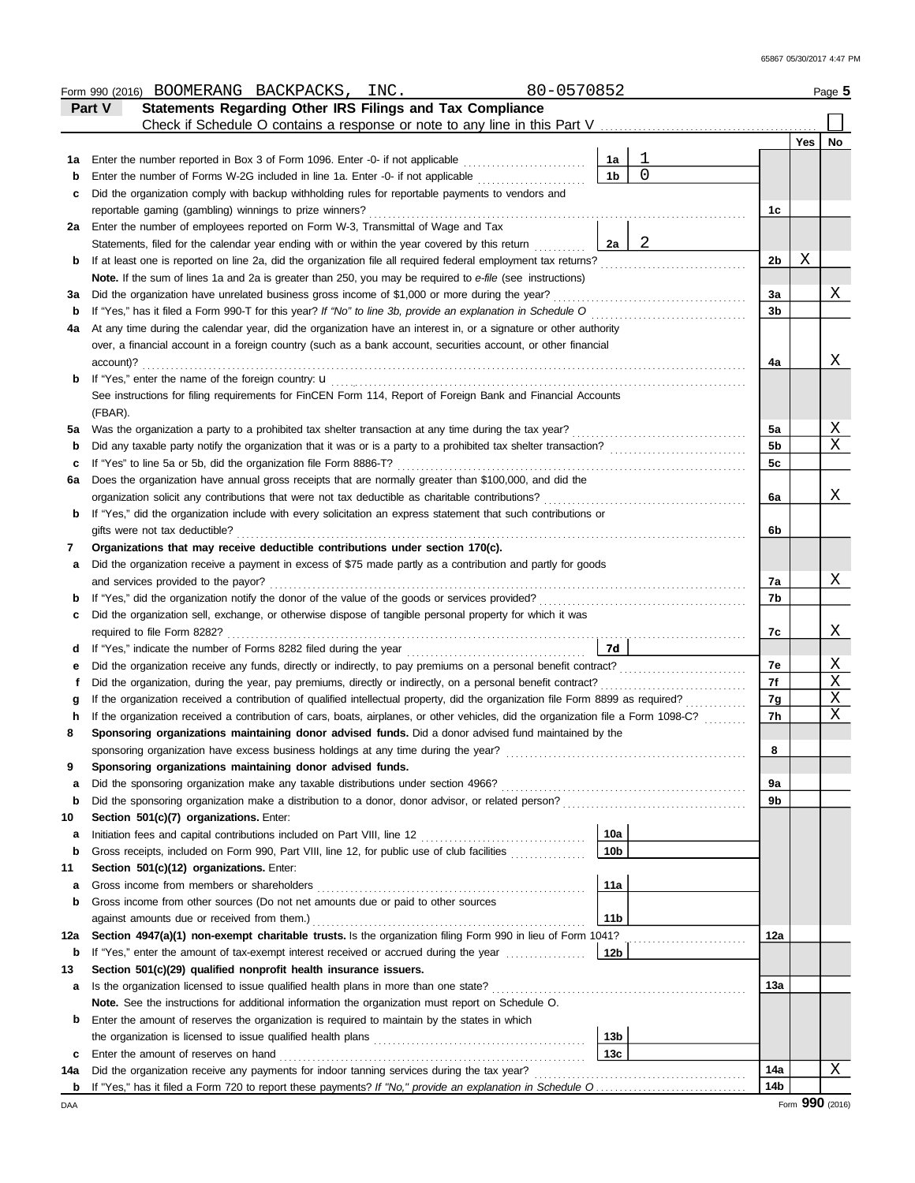|        | Form 990 (2016) BOOMERANG BACKPACKS, INC.                                                                                          | 80-0570852      |                |                |     | Page 5 |
|--------|------------------------------------------------------------------------------------------------------------------------------------|-----------------|----------------|----------------|-----|--------|
|        | Statements Regarding Other IRS Filings and Tax Compliance<br>Part V                                                                |                 |                |                |     |        |
|        | Check if Schedule O contains a response or note to any line in this Part V                                                         |                 |                |                |     |        |
|        |                                                                                                                                    |                 |                |                | Yes | No     |
| 1а     | Enter the number reported in Box 3 of Form 1096. Enter -0- if not applicable                                                       | 1a              | 1              |                |     |        |
| b      | Enter the number of Forms W-2G included in line 1a. Enter -0- if not applicable                                                    | 1 <sub>b</sub>  | $\mathbf 0$    |                |     |        |
| c      | Did the organization comply with backup withholding rules for reportable payments to vendors and                                   |                 |                |                |     |        |
|        | reportable gaming (gambling) winnings to prize winners?                                                                            |                 |                | 1c             |     |        |
|        | 2a Enter the number of employees reported on Form W-3, Transmittal of Wage and Tax                                                 |                 |                |                |     |        |
|        | Statements, filed for the calendar year ending with or within the year covered by this return                                      | 2a              | $\overline{2}$ |                |     |        |
| b      | If at least one is reported on line 2a, did the organization file all required federal employment tax returns?                     |                 |                | 2b             | Χ   |        |
|        | <b>Note.</b> If the sum of lines 1a and 2a is greater than 250, you may be required to e-file (see instructions)                   |                 |                |                |     |        |
| За     |                                                                                                                                    |                 |                | 3a             |     | Χ      |
| b      | If "Yes," has it filed a Form 990-T for this year? If "No" to line 3b, provide an explanation in Schedule O                        |                 |                | 3 <sub>b</sub> |     |        |
| 4a     | At any time during the calendar year, did the organization have an interest in, or a signature or other authority                  |                 |                |                |     |        |
|        | over, a financial account in a foreign country (such as a bank account, securities account, or other financial                     |                 |                |                |     |        |
|        | account)?                                                                                                                          |                 |                | 4a             |     | Χ      |
| b      |                                                                                                                                    |                 |                |                |     |        |
|        | See instructions for filing requirements for FinCEN Form 114, Report of Foreign Bank and Financial Accounts                        |                 |                |                |     |        |
|        | (FBAR).                                                                                                                            |                 |                |                |     |        |
| 5а     |                                                                                                                                    |                 |                | 5a             |     | X      |
| b      |                                                                                                                                    |                 |                | 5 <sub>b</sub> |     | Χ      |
| c      | If "Yes" to line 5a or 5b, did the organization file Form 8886-T?                                                                  |                 |                | 5c             |     |        |
| 6a     | Does the organization have annual gross receipts that are normally greater than \$100,000, and did the                             |                 |                |                |     |        |
|        | organization solicit any contributions that were not tax deductible as charitable contributions?                                   |                 |                | 6a             |     | Χ      |
| b      | If "Yes," did the organization include with every solicitation an express statement that such contributions or                     |                 |                |                |     |        |
|        | gifts were not tax deductible?                                                                                                     |                 |                | 6b             |     |        |
| 7      | Organizations that may receive deductible contributions under section 170(c).                                                      |                 |                |                |     |        |
| а      | Did the organization receive a payment in excess of \$75 made partly as a contribution and partly for goods                        |                 |                |                |     | Χ      |
|        |                                                                                                                                    |                 |                | 7a<br>7b       |     |        |
| b      |                                                                                                                                    |                 |                |                |     |        |
| c      | Did the organization sell, exchange, or otherwise dispose of tangible personal property for which it was                           |                 |                |                |     | Χ      |
|        |                                                                                                                                    | 7d              |                | 7c             |     |        |
| d      |                                                                                                                                    |                 |                | 7e             |     | Χ      |
| е<br>f | Did the organization, during the year, pay premiums, directly or indirectly, on a personal benefit contract?                       |                 |                | 7f             |     | Χ      |
|        | If the organization received a contribution of qualified intellectual property, did the organization file Form 8899 as required?   |                 |                | 7g             |     | Χ      |
| g<br>h | If the organization received a contribution of cars, boats, airplanes, or other vehicles, did the organization file a Form 1098-C? |                 |                | 7h             |     | Χ      |
| 8      | Sponsoring organizations maintaining donor advised funds. Did a donor advised fund maintained by the                               |                 |                |                |     |        |
|        | sponsoring organization have excess business holdings at any time during the year?                                                 |                 |                | 8              |     |        |
| 9      | Sponsoring organizations maintaining donor advised funds.                                                                          |                 |                |                |     |        |
| а      | Did the sponsoring organization make any taxable distributions under section 4966?                                                 |                 |                | 9а             |     |        |
| b      | Did the sponsoring organization make a distribution to a donor, donor advisor, or related person?                                  |                 |                | 9b             |     |        |
| 10     | Section 501(c)(7) organizations. Enter:                                                                                            |                 |                |                |     |        |
| а      |                                                                                                                                    | 10a             |                |                |     |        |
| b      | Gross receipts, included on Form 990, Part VIII, line 12, for public use of club facilities                                        | 10 <sub>b</sub> |                |                |     |        |
| 11     | Section 501(c)(12) organizations. Enter:                                                                                           |                 |                |                |     |        |
| а      |                                                                                                                                    | 11a             |                |                |     |        |
| b      | Gross income from other sources (Do not net amounts due or paid to other sources                                                   |                 |                |                |     |        |
|        | against amounts due or received from them.)                                                                                        | 11 <sub>b</sub> |                |                |     |        |
| 12a    | Section 4947(a)(1) non-exempt charitable trusts. Is the organization filing Form 990 in lieu of Form 1041?                         |                 |                | 12a            |     |        |
| b      | If "Yes," enter the amount of tax-exempt interest received or accrued during the year                                              | 12b             |                |                |     |        |
| 13     | Section 501(c)(29) qualified nonprofit health insurance issuers.                                                                   |                 |                |                |     |        |
| а      | Is the organization licensed to issue qualified health plans in more than one state?                                               |                 |                | 13a            |     |        |
|        | <b>Note.</b> See the instructions for additional information the organization must report on Schedule O.                           |                 |                |                |     |        |
| b      | Enter the amount of reserves the organization is required to maintain by the states in which                                       |                 |                |                |     |        |
|        |                                                                                                                                    | 13 <sub>b</sub> |                |                |     |        |
| c      | Enter the amount of reserves on hand                                                                                               | 13 <sub>c</sub> |                |                |     |        |
| 14a    |                                                                                                                                    |                 |                | 14a            |     | Χ      |
| b      |                                                                                                                                    |                 |                | 14b            |     |        |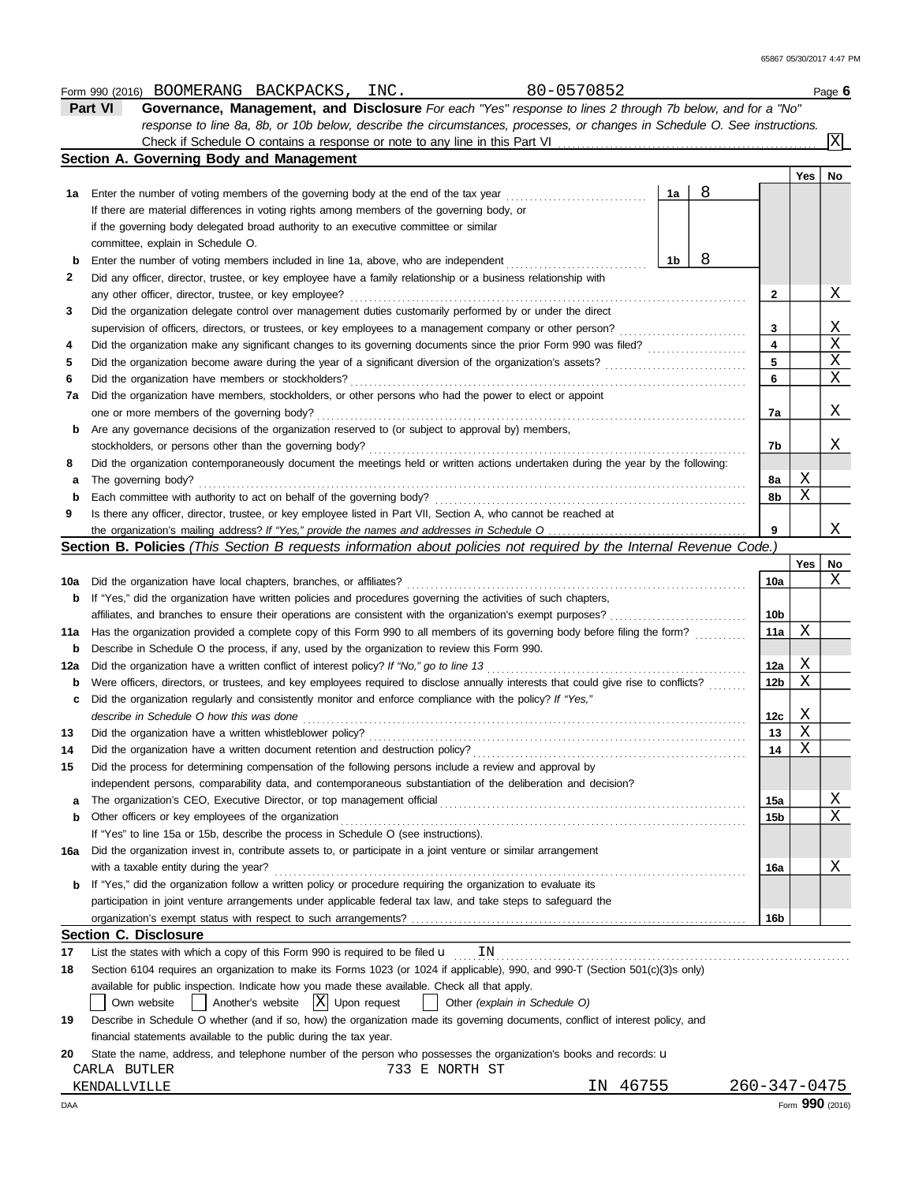|     | 80-0570852<br>Form 990 (2016) BOOMERANG BACKPACKS,<br>INC.                                                                                                                                                                       |              |     | Page 6                  |
|-----|----------------------------------------------------------------------------------------------------------------------------------------------------------------------------------------------------------------------------------|--------------|-----|-------------------------|
|     | Part VI<br>Governance, Management, and Disclosure For each "Yes" response to lines 2 through 7b below, and for a "No"                                                                                                            |              |     |                         |
|     | response to line 8a, 8b, or 10b below, describe the circumstances, processes, or changes in Schedule O. See instructions.                                                                                                        |              |     |                         |
|     |                                                                                                                                                                                                                                  |              |     | ΙX                      |
|     | Section A. Governing Body and Management                                                                                                                                                                                         |              |     |                         |
|     |                                                                                                                                                                                                                                  |              | Yes | No                      |
| 1a  | 8<br>1a<br>Enter the number of voting members of the governing body at the end of the tax year                                                                                                                                   |              |     |                         |
|     | If there are material differences in voting rights among members of the governing body, or                                                                                                                                       |              |     |                         |
|     | if the governing body delegated broad authority to an executive committee or similar                                                                                                                                             |              |     |                         |
|     | committee, explain in Schedule O.                                                                                                                                                                                                |              |     |                         |
| b   | 8<br>Enter the number of voting members included in line 1a, above, who are independent<br>1b                                                                                                                                    |              |     |                         |
| 2   | Did any officer, director, trustee, or key employee have a family relationship or a business relationship with                                                                                                                   |              |     |                         |
|     |                                                                                                                                                                                                                                  | 2            |     | Χ                       |
| 3   | Did the organization delegate control over management duties customarily performed by or under the direct                                                                                                                        |              |     |                         |
|     | supervision of officers, directors, or trustees, or key employees to a management company or other person?                                                                                                                       | 3            |     | Χ                       |
| 4   | Did the organization make any significant changes to its governing documents since the prior Form 990 was filed?                                                                                                                 | 4            |     | $\overline{\mathbf{x}}$ |
| 5   |                                                                                                                                                                                                                                  | 5            |     | Χ                       |
| 6   | Did the organization have members or stockholders?                                                                                                                                                                               | 6            |     | X                       |
|     | Did the organization have members, stockholders, or other persons who had the power to elect or appoint                                                                                                                          |              |     |                         |
| 7a  |                                                                                                                                                                                                                                  |              |     | Χ                       |
|     | one or more members of the governing body?                                                                                                                                                                                       | 7a           |     |                         |
| b   | Are any governance decisions of the organization reserved to (or subject to approval by) members,                                                                                                                                |              |     |                         |
|     | stockholders, or persons other than the governing body?                                                                                                                                                                          | 7b           |     | Χ                       |
| 8   | Did the organization contemporaneously document the meetings held or written actions undertaken during the year by the following:                                                                                                |              |     |                         |
| а   | The governing body?                                                                                                                                                                                                              | 8а           | Χ   |                         |
| b   | Each committee with authority to act on behalf of the governing body?                                                                                                                                                            | 8b           | Χ   |                         |
| 9   | Is there any officer, director, trustee, or key employee listed in Part VII, Section A, who cannot be reached at                                                                                                                 |              |     |                         |
|     | the organization's mailing address? If "Yes," provide the names and addresses in Schedule O.                                                                                                                                     | 9            |     | X                       |
|     | Section B. Policies (This Section B requests information about policies not required by the Internal Revenue Code.)                                                                                                              |              |     |                         |
|     |                                                                                                                                                                                                                                  |              | Yes | No                      |
| 10a |                                                                                                                                                                                                                                  | 10a          |     | Χ                       |
| b   | If "Yes," did the organization have written policies and procedures governing the activities of such chapters,                                                                                                                   |              |     |                         |
|     | affiliates, and branches to ensure their operations are consistent with the organization's exempt purposes?                                                                                                                      | 10b          |     |                         |
| 11a | Has the organization provided a complete copy of this Form 990 to all members of its governing body before filing the form?                                                                                                      | 11a          | Χ   |                         |
| b   | Describe in Schedule O the process, if any, used by the organization to review this Form 990.                                                                                                                                    |              |     |                         |
| 12a |                                                                                                                                                                                                                                  | 12a          | Χ   |                         |
| b   | Were officers, directors, or trustees, and key employees required to disclose annually interests that could give rise to conflicts?                                                                                              | 12b          | Χ   |                         |
| с   | Did the organization regularly and consistently monitor and enforce compliance with the policy? If "Yes,"                                                                                                                        |              |     |                         |
|     | describe in Schedule O how this was done                                                                                                                                                                                         | 12c          | Χ   |                         |
| 13  |                                                                                                                                                                                                                                  | 13           | Χ   |                         |
| 14  | Did the organization have a written document retention and destruction policy?                                                                                                                                                   | 14           | X   |                         |
| 15  | Did the process for determining compensation of the following persons include a review and approval by                                                                                                                           |              |     |                         |
|     | independent persons, comparability data, and contemporaneous substantiation of the deliberation and decision?                                                                                                                    |              |     |                         |
| а   | The organization's CEO, Executive Director, or top management official<br>[[11] Conserved Lines and Lines and Lines and Lines and Lines and Lines and Lines and Lines and Lines and Lines and Lines and Lines and Lines and Line | 15a          |     | Χ                       |
| b   | Other officers or key employees of the organization                                                                                                                                                                              | 15b          |     | Χ                       |
|     | If "Yes" to line 15a or 15b, describe the process in Schedule O (see instructions).                                                                                                                                              |              |     |                         |
| 16a | Did the organization invest in, contribute assets to, or participate in a joint venture or similar arrangement                                                                                                                   |              |     |                         |
|     | with a taxable entity during the year?                                                                                                                                                                                           | 16a          |     | Χ                       |
| b   | If "Yes," did the organization follow a written policy or procedure requiring the organization to evaluate its                                                                                                                   |              |     |                         |
|     | participation in joint venture arrangements under applicable federal tax law, and take steps to safeguard the                                                                                                                    |              |     |                         |
|     |                                                                                                                                                                                                                                  | 16b          |     |                         |
|     | <b>Section C. Disclosure</b>                                                                                                                                                                                                     |              |     |                         |
| 17  | List the states with which a copy of this Form 990 is required to be filed $\mathbf u$ IN                                                                                                                                        |              |     |                         |
| 18  | Section 6104 requires an organization to make its Forms 1023 (or 1024 if applicable), 990, and 990-T (Section 501(c)(3)s only)                                                                                                   |              |     |                         |
|     | available for public inspection. Indicate how you made these available. Check all that apply.                                                                                                                                    |              |     |                         |
|     | $\left  \begin{array}{c} \end{array} \right $ Another's website $\left  X \right $ Upon request<br>  Other (explain in Schedule O)<br>Own website                                                                                |              |     |                         |
| 19  | Describe in Schedule O whether (and if so, how) the organization made its governing documents, conflict of interest policy, and                                                                                                  |              |     |                         |
|     | financial statements available to the public during the tax year.                                                                                                                                                                |              |     |                         |
| 20  | State the name, address, and telephone number of the person who possesses the organization's books and records: u                                                                                                                |              |     |                         |
|     | 733 E NORTH ST<br>CARLA BUTLER                                                                                                                                                                                                   |              |     |                         |
|     | 46755<br>IN<br>KENDALLVILLE                                                                                                                                                                                                      | 260-347-0475 |     |                         |
| DAA |                                                                                                                                                                                                                                  |              |     | Form 990 (2016)         |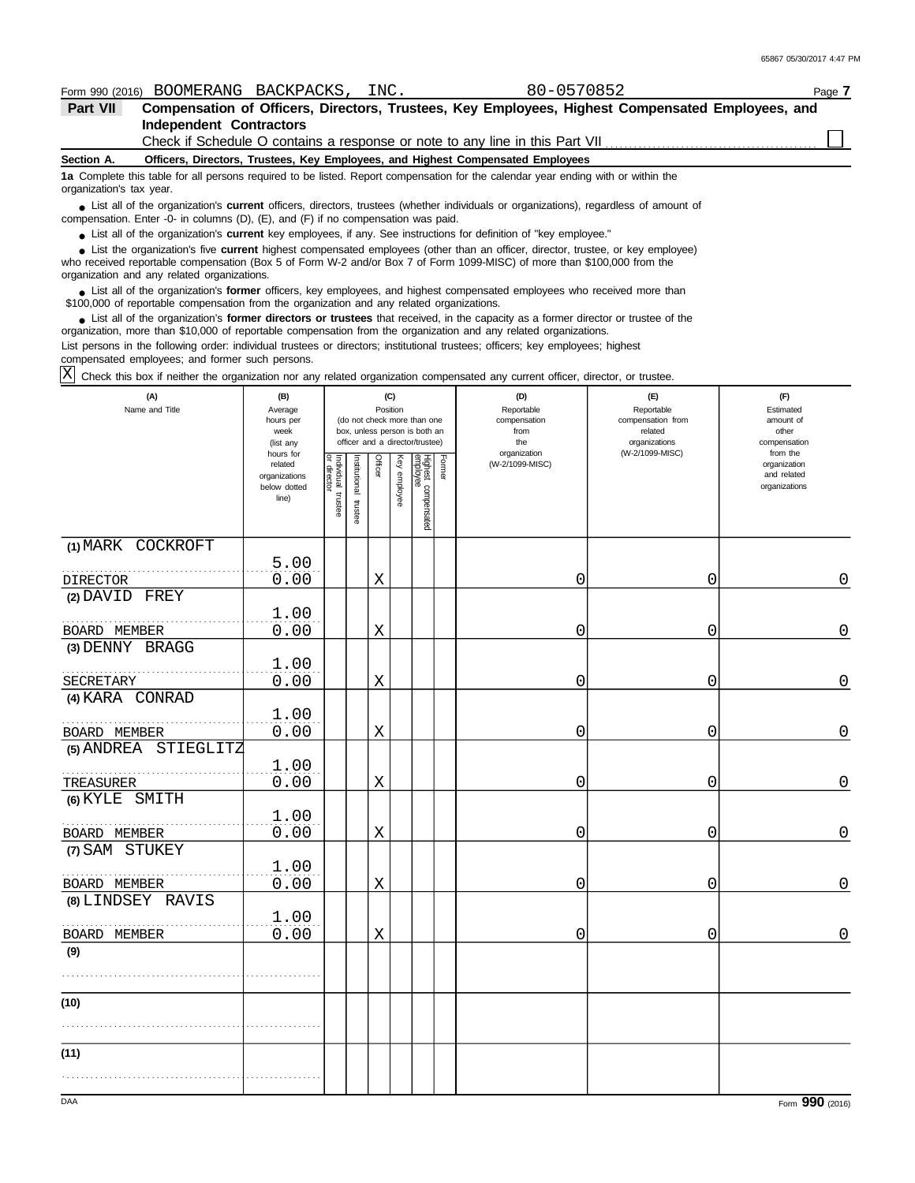| Form 990<br>(2016) | <b>BOOMERANG</b> | <b>BACKPACKS</b> | INC. | /0852<br>∩г | Page |
|--------------------|------------------|------------------|------|-------------|------|
|                    |                  |                  |      |             |      |

| <b>Part VII</b>          | Compensation of Officers, Directors, Trustees, Key Employees, Highest Compensated Employees, and                                                                                                                                 |
|--------------------------|----------------------------------------------------------------------------------------------------------------------------------------------------------------------------------------------------------------------------------|
|                          | Independent Contractors                                                                                                                                                                                                          |
|                          | Check if Schedule O contains a response or note to any line in this Part VII                                                                                                                                                     |
| Section A.               | Officers, Directors, Trustees, Key Employees, and Highest Compensated Employees                                                                                                                                                  |
| organization's tax year. | 1a Complete this table for all persons required to be listed. Report compensation for the calendar year ending with or within the                                                                                                |
|                          | List all of the organization's <b>current</b> officers, directors, trustees (whether individuals or organizations), regardless of amount of<br>compensation. Enter -0- in columns (D), (E), and (F) if no compensation was paid. |

List all of the organization's **current** key employees, if any. See instructions for definition of "key employee." **•**

who received reportable compensation (Box 5 of Form W-2 and/or Box 7 of Form 1099-MISC) of more than \$100,000 from the organization and any related organizations. ■ List the organization's five **current** highest compensated employees (other than an officer, director, trustee, or key employee)<br> **•** Propised reportable compensation (Box 5 of Form W 2 and/or Box 7 of Form 1000 MISC) o

List all of the organization's **former** officers, key employees, and highest compensated employees who received more than • List all of the organization's **former** officers, key employees, and highest compensate \$100,000 of reportable compensation from the organization and any related organizations.

• List all of the organization's **former directors or trustees** that received, in the capacity as a former director or trustee of the organization, more than \$10,000 of reportable compensation from the organization and any related organizations.

List persons in the following order: individual trustees or directors; institutional trustees; officers; key employees; highest compensated employees; and former such persons.

Check this box if neither the organization nor any related organization compensated any current officer, director, or trustee. X

| (A)<br>Name and Title          | (B)<br>Average<br>hours per<br>week<br>(list any               | (C)<br>Position<br>(do not check more than one<br>box, unless person is both an<br>officer and a director/trustee) |                          |             |              |                                 |               | (D)<br>Reportable<br>compensation<br>from<br>the<br>organization | (E)<br>Reportable<br>compensation from<br>related<br>organizations<br>(W-2/1099-MISC) | (F)<br>Estimated<br>amount of<br>other<br>compensation<br>from the |  |
|--------------------------------|----------------------------------------------------------------|--------------------------------------------------------------------------------------------------------------------|--------------------------|-------------|--------------|---------------------------------|---------------|------------------------------------------------------------------|---------------------------------------------------------------------------------------|--------------------------------------------------------------------|--|
|                                | hours for<br>related<br>organizations<br>below dotted<br>line) | Individual<br>or director<br>trustee                                                                               | Institutional<br>trustee | Officer     | Key employee | Highest compensated<br>employee | <b>Former</b> | (W-2/1099-MISC)                                                  |                                                                                       | organization<br>and related<br>organizations                       |  |
| (1) MARK COCKROFT              | 5.00                                                           |                                                                                                                    |                          |             |              |                                 |               |                                                                  |                                                                                       |                                                                    |  |
| <b>DIRECTOR</b>                | 0.00                                                           |                                                                                                                    |                          | Χ           |              |                                 |               | 0                                                                | 0                                                                                     | $\mathsf 0$                                                        |  |
| (2) DAVID FREY                 |                                                                |                                                                                                                    |                          |             |              |                                 |               |                                                                  |                                                                                       |                                                                    |  |
|                                | 1.00                                                           |                                                                                                                    |                          |             |              |                                 |               |                                                                  |                                                                                       |                                                                    |  |
| BOARD MEMBER                   | 0.00                                                           |                                                                                                                    |                          | Χ           |              |                                 |               | 0                                                                | 0                                                                                     | $\mathsf 0$                                                        |  |
| (3) DENNY BRAGG                |                                                                |                                                                                                                    |                          |             |              |                                 |               |                                                                  |                                                                                       |                                                                    |  |
|                                | 1.00<br>0.00                                                   |                                                                                                                    |                          | $\mathbf X$ |              |                                 |               | 0                                                                | 0                                                                                     | $\mathsf{O}\xspace$                                                |  |
| SECRETARY<br>(4) KARA CONRAD   |                                                                |                                                                                                                    |                          |             |              |                                 |               |                                                                  |                                                                                       |                                                                    |  |
|                                | 1.00                                                           |                                                                                                                    |                          |             |              |                                 |               |                                                                  |                                                                                       |                                                                    |  |
| BOARD MEMBER                   | 0.00                                                           |                                                                                                                    |                          | X           |              |                                 |               | 0                                                                | 0                                                                                     | $\mathbf 0$                                                        |  |
| (5) ANDREA STIEGLITZ           |                                                                |                                                                                                                    |                          |             |              |                                 |               |                                                                  |                                                                                       |                                                                    |  |
|                                | 1.00                                                           |                                                                                                                    |                          |             |              |                                 |               |                                                                  |                                                                                       |                                                                    |  |
| TREASURER                      | 0.00                                                           |                                                                                                                    |                          | X           |              |                                 |               | 0                                                                | 0                                                                                     | $\mathbf 0$                                                        |  |
| (6) KYLE SMITH                 |                                                                |                                                                                                                    |                          |             |              |                                 |               |                                                                  |                                                                                       |                                                                    |  |
|                                | 1.00<br>0.00                                                   |                                                                                                                    |                          | Χ           |              |                                 |               | 0                                                                | 0                                                                                     | 0                                                                  |  |
| BOARD MEMBER<br>(7) SAM STUKEY |                                                                |                                                                                                                    |                          |             |              |                                 |               |                                                                  |                                                                                       |                                                                    |  |
|                                | 1.00                                                           |                                                                                                                    |                          |             |              |                                 |               |                                                                  |                                                                                       |                                                                    |  |
| BOARD MEMBER                   | 0.00                                                           |                                                                                                                    |                          | Χ           |              |                                 |               | 0                                                                | 0                                                                                     | $\Omega$                                                           |  |
| (8) LINDSEY RAVIS              |                                                                |                                                                                                                    |                          |             |              |                                 |               |                                                                  |                                                                                       |                                                                    |  |
|                                | 1.00                                                           |                                                                                                                    |                          |             |              |                                 |               |                                                                  |                                                                                       |                                                                    |  |
| BOARD MEMBER                   | 0.00                                                           |                                                                                                                    |                          | X           |              |                                 |               | 0                                                                | 0                                                                                     | $\mathsf{O}\xspace$                                                |  |
| (9)                            |                                                                |                                                                                                                    |                          |             |              |                                 |               |                                                                  |                                                                                       |                                                                    |  |
|                                |                                                                |                                                                                                                    |                          |             |              |                                 |               |                                                                  |                                                                                       |                                                                    |  |
| (10)                           |                                                                |                                                                                                                    |                          |             |              |                                 |               |                                                                  |                                                                                       |                                                                    |  |
|                                |                                                                |                                                                                                                    |                          |             |              |                                 |               |                                                                  |                                                                                       |                                                                    |  |
|                                |                                                                |                                                                                                                    |                          |             |              |                                 |               |                                                                  |                                                                                       |                                                                    |  |
| (11)                           |                                                                |                                                                                                                    |                          |             |              |                                 |               |                                                                  |                                                                                       |                                                                    |  |
|                                |                                                                |                                                                                                                    |                          |             |              |                                 |               |                                                                  |                                                                                       |                                                                    |  |
|                                |                                                                |                                                                                                                    |                          |             |              |                                 |               |                                                                  |                                                                                       |                                                                    |  |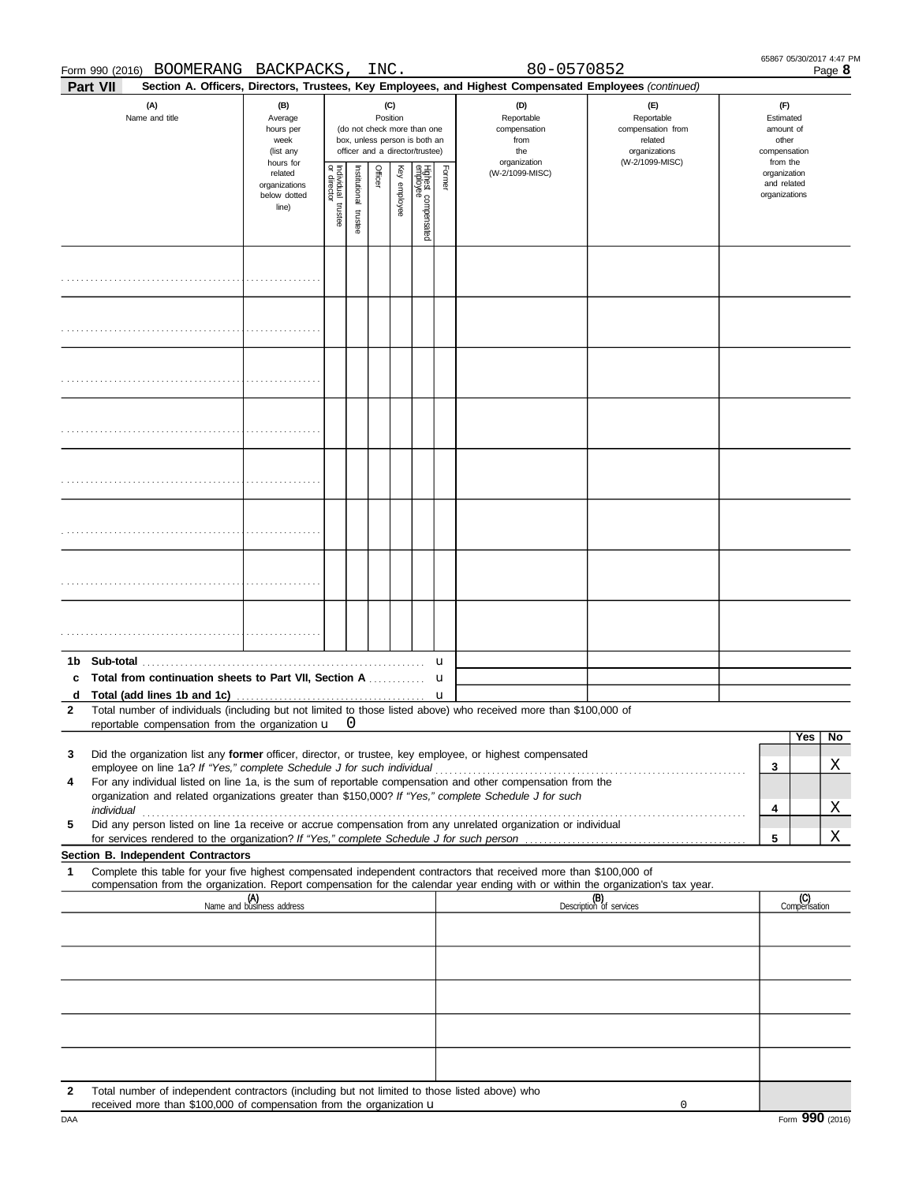| Section A. Officers, Directors, Trustees, Key Employees, and Highest Compensated Employees (continued)<br>Part VII                                                                                                                                          |                                                                             |                                   |                         |          |              |                                                                                                 |        |                                                  |                                                                    |                                                          |                     |
|-------------------------------------------------------------------------------------------------------------------------------------------------------------------------------------------------------------------------------------------------------------|-----------------------------------------------------------------------------|-----------------------------------|-------------------------|----------|--------------|-------------------------------------------------------------------------------------------------|--------|--------------------------------------------------|--------------------------------------------------------------------|----------------------------------------------------------|---------------------|
| (A)<br>Name and title                                                                                                                                                                                                                                       | (B)<br>Average<br>hours per<br>week                                         |                                   |                         | Position | (C)          | (do not check more than one<br>box, unless person is both an<br>officer and a director/trustee) |        | (D)<br>Reportable<br>compensation<br>from<br>the | (E)<br>Reportable<br>compensation from<br>related<br>organizations | (F)<br>Estimated<br>amount of<br>other<br>compensation   |                     |
|                                                                                                                                                                                                                                                             | (list any<br>hours for<br>related<br>organizations<br>below dotted<br>line) | Individual trustee<br>or director | nstitutional<br>trustee | Officer  | Key employee | Highest compensated<br>employee                                                                 | Former | organization<br>(W-2/1099-MISC)                  | (W-2/1099-MISC)                                                    | from the<br>organization<br>and related<br>organizations |                     |
|                                                                                                                                                                                                                                                             |                                                                             |                                   |                         |          |              |                                                                                                 |        |                                                  |                                                                    |                                                          |                     |
|                                                                                                                                                                                                                                                             |                                                                             |                                   |                         |          |              |                                                                                                 |        |                                                  |                                                                    |                                                          |                     |
|                                                                                                                                                                                                                                                             |                                                                             |                                   |                         |          |              |                                                                                                 |        |                                                  |                                                                    |                                                          |                     |
|                                                                                                                                                                                                                                                             |                                                                             |                                   |                         |          |              |                                                                                                 |        |                                                  |                                                                    |                                                          |                     |
|                                                                                                                                                                                                                                                             |                                                                             |                                   |                         |          |              |                                                                                                 |        |                                                  |                                                                    |                                                          |                     |
|                                                                                                                                                                                                                                                             |                                                                             |                                   |                         |          |              |                                                                                                 |        |                                                  |                                                                    |                                                          |                     |
|                                                                                                                                                                                                                                                             |                                                                             |                                   |                         |          |              |                                                                                                 |        |                                                  |                                                                    |                                                          |                     |
|                                                                                                                                                                                                                                                             |                                                                             |                                   |                         |          |              |                                                                                                 |        |                                                  |                                                                    |                                                          |                     |
| 1b<br>c<br>d                                                                                                                                                                                                                                                |                                                                             |                                   |                         |          |              |                                                                                                 | u      |                                                  |                                                                    |                                                          |                     |
| Total number of individuals (including but not limited to those listed above) who received more than \$100,000 of<br>2                                                                                                                                      |                                                                             |                                   |                         |          |              |                                                                                                 |        |                                                  |                                                                    |                                                          |                     |
| reportable compensation from the organization u<br>Did the organization list any former officer, director, or trustee, key employee, or highest compensated<br>3                                                                                            |                                                                             |                                   |                         |          |              |                                                                                                 |        |                                                  |                                                                    |                                                          | Yes<br>No           |
| For any individual listed on line 1a, is the sum of reportable compensation and other compensation from the<br>4<br>organization and related organizations greater than \$150,000? If "Yes," complete Schedule J for such                                   |                                                                             |                                   |                         |          |              |                                                                                                 |        |                                                  |                                                                    | 3<br>4                                                   | Χ<br>X              |
| Did any person listed on line 1a receive or accrue compensation from any unrelated organization or individual<br>5                                                                                                                                          |                                                                             |                                   |                         |          |              |                                                                                                 |        |                                                  |                                                                    | 5                                                        | Χ                   |
| Section B. Independent Contractors                                                                                                                                                                                                                          |                                                                             |                                   |                         |          |              |                                                                                                 |        |                                                  |                                                                    |                                                          |                     |
| Complete this table for your five highest compensated independent contractors that received more than \$100,000 of<br>1<br>compensation from the organization. Report compensation for the calendar year ending with or within the organization's tax year. |                                                                             |                                   |                         |          |              |                                                                                                 |        |                                                  |                                                                    |                                                          |                     |
|                                                                                                                                                                                                                                                             | (A)<br>Name and business address                                            |                                   |                         |          |              |                                                                                                 |        |                                                  | (B)<br>Description of services                                     |                                                          | (C)<br>Compensation |
|                                                                                                                                                                                                                                                             |                                                                             |                                   |                         |          |              |                                                                                                 |        |                                                  |                                                                    |                                                          |                     |
|                                                                                                                                                                                                                                                             |                                                                             |                                   |                         |          |              |                                                                                                 |        |                                                  |                                                                    |                                                          |                     |
|                                                                                                                                                                                                                                                             |                                                                             |                                   |                         |          |              |                                                                                                 |        |                                                  |                                                                    |                                                          |                     |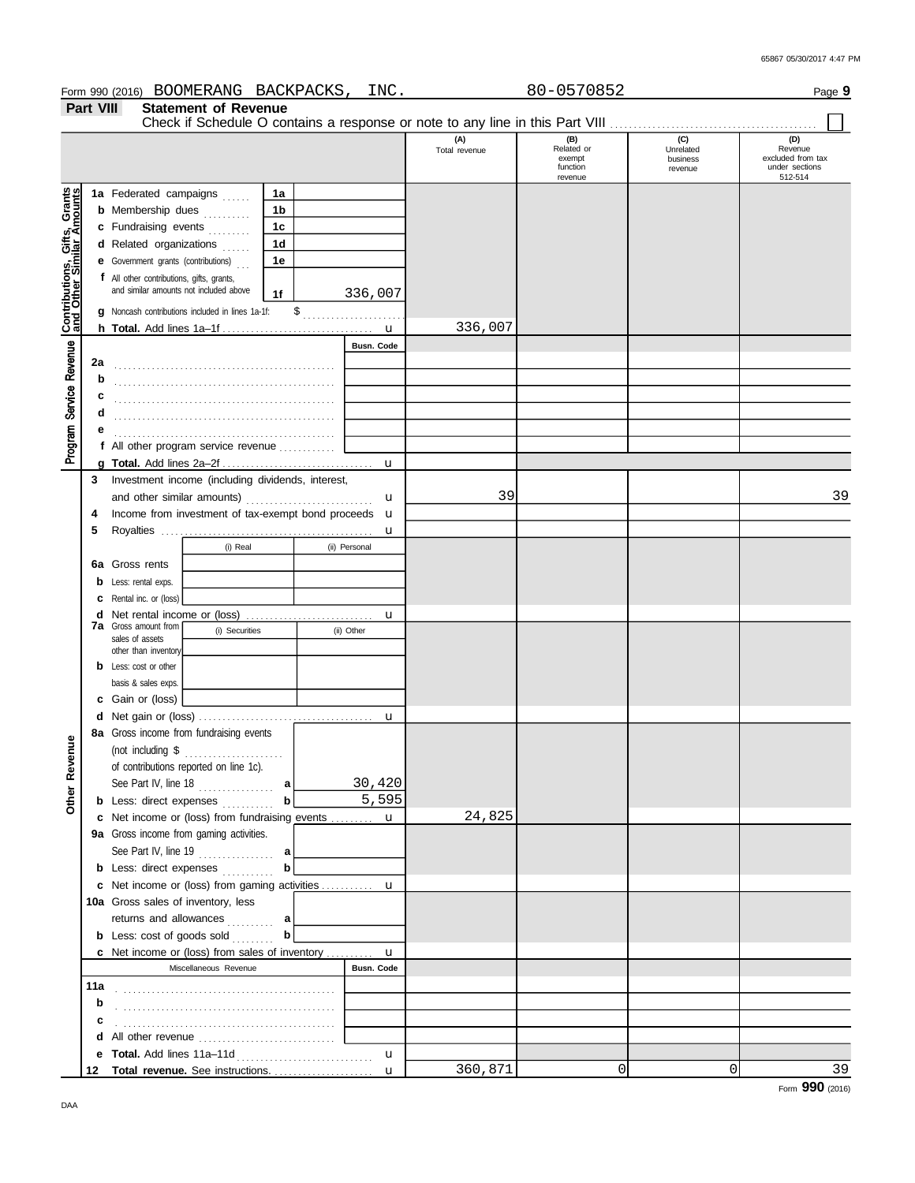|  | 65867 05/30/2017 4:47 PM |  |  |
|--|--------------------------|--|--|
|--|--------------------------|--|--|

|                                                           |           | Form 990 (2016) BOOMERANG BACKPACKS, INC.         |                                                                                                                                                                              |                |                   |                      | 80-0570852                                           |                                         | Page 9                                                           |
|-----------------------------------------------------------|-----------|---------------------------------------------------|------------------------------------------------------------------------------------------------------------------------------------------------------------------------------|----------------|-------------------|----------------------|------------------------------------------------------|-----------------------------------------|------------------------------------------------------------------|
|                                                           | Part VIII |                                                   | <b>Statement of Revenue</b>                                                                                                                                                  |                |                   |                      |                                                      |                                         |                                                                  |
|                                                           |           |                                                   |                                                                                                                                                                              |                |                   |                      |                                                      |                                         |                                                                  |
|                                                           |           |                                                   |                                                                                                                                                                              |                |                   | (A)<br>Total revenue | $(B)$<br>Related or<br>exempt<br>function<br>revenue | (C)<br>Unrelated<br>business<br>revenue | (D)<br>Revenue<br>excluded from tax<br>under sections<br>512-514 |
|                                                           |           | 1a Federated campaigns                            |                                                                                                                                                                              | 1a             |                   |                      |                                                      |                                         |                                                                  |
| Contributions, Gifts, Grants<br>and Other Similar Amounts |           | <b>b</b> Membership dues                          |                                                                                                                                                                              | 1 <sub>b</sub> |                   |                      |                                                      |                                         |                                                                  |
|                                                           |           | c Fundraising events                              |                                                                                                                                                                              | 1c             |                   |                      |                                                      |                                         |                                                                  |
|                                                           |           | d Related organizations                           |                                                                                                                                                                              | 1 <sub>d</sub> |                   |                      |                                                      |                                         |                                                                  |
|                                                           |           | e Government grants (contributions)               |                                                                                                                                                                              | 1e             |                   |                      |                                                      |                                         |                                                                  |
|                                                           |           | f All other contributions, gifts, grants,         |                                                                                                                                                                              |                |                   |                      |                                                      |                                         |                                                                  |
|                                                           |           | and similar amounts not included above            |                                                                                                                                                                              | 1f             |                   |                      |                                                      |                                         |                                                                  |
|                                                           |           |                                                   |                                                                                                                                                                              |                | 336,007           |                      |                                                      |                                         |                                                                  |
|                                                           |           | g Noncash contributions included in lines 1a-1f:  |                                                                                                                                                                              |                |                   |                      |                                                      |                                         |                                                                  |
|                                                           |           |                                                   |                                                                                                                                                                              |                |                   | 336,007              |                                                      |                                         |                                                                  |
| Revenue                                                   |           |                                                   |                                                                                                                                                                              |                | <b>Busn. Code</b> |                      |                                                      |                                         |                                                                  |
|                                                           | 2a        |                                                   |                                                                                                                                                                              |                |                   |                      |                                                      |                                         |                                                                  |
|                                                           | b         |                                                   |                                                                                                                                                                              |                |                   |                      |                                                      |                                         |                                                                  |
| Service                                                   | c         |                                                   |                                                                                                                                                                              |                |                   |                      |                                                      |                                         |                                                                  |
|                                                           | d         |                                                   |                                                                                                                                                                              |                |                   |                      |                                                      |                                         |                                                                  |
|                                                           | е         |                                                   |                                                                                                                                                                              |                |                   |                      |                                                      |                                         |                                                                  |
| Program                                                   |           | f All other program service revenue               |                                                                                                                                                                              |                |                   |                      |                                                      |                                         |                                                                  |
|                                                           |           |                                                   |                                                                                                                                                                              |                | u                 |                      |                                                      |                                         |                                                                  |
|                                                           | 3         | Investment income (including dividends, interest, |                                                                                                                                                                              |                |                   |                      |                                                      |                                         |                                                                  |
|                                                           |           |                                                   |                                                                                                                                                                              |                | u                 | 39                   |                                                      |                                         | 39                                                               |
|                                                           | 4         |                                                   | Income from investment of tax-exempt bond proceeds u                                                                                                                         |                |                   |                      |                                                      |                                         |                                                                  |
|                                                           | 5         |                                                   |                                                                                                                                                                              |                | u                 |                      |                                                      |                                         |                                                                  |
|                                                           |           |                                                   | (i) Real                                                                                                                                                                     |                | (ii) Personal     |                      |                                                      |                                         |                                                                  |
|                                                           |           | 6a Gross rents                                    |                                                                                                                                                                              |                |                   |                      |                                                      |                                         |                                                                  |
|                                                           |           | <b>b</b> Less: rental exps.                       |                                                                                                                                                                              |                |                   |                      |                                                      |                                         |                                                                  |
|                                                           |           | Rental inc. or (loss)                             |                                                                                                                                                                              |                |                   |                      |                                                      |                                         |                                                                  |
|                                                           |           |                                                   |                                                                                                                                                                              |                | u                 |                      |                                                      |                                         |                                                                  |
|                                                           |           | <b>7a</b> Gross amount from<br>sales of assets    | (i) Securities                                                                                                                                                               |                | (ii) Other        |                      |                                                      |                                         |                                                                  |
|                                                           |           | other than inventory                              |                                                                                                                                                                              |                |                   |                      |                                                      |                                         |                                                                  |
|                                                           |           | <b>b</b> Less: cost or other                      |                                                                                                                                                                              |                |                   |                      |                                                      |                                         |                                                                  |
|                                                           |           | basis & sales exps.                               |                                                                                                                                                                              |                |                   |                      |                                                      |                                         |                                                                  |
|                                                           |           | <b>c</b> Gain or (loss)                           | $\mathcal{L}^{\mathcal{L}}(\mathcal{L}^{\mathcal{L}})$ and $\mathcal{L}^{\mathcal{L}}(\mathcal{L}^{\mathcal{L}})$ and $\mathcal{L}^{\mathcal{L}}(\mathcal{L}^{\mathcal{L}})$ |                |                   |                      |                                                      |                                         |                                                                  |
|                                                           |           |                                                   |                                                                                                                                                                              |                | u                 |                      |                                                      |                                         |                                                                  |
|                                                           |           | 8a Gross income from fundraising events           |                                                                                                                                                                              |                |                   |                      |                                                      |                                         |                                                                  |
| gmu                                                       |           | (not including $$$                                |                                                                                                                                                                              |                |                   |                      |                                                      |                                         |                                                                  |
|                                                           |           |                                                   | of contributions reported on line 1c).                                                                                                                                       |                |                   |                      |                                                      |                                         |                                                                  |
|                                                           |           |                                                   | See Part IV, line $18$                                                                                                                                                       | al             | 30,420            |                      |                                                      |                                         |                                                                  |
| Other Rever                                               |           | <b>b</b> Less: direct expenses                    |                                                                                                                                                                              | b              | 5,595             |                      |                                                      |                                         |                                                                  |
|                                                           |           | c Net income or (loss) from fundraising events  u |                                                                                                                                                                              |                |                   | 24,825               |                                                      |                                         |                                                                  |
|                                                           |           | 9a Gross income from gaming activities.           |                                                                                                                                                                              |                |                   |                      |                                                      |                                         |                                                                  |
|                                                           |           |                                                   |                                                                                                                                                                              |                |                   |                      |                                                      |                                         |                                                                  |
|                                                           |           | <b>b</b> Less: direct expenses                    |                                                                                                                                                                              | b              |                   |                      |                                                      |                                         |                                                                  |
|                                                           |           |                                                   |                                                                                                                                                                              |                |                   |                      |                                                      |                                         |                                                                  |
|                                                           |           | 10a Gross sales of inventory, less                |                                                                                                                                                                              |                |                   |                      |                                                      |                                         |                                                                  |
|                                                           |           |                                                   | returns and allowances                                                                                                                                                       | al             |                   |                      |                                                      |                                         |                                                                  |
|                                                           |           | <b>b</b> Less: cost of goods sold                 |                                                                                                                                                                              | b              |                   |                      |                                                      |                                         |                                                                  |
|                                                           |           |                                                   |                                                                                                                                                                              |                |                   |                      |                                                      |                                         |                                                                  |
|                                                           |           |                                                   | Miscellaneous Revenue                                                                                                                                                        |                | <b>Busn. Code</b> |                      |                                                      |                                         |                                                                  |
|                                                           | 11a       |                                                   |                                                                                                                                                                              |                |                   |                      |                                                      |                                         |                                                                  |
|                                                           | b         |                                                   |                                                                                                                                                                              |                |                   |                      |                                                      |                                         |                                                                  |
|                                                           |           |                                                   |                                                                                                                                                                              |                |                   |                      |                                                      |                                         |                                                                  |
|                                                           |           |                                                   |                                                                                                                                                                              |                |                   |                      |                                                      |                                         |                                                                  |
|                                                           |           |                                                   |                                                                                                                                                                              |                | u                 |                      |                                                      |                                         |                                                                  |
|                                                           |           |                                                   |                                                                                                                                                                              |                | u                 | 360,871              | 0                                                    | 0                                       | 39                                                               |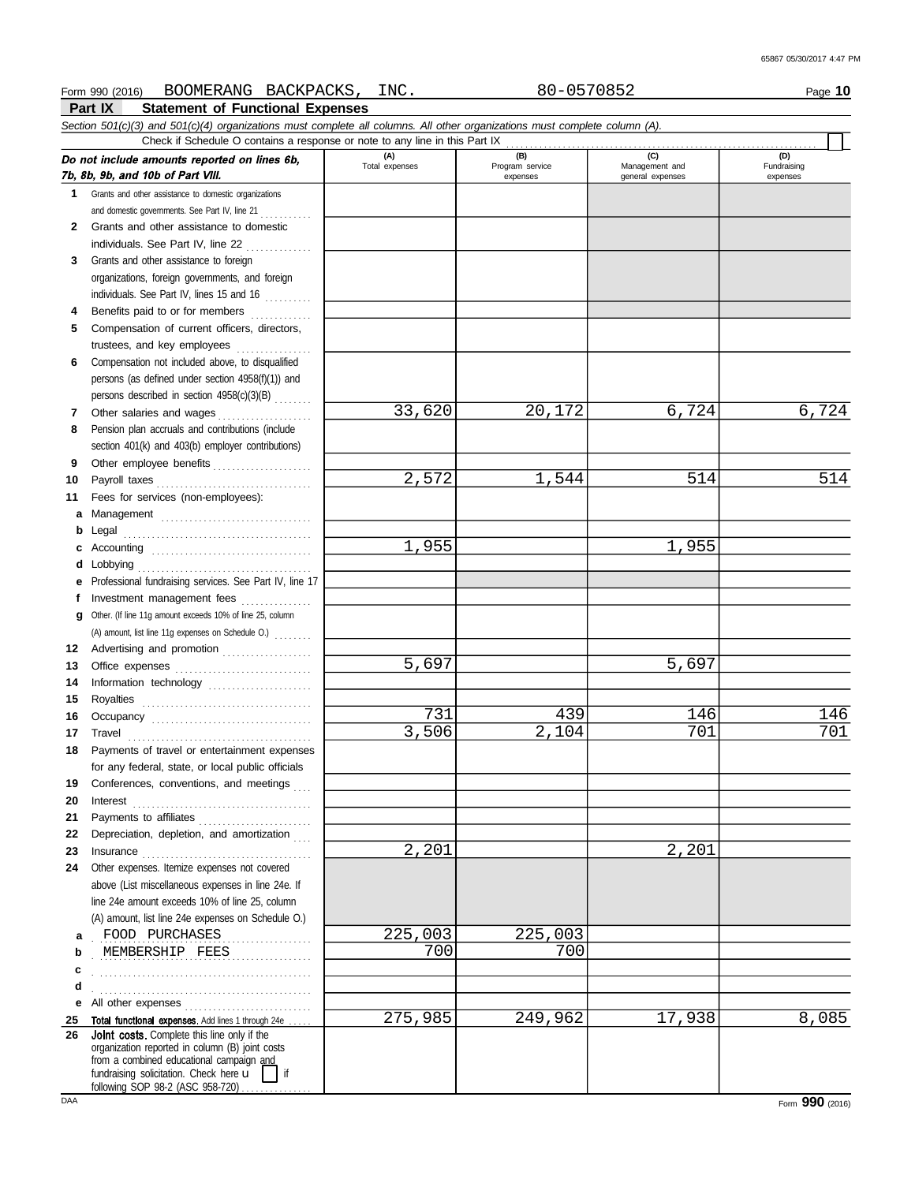|    | BOOMERANG BACKPACKS,<br>Form 990 (2016)                                                                                    | INC.                  | 80-0570852                         |                                           | Page 10                        |
|----|----------------------------------------------------------------------------------------------------------------------------|-----------------------|------------------------------------|-------------------------------------------|--------------------------------|
|    | <b>Statement of Functional Expenses</b><br>Part IX                                                                         |                       |                                    |                                           |                                |
|    | Section 501(c)(3) and 501(c)(4) organizations must complete all columns. All other organizations must complete column (A). |                       |                                    |                                           |                                |
|    | Check if Schedule O contains a response or note to any line in this Part IX                                                |                       |                                    |                                           |                                |
|    | Do not include amounts reported on lines 6b,<br>7b, 8b, 9b, and 10b of Part VIII.                                          | (A)<br>Total expenses | (B)<br>Program service<br>expenses | (C)<br>Management and<br>general expenses | (D)<br>Fundraising<br>expenses |
| 1. | Grants and other assistance to domestic organizations                                                                      |                       |                                    |                                           |                                |
|    | and domestic governments. See Part IV, line 21                                                                             |                       |                                    |                                           |                                |
| 2  | Grants and other assistance to domestic                                                                                    |                       |                                    |                                           |                                |
|    | individuals. See Part IV, line 22                                                                                          |                       |                                    |                                           |                                |
| 3  | Grants and other assistance to foreign                                                                                     |                       |                                    |                                           |                                |
|    | organizations, foreign governments, and foreign                                                                            |                       |                                    |                                           |                                |
|    | individuals. See Part IV, lines 15 and 16                                                                                  |                       |                                    |                                           |                                |
| 4  | Benefits paid to or for members                                                                                            |                       |                                    |                                           |                                |
| 5  | Compensation of current officers, directors,                                                                               |                       |                                    |                                           |                                |
|    |                                                                                                                            |                       |                                    |                                           |                                |
|    | trustees, and key employees                                                                                                |                       |                                    |                                           |                                |
| 6  | Compensation not included above, to disqualified                                                                           |                       |                                    |                                           |                                |
|    | persons (as defined under section 4958(f)(1)) and                                                                          |                       |                                    |                                           |                                |
|    | persons described in section 4958(c)(3)(B)                                                                                 |                       |                                    |                                           |                                |
| 7  | Other salaries and wages                                                                                                   | 33,620                | 20,172                             | 6,724                                     | 6,724                          |
| 8  | Pension plan accruals and contributions (include                                                                           |                       |                                    |                                           |                                |
|    | section 401(k) and 403(b) employer contributions)                                                                          |                       |                                    |                                           |                                |
| 9  | Other employee benefits                                                                                                    |                       |                                    |                                           |                                |
| 10 |                                                                                                                            | 2,572                 | 1,544                              | 514                                       | 514                            |
| 11 | Fees for services (non-employees):                                                                                         |                       |                                    |                                           |                                |
| а  |                                                                                                                            |                       |                                    |                                           |                                |
| b  |                                                                                                                            |                       |                                    |                                           |                                |
| c  |                                                                                                                            | 1,955                 |                                    | 1,955                                     |                                |
| d  | Lobbying                                                                                                                   |                       |                                    |                                           |                                |
| е  | Professional fundraising services. See Part IV, line 17                                                                    |                       |                                    |                                           |                                |
| f  | Investment management fees                                                                                                 |                       |                                    |                                           |                                |
| g  | Other. (If line 11g amount exceeds 10% of line 25, column                                                                  |                       |                                    |                                           |                                |
|    | (A) amount, list line 11g expenses on Schedule O.)                                                                         |                       |                                    |                                           |                                |
| 12 | Advertising and promotion                                                                                                  |                       |                                    |                                           |                                |
| 13 |                                                                                                                            | $\overline{5}$ , 697  |                                    | 5,697                                     |                                |
|    |                                                                                                                            |                       |                                    |                                           |                                |
| 14 | Information technology                                                                                                     |                       |                                    |                                           |                                |
| 15 |                                                                                                                            | 731                   | 439                                | 146                                       | 146                            |
| 16 |                                                                                                                            |                       |                                    |                                           |                                |
| 17 |                                                                                                                            | 3,506                 | 2,104                              | 701                                       | 701                            |
| 18 | Payments of travel or entertainment expenses                                                                               |                       |                                    |                                           |                                |
|    | for any federal, state, or local public officials                                                                          |                       |                                    |                                           |                                |
| 19 | Conferences, conventions, and meetings                                                                                     |                       |                                    |                                           |                                |
| 20 | Interest                                                                                                                   |                       |                                    |                                           |                                |
| 21 | Payments to affiliates                                                                                                     |                       |                                    |                                           |                                |
| 22 | Depreciation, depletion, and amortization                                                                                  |                       |                                    |                                           |                                |
| 23 |                                                                                                                            | 2,201                 |                                    | 2,201                                     |                                |
| 24 | Other expenses. Itemize expenses not covered                                                                               |                       |                                    |                                           |                                |
|    | above (List miscellaneous expenses in line 24e. If                                                                         |                       |                                    |                                           |                                |
|    | line 24e amount exceeds 10% of line 25, column                                                                             |                       |                                    |                                           |                                |
|    | (A) amount, list line 24e expenses on Schedule O.)                                                                         |                       |                                    |                                           |                                |
| а  | FOOD PURCHASES                                                                                                             | 225,003               | 225,003                            |                                           |                                |
| b  | MEMBERSHIP FEES                                                                                                            | 700                   | 700                                |                                           |                                |
| с  |                                                                                                                            |                       |                                    |                                           |                                |
| d  |                                                                                                                            |                       |                                    |                                           |                                |
| е  |                                                                                                                            |                       |                                    |                                           |                                |
| 25 | Total functional expenses. Add lines 1 through 24e                                                                         | 275,985               | 249,962                            | 17,938                                    | 8,085                          |
| 26 | <b>Joint costs.</b> Complete this line only if the                                                                         |                       |                                    |                                           |                                |
|    | organization reported in column (B) joint costs                                                                            |                       |                                    |                                           |                                |
|    | from a combined educational campaign and                                                                                   |                       |                                    |                                           |                                |
|    | fundraising solicitation. Check here u<br>if<br>following SOP 98-2 (ASC 958-720)                                           |                       |                                    |                                           |                                |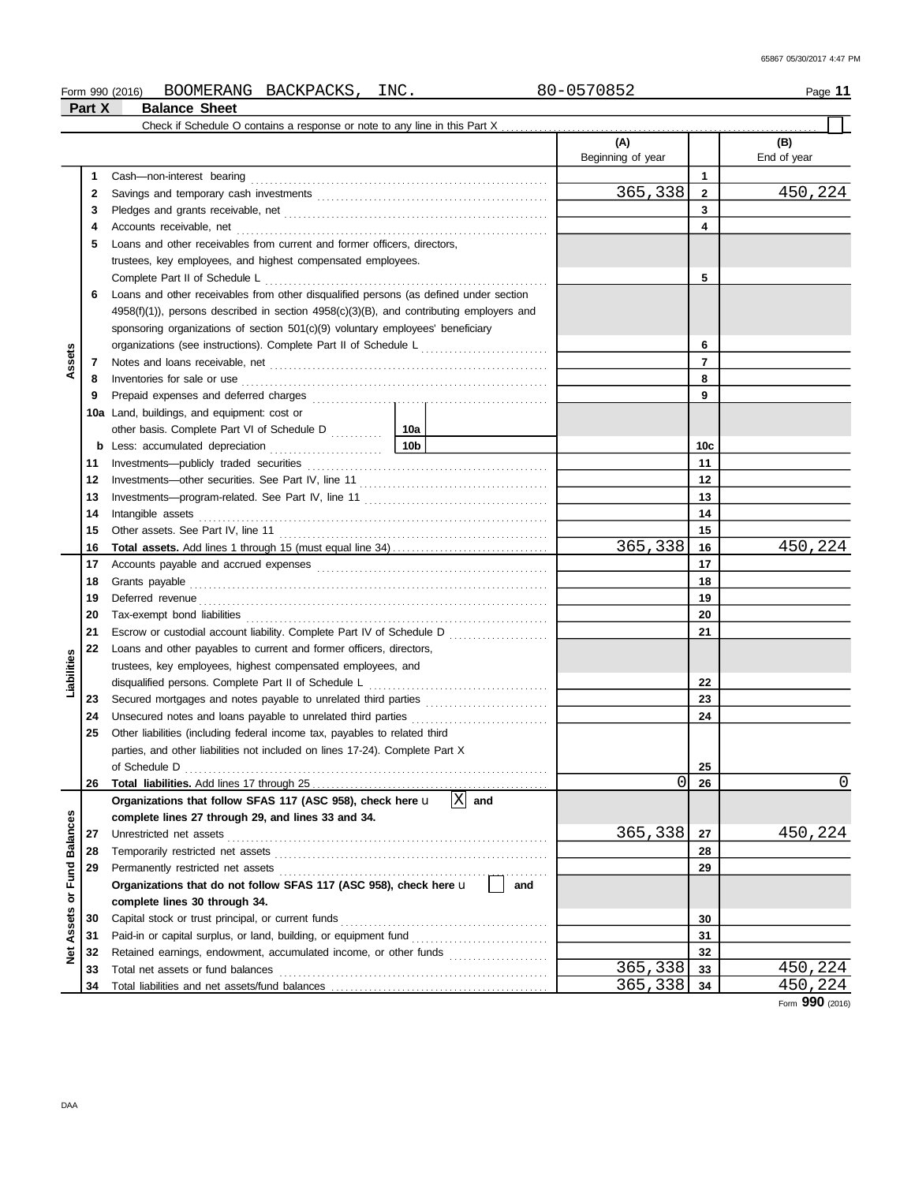|                      |          | BOOMERANG BACKPACKS, INC.<br>Form 990 (2016)                                                                                                                                                                                        | 80-0570852               |                | Page 11            |
|----------------------|----------|-------------------------------------------------------------------------------------------------------------------------------------------------------------------------------------------------------------------------------------|--------------------------|----------------|--------------------|
|                      | Part X   | <b>Balance Sheet</b>                                                                                                                                                                                                                |                          |                |                    |
|                      |          | Check if Schedule O contains a response or note to any line in this Part X                                                                                                                                                          |                          |                |                    |
|                      |          |                                                                                                                                                                                                                                     | (A)<br>Beginning of year |                | (B)<br>End of year |
|                      | 1        |                                                                                                                                                                                                                                     |                          | 1              |                    |
|                      | 2        |                                                                                                                                                                                                                                     | 365,338                  | $\mathbf{2}$   | 450,224            |
|                      | 3        |                                                                                                                                                                                                                                     |                          | 3              |                    |
|                      | 4        |                                                                                                                                                                                                                                     |                          | 4              |                    |
|                      | 5        | Loans and other receivables from current and former officers, directors,                                                                                                                                                            |                          |                |                    |
|                      |          | trustees, key employees, and highest compensated employees.                                                                                                                                                                         |                          |                |                    |
|                      |          |                                                                                                                                                                                                                                     |                          | 5              |                    |
|                      | 6        | Loans and other receivables from other disqualified persons (as defined under section                                                                                                                                               |                          |                |                    |
|                      |          | $4958(f)(1)$ , persons described in section $4958(c)(3)(B)$ , and contributing employers and                                                                                                                                        |                          |                |                    |
|                      |          | sponsoring organizations of section $501(c)(9)$ voluntary employees' beneficiary                                                                                                                                                    |                          |                |                    |
|                      |          | organizations (see instructions). Complete Part II of Schedule L                                                                                                                                                                    |                          | 6              |                    |
| Assets               | 7        |                                                                                                                                                                                                                                     |                          | $\overline{7}$ |                    |
|                      | 8        | Inventories for sale or use <i>communication</i> and the contract of the contract of the contract of the contract of the contract of the contract of the contract of the contract of the contract of the contract of the contract o |                          | 8              |                    |
|                      | 9        |                                                                                                                                                                                                                                     |                          | 9              |                    |
|                      |          | <b>10a</b> Land, buildings, and equipment: cost or                                                                                                                                                                                  |                          |                |                    |
|                      |          |                                                                                                                                                                                                                                     |                          |                |                    |
|                      |          | 10 <sub>b</sub>                                                                                                                                                                                                                     |                          | 10c            |                    |
|                      | 11       |                                                                                                                                                                                                                                     |                          | 11             |                    |
|                      | 12       |                                                                                                                                                                                                                                     |                          | 12             |                    |
|                      | 13       |                                                                                                                                                                                                                                     |                          | 13             |                    |
|                      | 14       |                                                                                                                                                                                                                                     |                          | 14             |                    |
|                      | 15       |                                                                                                                                                                                                                                     |                          | 15             |                    |
|                      | 16       |                                                                                                                                                                                                                                     | 365,338                  | 16             | 450,224            |
|                      | 17       |                                                                                                                                                                                                                                     |                          | 17             |                    |
|                      | 18       |                                                                                                                                                                                                                                     |                          | 18             |                    |
|                      | 19       | Deferred revenue contains and a state of the contact of the contact of the contact of the contact of the contact of the contact of the contact of the contact of the contact of the contact of the contact of the contact of t      |                          | 19             |                    |
|                      | 20       |                                                                                                                                                                                                                                     |                          | 20             |                    |
|                      | 21       | Escrow or custodial account liability. Complete Part IV of Schedule D                                                                                                                                                               |                          | 21             |                    |
|                      | 22       | Loans and other payables to current and former officers, directors,                                                                                                                                                                 |                          |                |                    |
| Liabilities          |          | trustees, key employees, highest compensated employees, and                                                                                                                                                                         |                          |                |                    |
|                      |          |                                                                                                                                                                                                                                     |                          | 22<br>23       |                    |
|                      | 23<br>24 |                                                                                                                                                                                                                                     |                          | 24             |                    |
|                      | 25       | Other liabilities (including federal income tax, payables to related third                                                                                                                                                          |                          |                |                    |
|                      |          | parties, and other liabilities not included on lines 17-24). Complete Part X                                                                                                                                                        |                          |                |                    |
|                      |          |                                                                                                                                                                                                                                     |                          | 25             |                    |
|                      | 26       |                                                                                                                                                                                                                                     | 0                        | 26             | 0                  |
|                      |          | $\vert X \vert$<br>Organizations that follow SFAS 117 (ASC 958), check here u<br>and                                                                                                                                                |                          |                |                    |
|                      |          | complete lines 27 through 29, and lines 33 and 34.                                                                                                                                                                                  |                          |                |                    |
|                      | 27       |                                                                                                                                                                                                                                     | 365,338                  | 27             | 450,224            |
| <b>Fund Balances</b> | 28       |                                                                                                                                                                                                                                     |                          | 28             |                    |
|                      | 29       |                                                                                                                                                                                                                                     |                          | 29             |                    |
|                      |          | Organizations that do not follow SFAS 117 (ASC 958), check here u<br>and                                                                                                                                                            |                          |                |                    |
|                      |          | complete lines 30 through 34.                                                                                                                                                                                                       |                          |                |                    |
| Assets or            | 30       | Capital stock or trust principal, or current funds                                                                                                                                                                                  |                          | 30             |                    |
|                      | 31       | Paid-in or capital surplus, or land, building, or equipment fund                                                                                                                                                                    |                          | 31             |                    |
| ब<br>≥               | 32       | Retained earnings, endowment, accumulated income, or other funds                                                                                                                                                                    |                          | 32             |                    |
|                      | 33       |                                                                                                                                                                                                                                     | 365,338                  | 33             | 450,224            |
|                      | 34       |                                                                                                                                                                                                                                     | 365,338                  | 34             | 450,224            |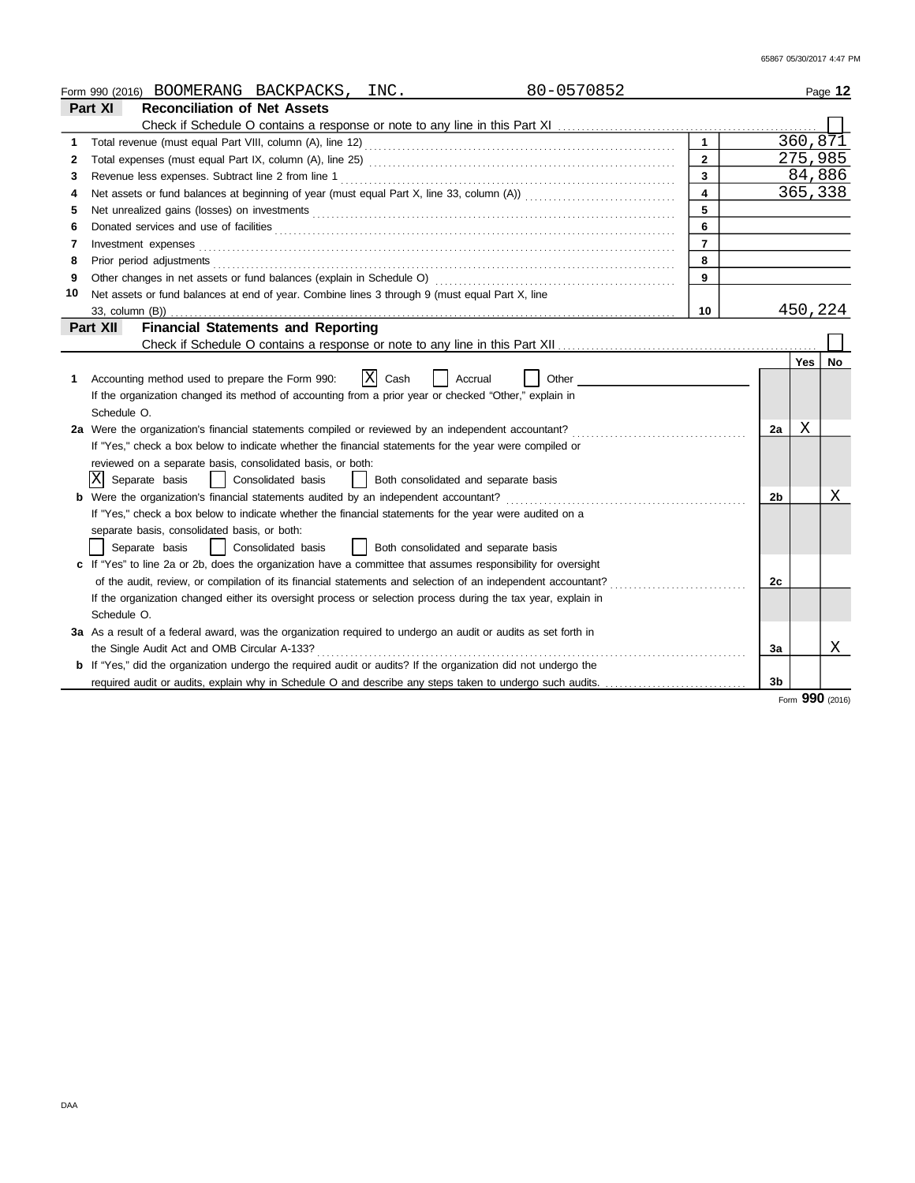|    | 80-0570852<br>Form 990 (2016) BOOMERANG BACKPACKS, INC.                                                               |                         |    |            | Page 12  |
|----|-----------------------------------------------------------------------------------------------------------------------|-------------------------|----|------------|----------|
|    | Part XI<br><b>Reconciliation of Net Assets</b>                                                                        |                         |    |            |          |
|    |                                                                                                                       |                         |    |            |          |
| 1  |                                                                                                                       |                         |    |            | 360, 871 |
| 2  |                                                                                                                       | $\overline{2}$          |    |            | 275,985  |
| 3  |                                                                                                                       | $\mathbf{3}$            |    |            | 84,886   |
| 4  |                                                                                                                       | $\overline{\mathbf{4}}$ |    |            | 365,338  |
| 5  |                                                                                                                       | 5                       |    |            |          |
| 6  |                                                                                                                       | 6                       |    |            |          |
| 7  |                                                                                                                       | $\overline{7}$          |    |            |          |
| 8  |                                                                                                                       | 8                       |    |            |          |
| 9  |                                                                                                                       | 9                       |    |            |          |
| 10 | Net assets or fund balances at end of year. Combine lines 3 through 9 (must equal Part X, line                        |                         |    |            |          |
|    |                                                                                                                       | 10                      |    |            | 450,224  |
|    | <b>Financial Statements and Reporting</b><br>Part XII                                                                 |                         |    |            |          |
|    |                                                                                                                       |                         |    |            |          |
|    |                                                                                                                       |                         |    | <b>Yes</b> | No       |
| 1  | X <br>Accounting method used to prepare the Form 990:<br>Cash<br>Other<br>Accrual                                     |                         |    |            |          |
|    | If the organization changed its method of accounting from a prior year or checked "Other," explain in                 |                         |    |            |          |
|    | Schedule O.                                                                                                           |                         |    |            |          |
|    | 2a Were the organization's financial statements compiled or reviewed by an independent accountant?                    |                         | 2a | Χ          |          |
|    | If "Yes," check a box below to indicate whether the financial statements for the year were compiled or                |                         |    |            |          |
|    | reviewed on a separate basis, consolidated basis, or both:                                                            |                         |    |            |          |
|    | ΙXΙ<br>Separate basis<br>Consolidated basis<br>Both consolidated and separate basis<br>$\blacksquare$                 |                         |    |            |          |
|    |                                                                                                                       |                         | 2b |            | Χ        |
|    | If "Yes," check a box below to indicate whether the financial statements for the year were audited on a               |                         |    |            |          |
|    | separate basis, consolidated basis, or both:                                                                          |                         |    |            |          |
|    | Separate basis<br>Consolidated basis<br>Both consolidated and separate basis                                          |                         |    |            |          |
|    | c If "Yes" to line 2a or 2b, does the organization have a committee that assumes responsibility for oversight         |                         |    |            |          |
|    | of the audit, review, or compilation of its financial statements and selection of an independent accountant?          |                         | 2c |            |          |
|    | If the organization changed either its oversight process or selection process during the tax year, explain in         |                         |    |            |          |
|    | Schedule O.                                                                                                           |                         |    |            |          |
|    | 3a As a result of a federal award, was the organization required to undergo an audit or audits as set forth in        |                         |    |            |          |
|    | the Single Audit Act and OMB Circular A-133?                                                                          |                         | За |            | Χ        |
|    | <b>b</b> If "Yes," did the organization undergo the required audit or audits? If the organization did not undergo the |                         |    |            |          |
|    |                                                                                                                       |                         | 3b |            |          |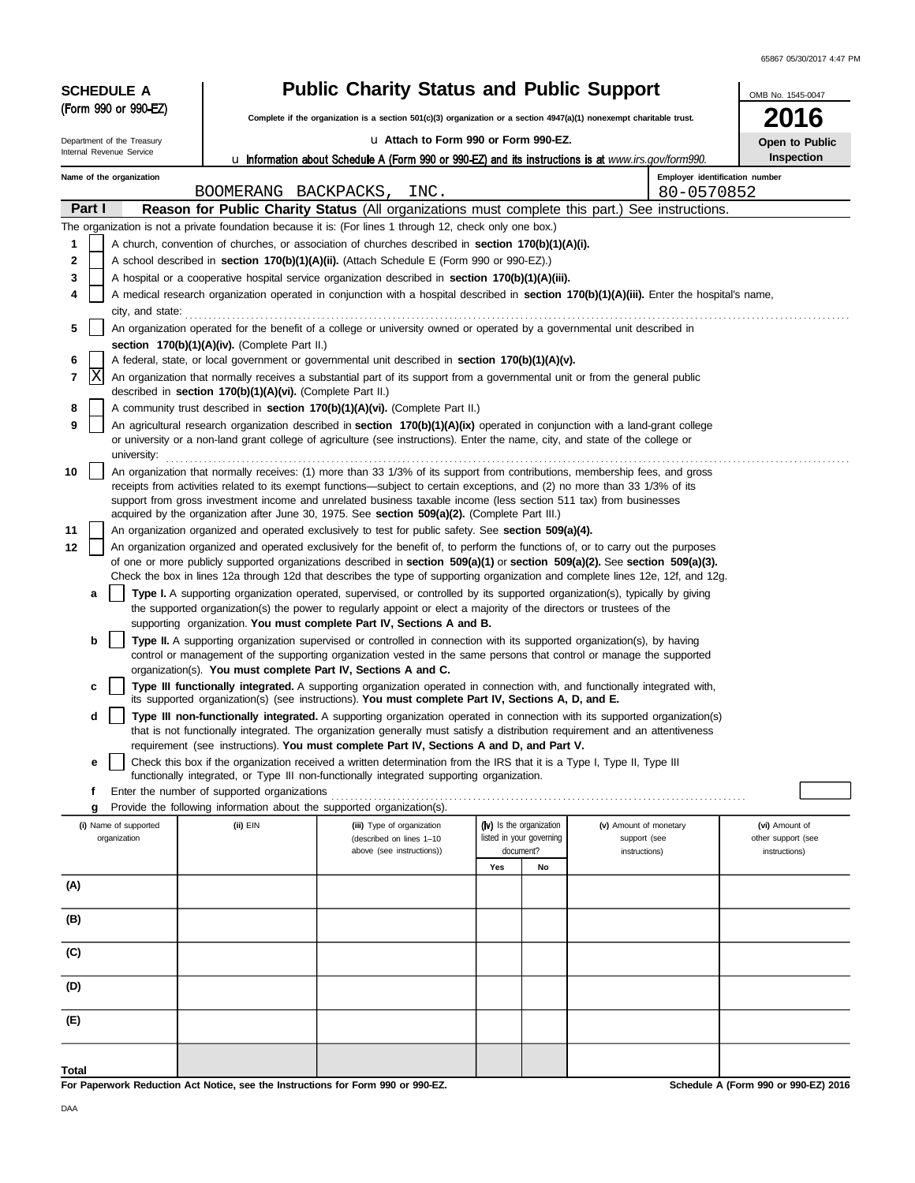| <b>SCHEDULE A</b>                     |                                                                                                                                                                                                                                                                        | <b>Public Charity Status and Public Support</b>                                                                                                                                                                                                  |                                                      |                                                                                                                                                                                                                                                                         | OMB No. 1545-0047                    |  |  |  |  |  |
|---------------------------------------|------------------------------------------------------------------------------------------------------------------------------------------------------------------------------------------------------------------------------------------------------------------------|--------------------------------------------------------------------------------------------------------------------------------------------------------------------------------------------------------------------------------------------------|------------------------------------------------------|-------------------------------------------------------------------------------------------------------------------------------------------------------------------------------------------------------------------------------------------------------------------------|--------------------------------------|--|--|--|--|--|
| (Form 990 or 990-EZ)                  |                                                                                                                                                                                                                                                                        | Complete if the organization is a section 501(c)(3) organization or a section $4947(a)(1)$ nonexempt charitable trust.                                                                                                                           |                                                      |                                                                                                                                                                                                                                                                         | 6                                    |  |  |  |  |  |
| Department of the Treasury            |                                                                                                                                                                                                                                                                        | u Attach to Form 990 or Form 990-EZ.                                                                                                                                                                                                             |                                                      |                                                                                                                                                                                                                                                                         | Open to Public                       |  |  |  |  |  |
| Internal Revenue Service              |                                                                                                                                                                                                                                                                        | La Information about Schedule A (Form 990 or 990-EZ) and its instructions is at www.irs.gov/form990.                                                                                                                                             |                                                      |                                                                                                                                                                                                                                                                         | <b>Inspection</b>                    |  |  |  |  |  |
| Name of the organization              |                                                                                                                                                                                                                                                                        |                                                                                                                                                                                                                                                  |                                                      | Employer identification number                                                                                                                                                                                                                                          |                                      |  |  |  |  |  |
| Part I                                | BOOMERANG BACKPACKS,                                                                                                                                                                                                                                                   | INC.                                                                                                                                                                                                                                             |                                                      | 80-0570852<br>Reason for Public Charity Status (All organizations must complete this part.) See instructions.                                                                                                                                                           |                                      |  |  |  |  |  |
|                                       |                                                                                                                                                                                                                                                                        | The organization is not a private foundation because it is: (For lines 1 through 12, check only one box.)                                                                                                                                        |                                                      |                                                                                                                                                                                                                                                                         |                                      |  |  |  |  |  |
| 1                                     |                                                                                                                                                                                                                                                                        | A church, convention of churches, or association of churches described in <b>section 170(b)(1)(A)(i).</b>                                                                                                                                        |                                                      |                                                                                                                                                                                                                                                                         |                                      |  |  |  |  |  |
| 2                                     |                                                                                                                                                                                                                                                                        | A school described in section 170(b)(1)(A)(ii). (Attach Schedule E (Form 990 or 990-EZ).)                                                                                                                                                        |                                                      |                                                                                                                                                                                                                                                                         |                                      |  |  |  |  |  |
| 3                                     |                                                                                                                                                                                                                                                                        | A hospital or a cooperative hospital service organization described in section 170(b)(1)(A)(iii).                                                                                                                                                |                                                      |                                                                                                                                                                                                                                                                         |                                      |  |  |  |  |  |
| 4<br>city, and state:                 |                                                                                                                                                                                                                                                                        |                                                                                                                                                                                                                                                  |                                                      | A medical research organization operated in conjunction with a hospital described in section 170(b)(1)(A)(iii). Enter the hospital's name,                                                                                                                              |                                      |  |  |  |  |  |
| 5                                     |                                                                                                                                                                                                                                                                        | An organization operated for the benefit of a college or university owned or operated by a governmental unit described in                                                                                                                        |                                                      |                                                                                                                                                                                                                                                                         |                                      |  |  |  |  |  |
|                                       | section 170(b)(1)(A)(iv). (Complete Part II.)                                                                                                                                                                                                                          |                                                                                                                                                                                                                                                  |                                                      |                                                                                                                                                                                                                                                                         |                                      |  |  |  |  |  |
| 6<br> X<br>7                          | A federal, state, or local government or governmental unit described in section 170(b)(1)(A)(v).<br>An organization that normally receives a substantial part of its support from a governmental unit or from the general public                                       |                                                                                                                                                                                                                                                  |                                                      |                                                                                                                                                                                                                                                                         |                                      |  |  |  |  |  |
|                                       | described in section 170(b)(1)(A)(vi). (Complete Part II.)                                                                                                                                                                                                             |                                                                                                                                                                                                                                                  |                                                      |                                                                                                                                                                                                                                                                         |                                      |  |  |  |  |  |
| 8                                     | A community trust described in section 170(b)(1)(A)(vi). (Complete Part II.)                                                                                                                                                                                           |                                                                                                                                                                                                                                                  |                                                      |                                                                                                                                                                                                                                                                         |                                      |  |  |  |  |  |
| 9                                     | An agricultural research organization described in <b>section 170(b)(1)(A)(ix)</b> operated in conjunction with a land-grant college<br>or university or a non-land grant college of agriculture (see instructions). Enter the name, city, and state of the college or |                                                                                                                                                                                                                                                  |                                                      |                                                                                                                                                                                                                                                                         |                                      |  |  |  |  |  |
| university:<br>10                     |                                                                                                                                                                                                                                                                        |                                                                                                                                                                                                                                                  |                                                      | An organization that normally receives: (1) more than 33 1/3% of its support from contributions, membership fees, and gross                                                                                                                                             |                                      |  |  |  |  |  |
|                                       |                                                                                                                                                                                                                                                                        | receipts from activities related to its exempt functions—subject to certain exceptions, and (2) no more than 33 1/3% of its<br>support from gross investment income and unrelated business taxable income (less section 511 tax) from businesses |                                                      |                                                                                                                                                                                                                                                                         |                                      |  |  |  |  |  |
|                                       |                                                                                                                                                                                                                                                                        | acquired by the organization after June 30, 1975. See section 509(a)(2). (Complete Part III.)                                                                                                                                                    |                                                      |                                                                                                                                                                                                                                                                         |                                      |  |  |  |  |  |
| 11                                    |                                                                                                                                                                                                                                                                        | An organization organized and operated exclusively to test for public safety. See section 509(a)(4).                                                                                                                                             |                                                      |                                                                                                                                                                                                                                                                         |                                      |  |  |  |  |  |
| 12                                    |                                                                                                                                                                                                                                                                        |                                                                                                                                                                                                                                                  |                                                      | An organization organized and operated exclusively for the benefit of, to perform the functions of, or to carry out the purposes<br>of one or more publicly supported organizations described in section $509(a)(1)$ or section $509(a)(2)$ . See section $509(a)(3)$ . |                                      |  |  |  |  |  |
|                                       |                                                                                                                                                                                                                                                                        |                                                                                                                                                                                                                                                  |                                                      | Check the box in lines 12a through 12d that describes the type of supporting organization and complete lines 12e, 12f, and 12g.                                                                                                                                         |                                      |  |  |  |  |  |
| a                                     |                                                                                                                                                                                                                                                                        |                                                                                                                                                                                                                                                  |                                                      | <b>Type I.</b> A supporting organization operated, supervised, or controlled by its supported organization(s), typically by giving                                                                                                                                      |                                      |  |  |  |  |  |
|                                       |                                                                                                                                                                                                                                                                        | the supported organization(s) the power to regularly appoint or elect a majority of the directors or trustees of the<br>supporting organization. You must complete Part IV, Sections A and B.                                                    |                                                      |                                                                                                                                                                                                                                                                         |                                      |  |  |  |  |  |
| b                                     |                                                                                                                                                                                                                                                                        | Type II. A supporting organization supervised or controlled in connection with its supported organization(s), by having                                                                                                                          |                                                      |                                                                                                                                                                                                                                                                         |                                      |  |  |  |  |  |
|                                       |                                                                                                                                                                                                                                                                        | organization(s). You must complete Part IV, Sections A and C.                                                                                                                                                                                    |                                                      | control or management of the supporting organization vested in the same persons that control or manage the supported                                                                                                                                                    |                                      |  |  |  |  |  |
| c                                     |                                                                                                                                                                                                                                                                        |                                                                                                                                                                                                                                                  |                                                      | Type III functionally integrated. A supporting organization operated in connection with, and functionally integrated with,                                                                                                                                              |                                      |  |  |  |  |  |
|                                       |                                                                                                                                                                                                                                                                        | its supported organization(s) (see instructions). You must complete Part IV, Sections A, D, and E.                                                                                                                                               |                                                      |                                                                                                                                                                                                                                                                         |                                      |  |  |  |  |  |
| d                                     |                                                                                                                                                                                                                                                                        |                                                                                                                                                                                                                                                  |                                                      | Type III non-functionally integrated. A supporting organization operated in connection with its supported organization(s)<br>that is not functionally integrated. The organization generally must satisfy a distribution requirement and an attentiveness               |                                      |  |  |  |  |  |
|                                       |                                                                                                                                                                                                                                                                        | requirement (see instructions). You must complete Part IV, Sections A and D, and Part V.                                                                                                                                                         |                                                      |                                                                                                                                                                                                                                                                         |                                      |  |  |  |  |  |
| е                                     |                                                                                                                                                                                                                                                                        | Check this box if the organization received a written determination from the IRS that it is a Type I, Type II, Type III<br>functionally integrated, or Type III non-functionally integrated supporting organization.                             |                                                      |                                                                                                                                                                                                                                                                         |                                      |  |  |  |  |  |
| f                                     | Enter the number of supported organizations                                                                                                                                                                                                                            |                                                                                                                                                                                                                                                  |                                                      |                                                                                                                                                                                                                                                                         |                                      |  |  |  |  |  |
| g                                     |                                                                                                                                                                                                                                                                        | Provide the following information about the supported organization(s).                                                                                                                                                                           |                                                      |                                                                                                                                                                                                                                                                         |                                      |  |  |  |  |  |
| (i) Name of supported<br>organization | (ii) EIN                                                                                                                                                                                                                                                               | (iii) Type of organization<br>(described on lines 1-10                                                                                                                                                                                           | (iv) Is the organization<br>listed in your governing | (v) Amount of monetary<br>support (see                                                                                                                                                                                                                                  | (vi) Amount of<br>other support (see |  |  |  |  |  |
|                                       |                                                                                                                                                                                                                                                                        | above (see instructions))                                                                                                                                                                                                                        | document?                                            | instructions)                                                                                                                                                                                                                                                           | instructions)                        |  |  |  |  |  |
| (A)                                   |                                                                                                                                                                                                                                                                        |                                                                                                                                                                                                                                                  | Yes<br>No                                            |                                                                                                                                                                                                                                                                         |                                      |  |  |  |  |  |
|                                       |                                                                                                                                                                                                                                                                        |                                                                                                                                                                                                                                                  |                                                      |                                                                                                                                                                                                                                                                         |                                      |  |  |  |  |  |
| (B)                                   |                                                                                                                                                                                                                                                                        |                                                                                                                                                                                                                                                  |                                                      |                                                                                                                                                                                                                                                                         |                                      |  |  |  |  |  |
| (C)                                   |                                                                                                                                                                                                                                                                        |                                                                                                                                                                                                                                                  |                                                      |                                                                                                                                                                                                                                                                         |                                      |  |  |  |  |  |
| (D)                                   |                                                                                                                                                                                                                                                                        |                                                                                                                                                                                                                                                  |                                                      |                                                                                                                                                                                                                                                                         |                                      |  |  |  |  |  |
| (E)                                   |                                                                                                                                                                                                                                                                        |                                                                                                                                                                                                                                                  |                                                      |                                                                                                                                                                                                                                                                         |                                      |  |  |  |  |  |
| Total                                 |                                                                                                                                                                                                                                                                        |                                                                                                                                                                                                                                                  |                                                      |                                                                                                                                                                                                                                                                         |                                      |  |  |  |  |  |
|                                       |                                                                                                                                                                                                                                                                        |                                                                                                                                                                                                                                                  |                                                      |                                                                                                                                                                                                                                                                         |                                      |  |  |  |  |  |

**For Paperwork Reduction Act Notice, see the Instructions for Form 990 or 990-EZ.**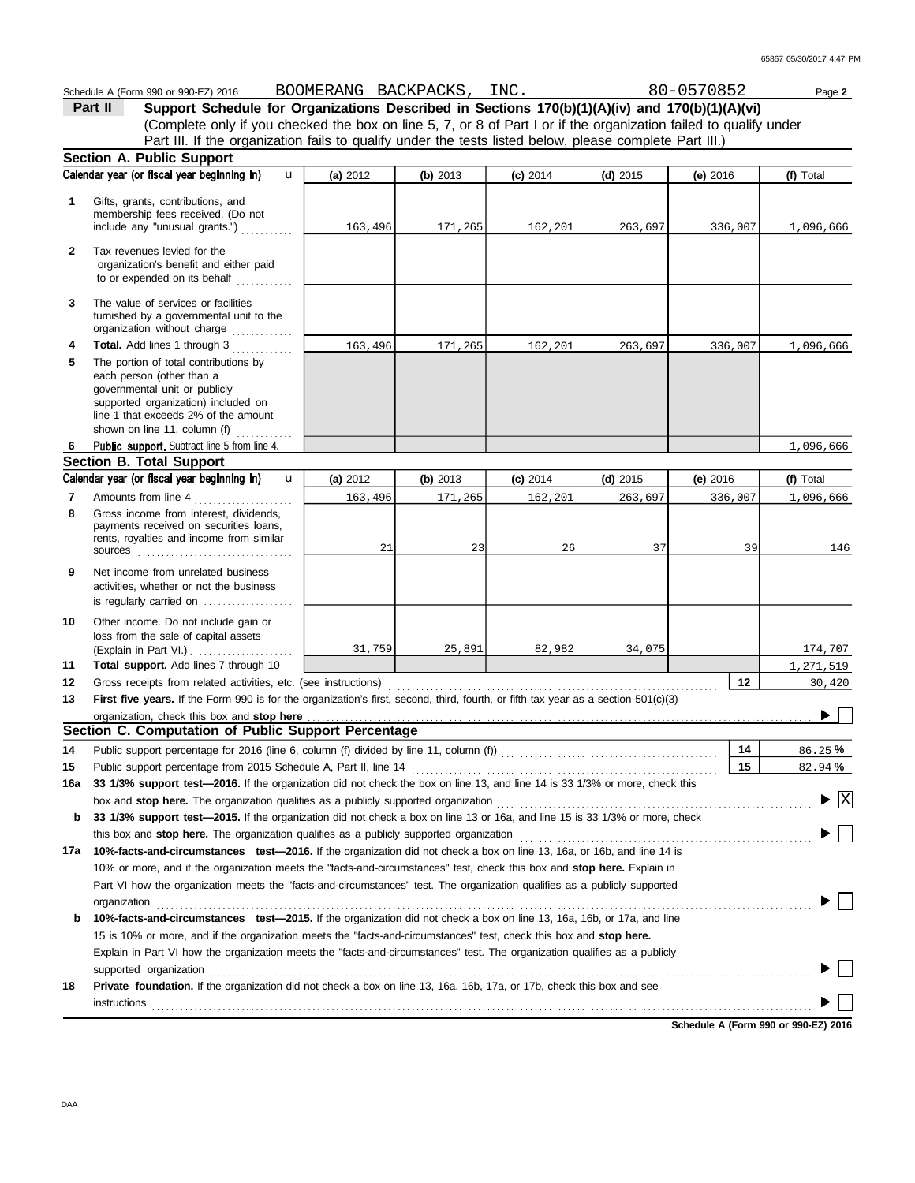|     | Schedule A (Form 990 or 990-EZ) 2016                                                                                                                                                                                                                                                                                                                      | BOOMERANG BACKPACKS, INC. |            |            |            | 80-0570852 | Page 2                         |
|-----|-----------------------------------------------------------------------------------------------------------------------------------------------------------------------------------------------------------------------------------------------------------------------------------------------------------------------------------------------------------|---------------------------|------------|------------|------------|------------|--------------------------------|
|     | Support Schedule for Organizations Described in Sections 170(b)(1)(A)(iv) and 170(b)(1)(A)(vi)<br>Part II                                                                                                                                                                                                                                                 |                           |            |            |            |            |                                |
|     | (Complete only if you checked the box on line 5, 7, or 8 of Part I or if the organization failed to qualify under                                                                                                                                                                                                                                         |                           |            |            |            |            |                                |
|     | Part III. If the organization fails to qualify under the tests listed below, please complete Part III.)                                                                                                                                                                                                                                                   |                           |            |            |            |            |                                |
|     | Section A. Public Support                                                                                                                                                                                                                                                                                                                                 |                           |            |            |            |            |                                |
|     | Calendar year (or fiscal year beginning in)<br>u                                                                                                                                                                                                                                                                                                          | (a) 2012                  | (b) 2013   | $(c)$ 2014 | $(d)$ 2015 | (e) 2016   | (f) Total                      |
|     |                                                                                                                                                                                                                                                                                                                                                           |                           |            |            |            |            |                                |
| 1   | Gifts, grants, contributions, and<br>membership fees received. (Do not                                                                                                                                                                                                                                                                                    |                           |            |            |            |            |                                |
|     | include any "unusual grants.")                                                                                                                                                                                                                                                                                                                            | 163,496                   | 171,265    | 162,201    | 263,697    | 336,007    | 1,096,666                      |
| 2   | Tax revenues levied for the                                                                                                                                                                                                                                                                                                                               |                           |            |            |            |            |                                |
|     | organization's benefit and either paid                                                                                                                                                                                                                                                                                                                    |                           |            |            |            |            |                                |
|     | to or expended on its behalf                                                                                                                                                                                                                                                                                                                              |                           |            |            |            |            |                                |
| 3   | The value of services or facilities                                                                                                                                                                                                                                                                                                                       |                           |            |            |            |            |                                |
|     | furnished by a governmental unit to the                                                                                                                                                                                                                                                                                                                   |                           |            |            |            |            |                                |
|     | organization without charge                                                                                                                                                                                                                                                                                                                               |                           |            |            |            |            |                                |
| 4   | Total. Add lines 1 through 3                                                                                                                                                                                                                                                                                                                              | 163,496                   | 171,265    | 162,201    | 263,697    | 336,007    | 1,096,666                      |
| 5   | The portion of total contributions by                                                                                                                                                                                                                                                                                                                     |                           |            |            |            |            |                                |
|     | each person (other than a                                                                                                                                                                                                                                                                                                                                 |                           |            |            |            |            |                                |
|     | governmental unit or publicly<br>supported organization) included on                                                                                                                                                                                                                                                                                      |                           |            |            |            |            |                                |
|     | line 1 that exceeds 2% of the amount                                                                                                                                                                                                                                                                                                                      |                           |            |            |            |            |                                |
|     | shown on line 11, column (f)<br>.                                                                                                                                                                                                                                                                                                                         |                           |            |            |            |            |                                |
| 6   | <b>Public support.</b> Subtract line 5 from line 4.                                                                                                                                                                                                                                                                                                       |                           |            |            |            |            | 1,096,666                      |
|     | <b>Section B. Total Support</b>                                                                                                                                                                                                                                                                                                                           |                           |            |            |            |            |                                |
|     | Calendar year (or fiscal year beginning in)<br>u                                                                                                                                                                                                                                                                                                          | (a) 2012                  | (b) $2013$ | $(c)$ 2014 | $(d)$ 2015 | $(e)$ 2016 | (f) Total                      |
| 7   | Amounts from line 4                                                                                                                                                                                                                                                                                                                                       | 163,496                   | 171,265    | 162,201    | 263,697    | 336,007    | 1,096,666                      |
| 8   | Gross income from interest, dividends,                                                                                                                                                                                                                                                                                                                    |                           |            |            |            |            |                                |
|     | payments received on securities loans,<br>rents, royalties and income from similar                                                                                                                                                                                                                                                                        |                           |            |            |            |            |                                |
|     | $sources$                                                                                                                                                                                                                                                                                                                                                 | 21                        | 23         | 26         | 37         | 39         | 146                            |
| 9   | Net income from unrelated business                                                                                                                                                                                                                                                                                                                        |                           |            |            |            |            |                                |
|     | activities, whether or not the business                                                                                                                                                                                                                                                                                                                   |                           |            |            |            |            |                                |
|     | is regularly carried on                                                                                                                                                                                                                                                                                                                                   |                           |            |            |            |            |                                |
| 10  | Other income. Do not include gain or                                                                                                                                                                                                                                                                                                                      |                           |            |            |            |            |                                |
|     | loss from the sale of capital assets                                                                                                                                                                                                                                                                                                                      |                           |            |            |            |            |                                |
|     | (Explain in Part VI.)                                                                                                                                                                                                                                                                                                                                     | 31,759                    | 25,891     | 82,982     | 34,075     |            | 174,707                        |
| 11  | Total support. Add lines 7 through 10                                                                                                                                                                                                                                                                                                                     |                           |            |            |            |            | 1,271,519                      |
| 12  |                                                                                                                                                                                                                                                                                                                                                           |                           |            |            |            | 12         | 30,420                         |
| 13  | First five years. If the Form 990 is for the organization's first, second, third, fourth, or fifth tax year as a section 501(c)(3)                                                                                                                                                                                                                        |                           |            |            |            |            |                                |
|     | organization, check this box and stop here<br>Section C. Computation of Public Support Percentage                                                                                                                                                                                                                                                         |                           |            |            |            |            |                                |
|     |                                                                                                                                                                                                                                                                                                                                                           |                           |            |            |            |            |                                |
| 14  | Public support percentage for 2016 (line 6, column (f) divided by line 11, column (f)) [[[[[[[[[[[[[[[[[[[[[[                                                                                                                                                                                                                                             |                           |            |            |            | 14         | 86.25%                         |
| 15  | 33 1/3% support test-2016. If the organization did not check the box on line 13, and line 14 is 33 1/3% or more, check this                                                                                                                                                                                                                               |                           |            |            |            | 15         | 82.94 %                        |
| 16a |                                                                                                                                                                                                                                                                                                                                                           |                           |            |            |            |            | $\blacktriangleright$ $\mid$ X |
|     |                                                                                                                                                                                                                                                                                                                                                           |                           |            |            |            |            |                                |
| b   | 33 1/3% support test—2015. If the organization did not check a box on line 13 or 16a, and line 15 is 33 1/3% or more, check                                                                                                                                                                                                                               |                           |            |            |            |            |                                |
| 17a | 10%-facts-and-circumstances test-2016. If the organization did not check a box on line 13, 16a, or 16b, and line 14 is                                                                                                                                                                                                                                    |                           |            |            |            |            |                                |
|     | 10% or more, and if the organization meets the "facts-and-circumstances" test, check this box and stop here. Explain in                                                                                                                                                                                                                                   |                           |            |            |            |            |                                |
|     |                                                                                                                                                                                                                                                                                                                                                           |                           |            |            |            |            |                                |
|     | Part VI how the organization meets the "facts-and-circumstances" test. The organization qualifies as a publicly supported                                                                                                                                                                                                                                 |                           |            |            |            |            |                                |
|     | organization<br>and the contract of the contract of the contract of the contract of the contract of the contract of the contract of the contract of the contract of the contract of the contract of the contract of the contract<br>10%-facts-and-circumstances test-2015. If the organization did not check a box on line 13, 16a, 16b, or 17a, and line |                           |            |            |            |            |                                |
| b   |                                                                                                                                                                                                                                                                                                                                                           |                           |            |            |            |            |                                |
|     | 15 is 10% or more, and if the organization meets the "facts-and-circumstances" test, check this box and stop here.                                                                                                                                                                                                                                        |                           |            |            |            |            |                                |
|     | Explain in Part VI how the organization meets the "facts-and-circumstances" test. The organization qualifies as a publicly                                                                                                                                                                                                                                |                           |            |            |            |            |                                |
|     | supported organization contains and contains a subsequent or contained a subsequent or contained a subsequent or contained a subsequent or contained a subsequent or contained a subsequent of the subsequent of the subsequen<br>Private foundation. If the organization did not check a box on line 13, 16a, 16b, 17a, or 17b, check this box and see   |                           |            |            |            |            |                                |
| 18  |                                                                                                                                                                                                                                                                                                                                                           |                           |            |            |            |            |                                |
|     |                                                                                                                                                                                                                                                                                                                                                           |                           |            |            |            |            |                                |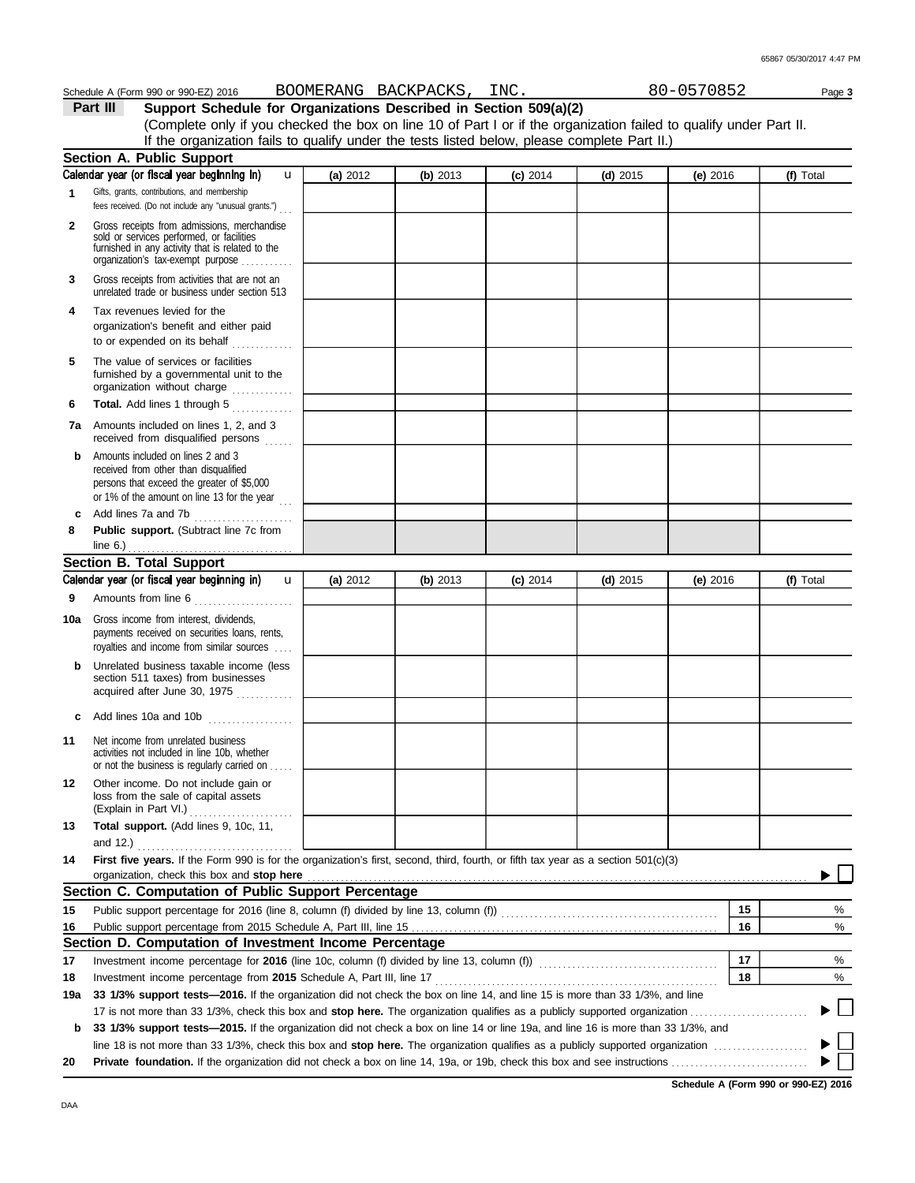|              | Schedule A (Form 990 or 990-EZ) 2016                                                                                                                                              |          | BOOMERANG BACKPACKS, INC. |            |            | 80-0570852 | Page 3    |
|--------------|-----------------------------------------------------------------------------------------------------------------------------------------------------------------------------------|----------|---------------------------|------------|------------|------------|-----------|
|              | Part III<br>Support Schedule for Organizations Described in Section 509(a)(2)                                                                                                     |          |                           |            |            |            |           |
|              | (Complete only if you checked the box on line 10 of Part I or if the organization failed to qualify under Part II.                                                                |          |                           |            |            |            |           |
|              | If the organization fails to qualify under the tests listed below, please complete Part II.)                                                                                      |          |                           |            |            |            |           |
|              | <b>Section A. Public Support</b>                                                                                                                                                  |          |                           |            |            |            |           |
|              | Calendar year (or fiscal year beginning in)<br>u                                                                                                                                  | (a) 2012 | (b) 2013                  | $(c)$ 2014 | $(d)$ 2015 | (e) 2016   | (f) Total |
| 1.           | Gifts, grants, contributions, and membership<br>fees received. (Do not include any "unusual grants.")                                                                             |          |                           |            |            |            |           |
| $\mathbf{2}$ | Gross receipts from admissions, merchandise<br>sold or services performed, or facilities<br>furnished in any activity that is related to the<br>organization's tax-exempt purpose |          |                           |            |            |            |           |
| 3            | Gross receipts from activities that are not an<br>unrelated trade or business under section 513                                                                                   |          |                           |            |            |            |           |
| 4            | Tax revenues levied for the<br>organization's benefit and either paid<br>to or expended on its behalf                                                                             |          |                           |            |            |            |           |
| 5            | The value of services or facilities<br>furnished by a governmental unit to the<br>organization without charge                                                                     |          |                           |            |            |            |           |
| 6            | Total. Add lines 1 through 5                                                                                                                                                      |          |                           |            |            |            |           |
|              | <b>7a</b> Amounts included on lines 1, 2, and 3<br>received from disqualified persons                                                                                             |          |                           |            |            |            |           |
| b            | Amounts included on lines 2 and 3<br>received from other than disqualified<br>persons that exceed the greater of \$5,000<br>or 1% of the amount on line 13 for the year           |          |                           |            |            |            |           |
| c            | Add lines 7a and 7b                                                                                                                                                               |          |                           |            |            |            |           |
| 8            | Public support. (Subtract line 7c from<br>line $6.$ )<br>.                                                                                                                        |          |                           |            |            |            |           |
|              | <b>Section B. Total Support</b>                                                                                                                                                   |          |                           |            |            |            |           |
|              | Calendar year (or fiscal year beginning in)<br>u                                                                                                                                  | (a) 2012 | (b) 2013                  | $(c)$ 2014 | $(d)$ 2015 | (e) 2016   | (f) Total |
| 9            | Amounts from line 6                                                                                                                                                               |          |                           |            |            |            |           |
| 10a          | Gross income from interest, dividends,<br>payments received on securities loans, rents,<br>royalties and income from similar sources                                              |          |                           |            |            |            |           |
| b            | Unrelated business taxable income (less<br>section 511 taxes) from businesses<br>acquired after June 30, 1975                                                                     |          |                           |            |            |            |           |
|              | Add lines 10a and 10b                                                                                                                                                             |          |                           |            |            |            |           |
| 11           | Net income from unrelated business<br>activities not included in line 10b, whether<br>or not the business is regularly carried on                                                 |          |                           |            |            |            |           |
| 12           | Other income. Do not include gain or<br>loss from the sale of capital assets                                                                                                      |          |                           |            |            |            |           |
| 13           | Total support. (Add lines 9, 10c, 11,                                                                                                                                             |          |                           |            |            |            |           |
|              | and 12.) $\ldots$                                                                                                                                                                 |          |                           |            |            |            |           |
| 14           | First five years. If the Form 990 is for the organization's first, second, third, fourth, or fifth tax year as a section 501(c)(3)<br>organization, check this box and stop here  |          |                           |            |            |            |           |
|              | Section C. Computation of Public Support Percentage                                                                                                                               |          |                           |            |            |            |           |
| 15           |                                                                                                                                                                                   |          |                           |            |            | 15         | %         |
| 16           |                                                                                                                                                                                   |          |                           |            |            | 16         | %         |
|              | Section D. Computation of Investment Income Percentage                                                                                                                            |          |                           |            |            |            |           |
| 17           |                                                                                                                                                                                   |          |                           |            |            | 17         | %         |
| 18           |                                                                                                                                                                                   |          |                           |            |            | 18         | %         |
| 19a          | 33 1/3% support tests-2016. If the organization did not check the box on line 14, and line 15 is more than 33 1/3%, and line                                                      |          |                           |            |            |            |           |
|              |                                                                                                                                                                                   |          |                           |            |            |            |           |
| b            | 33 1/3% support tests—2015. If the organization did not check a box on line 14 or line 19a, and line 16 is more than 33 1/3%, and                                                 |          |                           |            |            |            |           |
|              |                                                                                                                                                                                   |          |                           |            |            |            |           |
| 20           |                                                                                                                                                                                   |          |                           |            |            |            |           |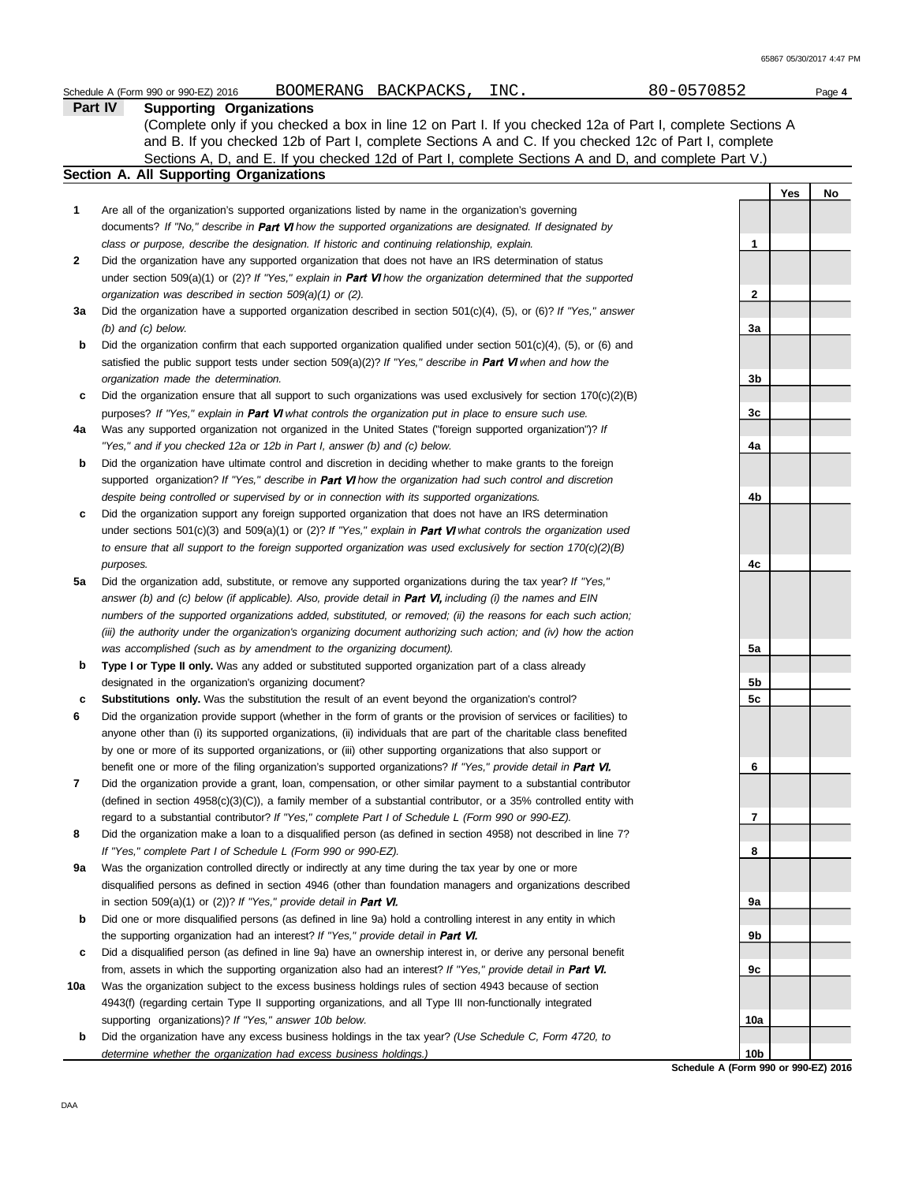|     | BOOMERANG BACKPACKS, INC.<br>Schedule A (Form 990 or 990-EZ) 2016<br>Part IV<br><b>Supporting Organizations</b>                                 | 80-0570852 | Page 4    |
|-----|-------------------------------------------------------------------------------------------------------------------------------------------------|------------|-----------|
|     | (Complete only if you checked a box in line 12 on Part I. If you checked 12a of Part I, complete Sections A                                     |            |           |
|     |                                                                                                                                                 |            |           |
|     | and B. If you checked 12b of Part I, complete Sections A and C. If you checked 12c of Part I, complete                                          |            |           |
|     | Sections A, D, and E. If you checked 12d of Part I, complete Sections A and D, and complete Part V.)<br>Section A. All Supporting Organizations |            |           |
|     |                                                                                                                                                 |            | Yes<br>No |
| 1   | Are all of the organization's supported organizations listed by name in the organization's governing                                            |            |           |
|     | documents? If "No," describe in Part VI how the supported organizations are designated. If designated by                                        |            |           |
|     | class or purpose, describe the designation. If historic and continuing relationship, explain.                                                   | 1          |           |
| 2   | Did the organization have any supported organization that does not have an IRS determination of status                                          |            |           |
|     | under section 509(a)(1) or (2)? If "Yes," explain in <b>Part VI</b> how the organization determined that the supported                          |            |           |
|     | organization was described in section $509(a)(1)$ or (2).                                                                                       | 2          |           |
| За  | Did the organization have a supported organization described in section $501(c)(4)$ , (5), or (6)? If "Yes," answer                             |            |           |
|     | $(b)$ and $(c)$ below.                                                                                                                          | За         |           |
| b   | Did the organization confirm that each supported organization qualified under section $501(c)(4)$ , $(5)$ , or $(6)$ and                        |            |           |
|     | satisfied the public support tests under section $509(a)(2)?$ If "Yes," describe in <b>Part VI</b> when and how the                             |            |           |
|     | organization made the determination.                                                                                                            | 3b         |           |
| с   | Did the organization ensure that all support to such organizations was used exclusively for section $170(c)(2)(B)$                              |            |           |
|     | purposes? If "Yes," explain in Part VI what controls the organization put in place to ensure such use.                                          | 3c         |           |
| 4a  | Was any supported organization not organized in the United States ("foreign supported organization")? If                                        |            |           |
|     | "Yes," and if you checked 12a or 12b in Part I, answer (b) and (c) below.                                                                       | 4a         |           |
| b   | Did the organization have ultimate control and discretion in deciding whether to make grants to the foreign                                     |            |           |
|     | supported organization? If "Yes," describe in Part VI how the organization had such control and discretion                                      |            |           |
|     | despite being controlled or supervised by or in connection with its supported organizations.                                                    | 4b         |           |
| с   | Did the organization support any foreign supported organization that does not have an IRS determination                                         |            |           |
|     | under sections $501(c)(3)$ and $509(a)(1)$ or (2)? If "Yes," explain in <b>Part VI</b> what controls the organization used                      |            |           |
|     | to ensure that all support to the foreign supported organization was used exclusively for section $170(c)(2)(B)$                                |            |           |
|     | purposes.                                                                                                                                       | 4c         |           |
| 5а  | Did the organization add, substitute, or remove any supported organizations during the tax year? If "Yes,"                                      |            |           |
|     | answer (b) and (c) below (if applicable). Also, provide detail in <b>Part VI</b> , including (i) the names and EIN                              |            |           |
|     | numbers of the supported organizations added, substituted, or removed; (ii) the reasons for each such action;                                   |            |           |
|     | (iii) the authority under the organization's organizing document authorizing such action; and (iv) how the action                               |            |           |
|     | was accomplished (such as by amendment to the organizing document).                                                                             | 5а         |           |
| b   | Type I or Type II only. Was any added or substituted supported organization part of a class already                                             |            |           |
|     | designated in the organization's organizing document?                                                                                           | 5b         |           |
| c   | <b>Substitutions only.</b> Was the substitution the result of an event beyond the organization's control?                                       | 5c         |           |
| 6   | Did the organization provide support (whether in the form of grants or the provision of services or facilities) to                              |            |           |
|     | anyone other than (i) its supported organizations, (ii) individuals that are part of the charitable class benefited                             |            |           |
|     | by one or more of its supported organizations, or (iii) other supporting organizations that also support or                                     |            |           |
|     | benefit one or more of the filing organization's supported organizations? If "Yes," provide detail in Part VI.                                  | 6          |           |
| 7   | Did the organization provide a grant, loan, compensation, or other similar payment to a substantial contributor                                 |            |           |
|     | (defined in section 4958(c)(3)(C)), a family member of a substantial contributor, or a 35% controlled entity with                               |            |           |
|     | regard to a substantial contributor? If "Yes," complete Part I of Schedule L (Form 990 or 990-EZ).                                              | 7          |           |
| 8   | Did the organization make a loan to a disqualified person (as defined in section 4958) not described in line 7?                                 |            |           |
|     | If "Yes," complete Part I of Schedule L (Form 990 or 990-EZ).                                                                                   | 8          |           |
| 9а  | Was the organization controlled directly or indirectly at any time during the tax year by one or more                                           |            |           |
|     | disqualified persons as defined in section 4946 (other than foundation managers and organizations described                                     |            |           |
|     | in section 509(a)(1) or (2))? If "Yes," provide detail in <b>Part VI.</b>                                                                       | 9а         |           |
| b   | Did one or more disqualified persons (as defined in line 9a) hold a controlling interest in any entity in which                                 |            |           |
|     | the supporting organization had an interest? If "Yes," provide detail in <b>Part VI.</b>                                                        | 9b         |           |
| с   | Did a disqualified person (as defined in line 9a) have an ownership interest in, or derive any personal benefit                                 |            |           |
|     | from, assets in which the supporting organization also had an interest? If "Yes," provide detail in Part VI.                                    | 9с         |           |
| 10a | Was the organization subject to the excess business holdings rules of section 4943 because of section                                           |            |           |
|     | 4943(f) (regarding certain Type II supporting organizations, and all Type III non-functionally integrated                                       |            |           |
|     | supporting organizations)? If "Yes," answer 10b below.                                                                                          | 10a        |           |
| b   | Did the organization have any excess business holdings in the tax year? (Use Schedule C, Form 4720, to                                          |            |           |

**Schedule A (Form 990 or 990-EZ) 2016 10b**

*determine whether the organization had excess business holdings.)*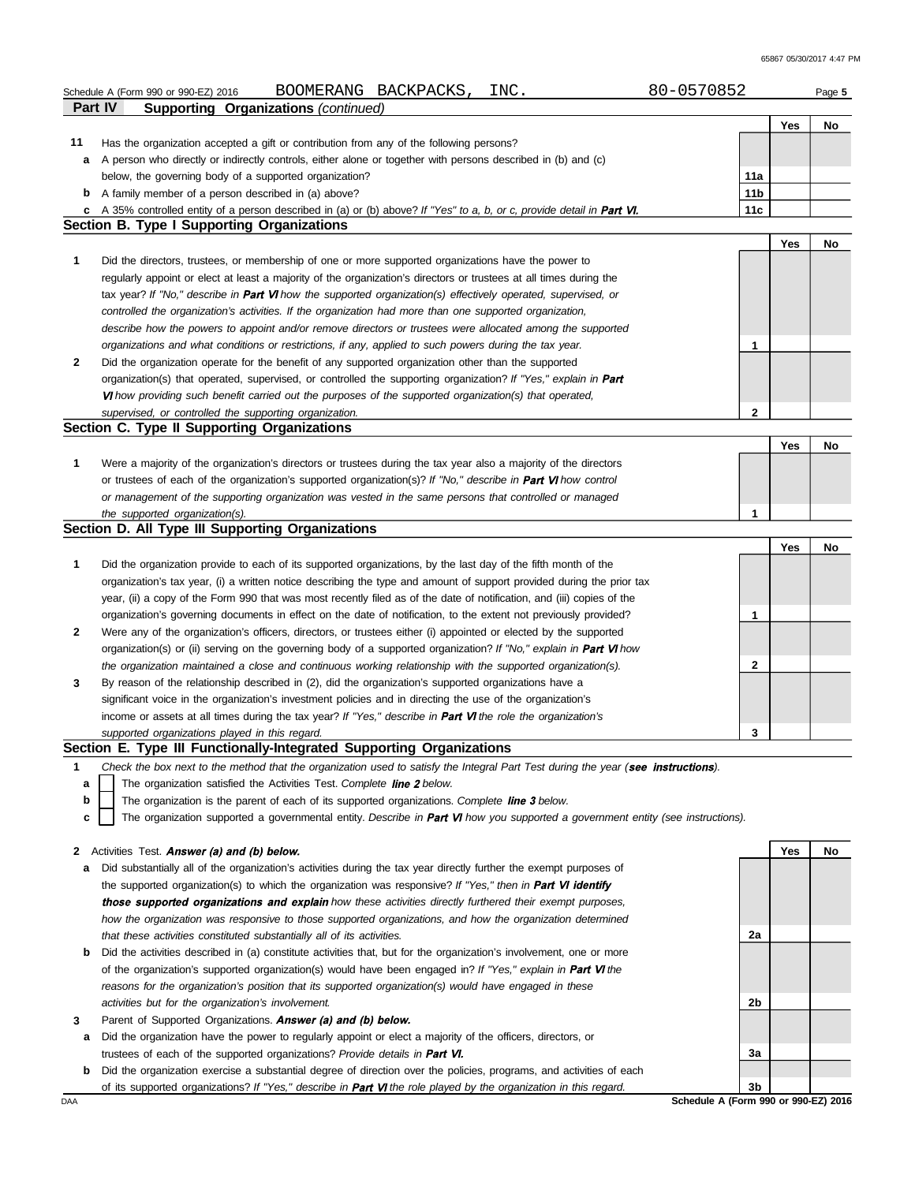|    | INC.<br>BOOMERANG BACKPACKS,<br>Schedule A (Form 990 or 990-EZ) 2016                                                              | 80-0570852   |     | Page 5 |
|----|-----------------------------------------------------------------------------------------------------------------------------------|--------------|-----|--------|
|    | Part IV<br><b>Supporting Organizations (continued)</b>                                                                            |              |     |        |
|    |                                                                                                                                   |              | Yes | No     |
| 11 | Has the organization accepted a gift or contribution from any of the following persons?                                           |              |     |        |
| a  | A person who directly or indirectly controls, either alone or together with persons described in (b) and (c)                      |              |     |        |
|    | below, the governing body of a supported organization?                                                                            | 11a          |     |        |
| b  | A family member of a person described in (a) above?                                                                               | 11b          |     |        |
| c  | A 35% controlled entity of a person described in (a) or (b) above? If "Yes" to a, b, or c, provide detail in Part VI.             | 11c          |     |        |
|    | Section B. Type I Supporting Organizations                                                                                        |              |     |        |
|    |                                                                                                                                   |              | Yes | No     |
| 1  | Did the directors, trustees, or membership of one or more supported organizations have the power to                               |              |     |        |
|    | regularly appoint or elect at least a majority of the organization's directors or trustees at all times during the                |              |     |        |
|    | tax year? If "No," describe in Part VI how the supported organization(s) effectively operated, supervised, or                     |              |     |        |
|    | controlled the organization's activities. If the organization had more than one supported organization,                           |              |     |        |
|    | describe how the powers to appoint and/or remove directors or trustees were allocated among the supported                         |              |     |        |
|    | organizations and what conditions or restrictions, if any, applied to such powers during the tax year.                            | 1            |     |        |
| 2  | Did the organization operate for the benefit of any supported organization other than the supported                               |              |     |        |
|    | organization(s) that operated, supervised, or controlled the supporting organization? If "Yes," explain in Part                   |              |     |        |
|    | VI how providing such benefit carried out the purposes of the supported organization(s) that operated,                            |              |     |        |
|    | supervised, or controlled the supporting organization.                                                                            | $\mathbf{2}$ |     |        |
|    | Section C. Type II Supporting Organizations                                                                                       |              |     |        |
|    |                                                                                                                                   |              | Yes | No     |
| 1  | Were a majority of the organization's directors or trustees during the tax year also a majority of the directors                  |              |     |        |
|    | or trustees of each of the organization's supported organization(s)? If "No," describe in <b>Part VI</b> how control              |              |     |        |
|    | or management of the supporting organization was vested in the same persons that controlled or managed                            |              |     |        |
|    | the supported organization(s).                                                                                                    | 1            |     |        |
|    | Section D. All Type III Supporting Organizations                                                                                  |              |     |        |
|    |                                                                                                                                   |              | Yes | No     |
| 1  | Did the organization provide to each of its supported organizations, by the last day of the fifth month of the                    |              |     |        |
|    | organization's tax year, (i) a written notice describing the type and amount of support provided during the prior tax             |              |     |        |
|    | year, (ii) a copy of the Form 990 that was most recently filed as of the date of notification, and (iii) copies of the            |              |     |        |
|    | organization's governing documents in effect on the date of notification, to the extent not previously provided?                  | 1            |     |        |
| 2  | Were any of the organization's officers, directors, or trustees either (i) appointed or elected by the supported                  |              |     |        |
|    | organization(s) or (ii) serving on the governing body of a supported organization? If "No," explain in <b>Part VI</b> how         |              |     |        |
|    | the organization maintained a close and continuous working relationship with the supported organization(s).                       | $\mathbf{2}$ |     |        |
| 3  | By reason of the relationship described in (2), did the organization's supported organizations have a                             |              |     |        |
|    | significant voice in the organization's investment policies and in directing the use of the organization's                        |              |     |        |
|    | income or assets at all times during the tax year? If "Yes," describe in <b>Part VI</b> the role the organization's               |              |     |        |
|    | supported organizations played in this regard.                                                                                    | 3            |     |        |
|    | Section E. Type III Functionally-Integrated Supporting Organizations                                                              |              |     |        |
| 1  | Check the box next to the method that the organization used to satisfy the Integral Part Test during the year (see instructions). |              |     |        |
| а  | The organization satisfied the Activities Test. Complete line 2 below.                                                            |              |     |        |
| b  | The organization is the parent of each of its supported organizations. Complete line 3 below.                                     |              |     |        |
| c  | The organization supported a governmental entity. Describe in Part VI how you supported a government entity (see instructions).   |              |     |        |
|    |                                                                                                                                   |              |     |        |
| 2  | Activities Test. Answer (a) and (b) below.                                                                                        |              | Yes | No     |
| а  | Did substantially all of the organization's activities during the tax year directly further the exempt purposes of                |              |     |        |
|    | the supported organization(s) to which the organization was responsive? If "Yes," then in <b>Part VI identify</b>                 |              |     |        |
|    | those supported organizations and explain how these activities directly furthered their exempt purposes,                          |              |     |        |
|    | how the organization was responsive to those supported organizations, and how the organization determined                         |              |     |        |
|    | that these activities constituted substantially all of its activities.                                                            | 2a           |     |        |
| b  | Did the activities described in (a) constitute activities that, but for the organization's involvement, one or more               |              |     |        |
|    | of the organization's supported organization(s) would have been engaged in? If "Yes," explain in Part VI the                      |              |     |        |
|    | reasons for the organization's position that its supported organization(s) would have engaged in these                            |              |     |        |
|    | activities but for the organization's involvement.                                                                                | 2b           |     |        |
| 3  | Parent of Supported Organizations. Answer (a) and (b) below.                                                                      |              |     |        |
| а  | Did the organization have the power to regularly appoint or elect a majority of the officers, directors, or                       |              |     |        |
|    | trustees of each of the supported organizations? Provide details in <b>Part VI.</b>                                               | За           |     |        |

**b** Did the organization exercise a substantial degree of direction over the policies, programs, and activities of each of its supported organizations? *If "Yes," describe in the role played by the organization in this regard.*

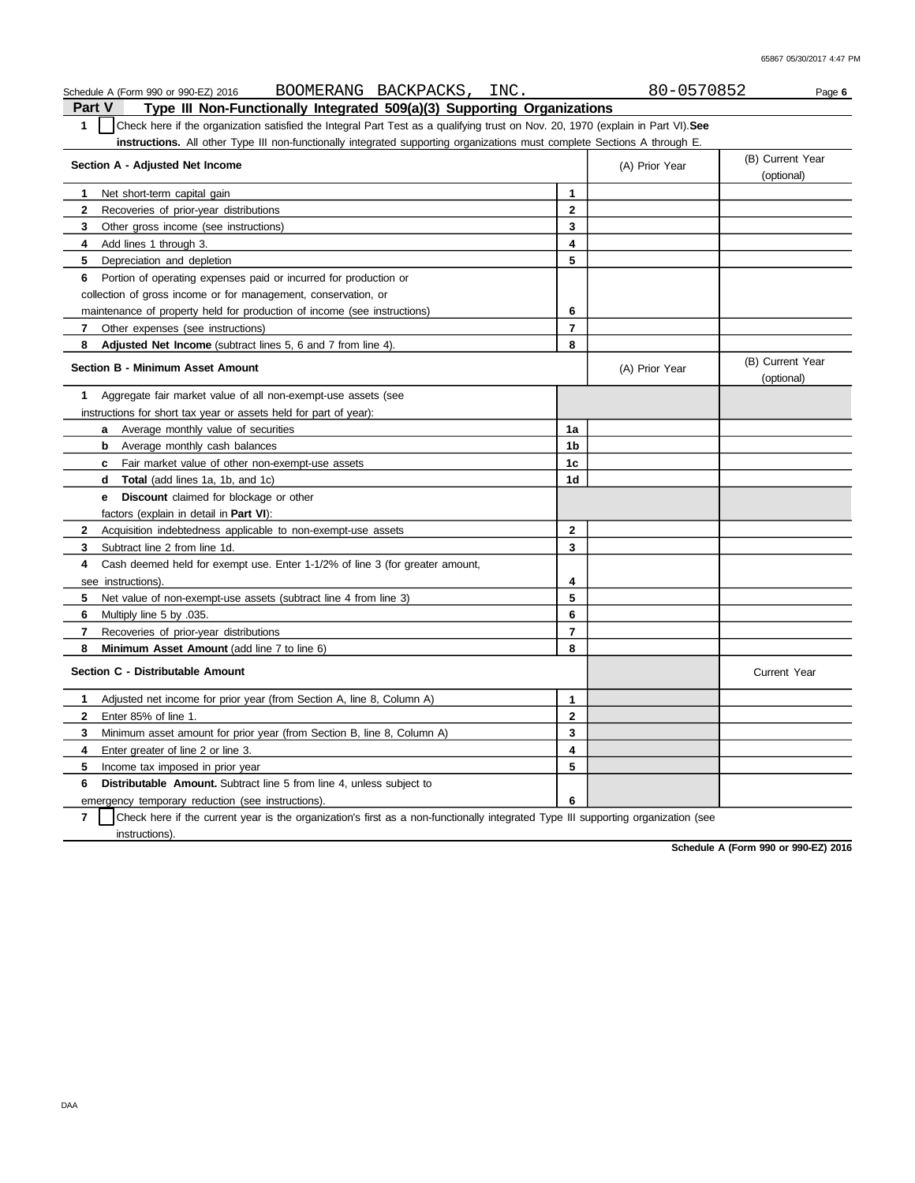| BOOMERANG BACKPACKS, INC.<br>Schedule A (Form 990 or 990-EZ) 2016                                                                      |                         | 80-0570852     | Page 6                         |
|----------------------------------------------------------------------------------------------------------------------------------------|-------------------------|----------------|--------------------------------|
| Part V<br>Type III Non-Functionally Integrated 509(a)(3) Supporting Organizations                                                      |                         |                |                                |
| 1<br>Check here if the organization satisfied the Integral Part Test as a qualifying trust on Nov. 20, 1970 (explain in Part VI). See  |                         |                |                                |
| instructions. All other Type III non-functionally integrated supporting organizations must complete Sections A through E.              |                         |                |                                |
| Section A - Adjusted Net Income                                                                                                        |                         | (A) Prior Year | (B) Current Year<br>(optional) |
| 1<br>Net short-term capital gain                                                                                                       | $\mathbf{1}$            |                |                                |
| $\mathbf{2}$<br>Recoveries of prior-year distributions                                                                                 | $\overline{2}$          |                |                                |
| 3<br>Other gross income (see instructions)                                                                                             | 3                       |                |                                |
| Add lines 1 through 3.<br>4                                                                                                            | 4                       |                |                                |
| 5<br>Depreciation and depletion                                                                                                        | 5                       |                |                                |
| Portion of operating expenses paid or incurred for production or<br>6                                                                  |                         |                |                                |
| collection of gross income or for management, conservation, or                                                                         |                         |                |                                |
| maintenance of property held for production of income (see instructions)                                                               | 6                       |                |                                |
| 7<br>Other expenses (see instructions)                                                                                                 | $\overline{7}$          |                |                                |
| 8<br>Adjusted Net Income (subtract lines 5, 6 and 7 from line 4).                                                                      | 8                       |                |                                |
| <b>Section B - Minimum Asset Amount</b>                                                                                                |                         | (A) Prior Year | (B) Current Year<br>(optional) |
| Aggregate fair market value of all non-exempt-use assets (see<br>1.                                                                    |                         |                |                                |
| instructions for short tax year or assets held for part of year):                                                                      |                         |                |                                |
| <b>a</b> Average monthly value of securities                                                                                           | 1a                      |                |                                |
| <b>b</b> Average monthly cash balances                                                                                                 | 1b                      |                |                                |
| c Fair market value of other non-exempt-use assets                                                                                     | 1c                      |                |                                |
| d<br><b>Total</b> (add lines 1a, 1b, and 1c)                                                                                           | 1d                      |                |                                |
| <b>e</b> Discount claimed for blockage or other                                                                                        |                         |                |                                |
| factors (explain in detail in <b>Part VI)</b> :                                                                                        |                         |                |                                |
| $\mathbf{2}$<br>Acquisition indebtedness applicable to non-exempt-use assets                                                           | $\overline{2}$          |                |                                |
| Subtract line 2 from line 1d.<br>3                                                                                                     | $\overline{\mathbf{3}}$ |                |                                |
| Cash deemed held for exempt use. Enter 1-1/2% of line 3 (for greater amount,<br>4                                                      |                         |                |                                |
| see instructions).                                                                                                                     | 4                       |                |                                |
| 5<br>Net value of non-exempt-use assets (subtract line 4 from line 3)                                                                  | 5                       |                |                                |
| Multiply line 5 by .035.<br>6                                                                                                          | 6                       |                |                                |
| 7<br>Recoveries of prior-year distributions                                                                                            | $\overline{7}$          |                |                                |
| 8<br>Minimum Asset Amount (add line 7 to line 6)                                                                                       | 8                       |                |                                |
| Section C - Distributable Amount                                                                                                       |                         |                | <b>Current Year</b>            |
| 1<br>Adjusted net income for prior year (from Section A, line 8, Column A)                                                             | $\mathbf{1}$            |                |                                |
| $\mathbf{2}$<br>Enter 85% of line 1.                                                                                                   | $\overline{2}$          |                |                                |
| 3<br>Minimum asset amount for prior year (from Section B, line 8, Column A)                                                            | 3                       |                |                                |
| 4<br>Enter greater of line 2 or line 3.                                                                                                | $\overline{\mathbf{A}}$ |                |                                |
| 5<br>Income tax imposed in prior year                                                                                                  | 5                       |                |                                |
| <b>Distributable Amount.</b> Subtract line 5 from line 4, unless subject to<br>6                                                       |                         |                |                                |
| emergency temporary reduction (see instructions).                                                                                      | 6                       |                |                                |
| 7<br>Check here if the current year is the organization's first as a non-functionally integrated Type III supporting organization (see |                         |                |                                |
| instructions).                                                                                                                         |                         |                |                                |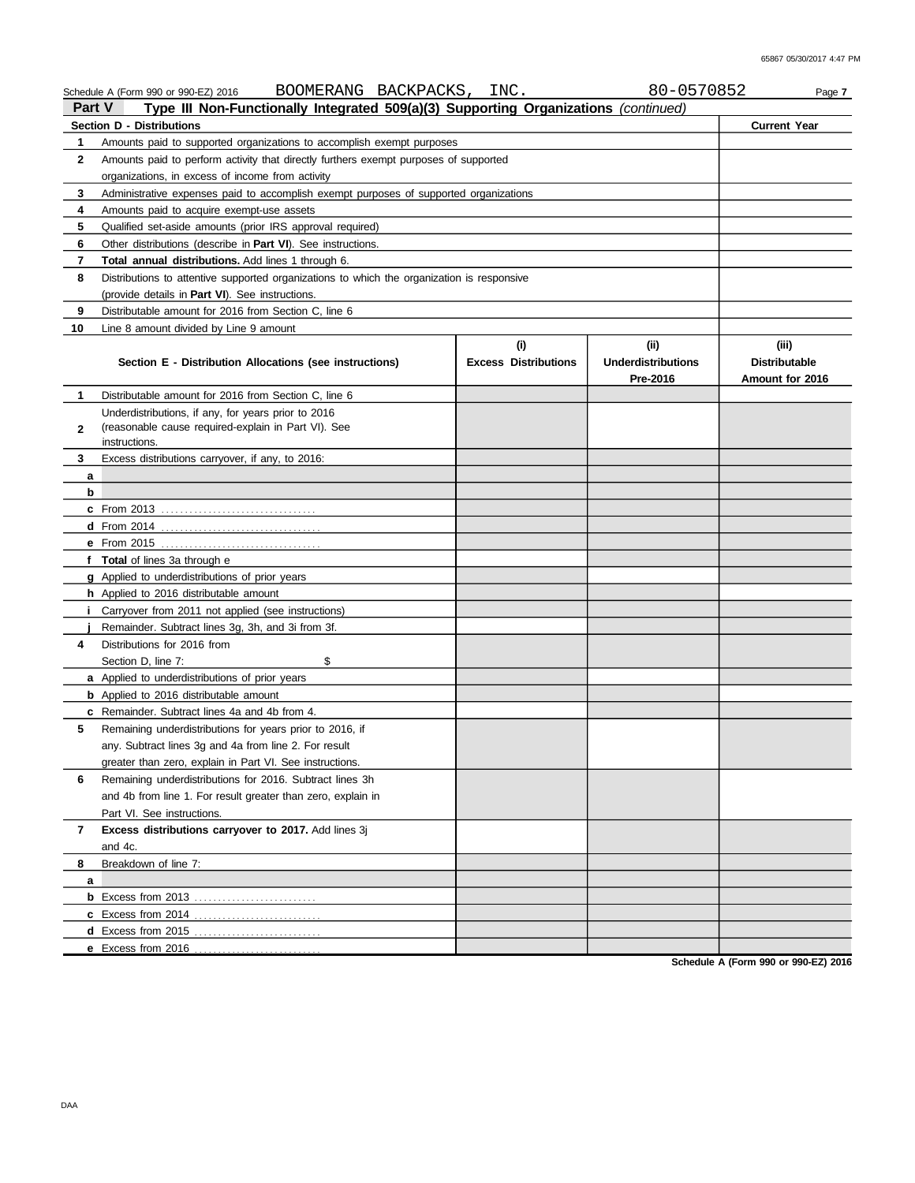|        | BOOMERANG BACKPACKS,<br>Schedule A (Form 990 or 990-EZ) 2016                                                | INC.                        | 80-0570852                | Page 7               |
|--------|-------------------------------------------------------------------------------------------------------------|-----------------------------|---------------------------|----------------------|
| Part V | Type III Non-Functionally Integrated 509(a)(3) Supporting Organizations (continued)                         |                             |                           |                      |
|        | Section D - Distributions                                                                                   |                             |                           | <b>Current Year</b>  |
| 1      | Amounts paid to supported organizations to accomplish exempt purposes                                       |                             |                           |                      |
| 2      | Amounts paid to perform activity that directly furthers exempt purposes of supported                        |                             |                           |                      |
|        | organizations, in excess of income from activity                                                            |                             |                           |                      |
| 3      | Administrative expenses paid to accomplish exempt purposes of supported organizations                       |                             |                           |                      |
| 4      | Amounts paid to acquire exempt-use assets                                                                   |                             |                           |                      |
| 5      | Qualified set-aside amounts (prior IRS approval required)                                                   |                             |                           |                      |
| 6      | Other distributions (describe in <b>Part VI</b> ). See instructions.                                        |                             |                           |                      |
| 7      | <b>Total annual distributions.</b> Add lines 1 through 6.                                                   |                             |                           |                      |
| 8      | Distributions to attentive supported organizations to which the organization is responsive                  |                             |                           |                      |
|        | (provide details in <b>Part VI</b> ). See instructions.                                                     |                             |                           |                      |
| 9      | Distributable amount for 2016 from Section C, line 6                                                        |                             |                           |                      |
| 10     | Line 8 amount divided by Line 9 amount                                                                      |                             |                           |                      |
|        |                                                                                                             | (i)                         | (ii)                      | (iii)                |
|        | Section E - Distribution Allocations (see instructions)                                                     | <b>Excess Distributions</b> | <b>Underdistributions</b> | <b>Distributable</b> |
|        |                                                                                                             |                             | Pre-2016                  | Amount for 2016      |
| 1.     | Distributable amount for 2016 from Section C, line 6<br>Underdistributions, if any, for years prior to 2016 |                             |                           |                      |
| 2      | (reasonable cause required-explain in Part VI). See                                                         |                             |                           |                      |
|        | instructions.                                                                                               |                             |                           |                      |
| 3      | Excess distributions carryover, if any, to 2016:                                                            |                             |                           |                      |
| а      |                                                                                                             |                             |                           |                      |
| b      |                                                                                                             |                             |                           |                      |
|        | <b>c</b> From 2013                                                                                          |                             |                           |                      |
|        |                                                                                                             |                             |                           |                      |
|        | e From 2015 <u></u>                                                                                         |                             |                           |                      |
|        | f Total of lines 3a through e                                                                               |                             |                           |                      |
|        | <b>g</b> Applied to underdistributions of prior years                                                       |                             |                           |                      |
|        | <b>h</b> Applied to 2016 distributable amount                                                               |                             |                           |                      |
|        | <i>i</i> Carryover from 2011 not applied (see instructions)                                                 |                             |                           |                      |
|        | Remainder. Subtract lines 3g, 3h, and 3i from 3f.                                                           |                             |                           |                      |
| 4      | Distributions for 2016 from                                                                                 |                             |                           |                      |
|        | Section D, line 7:<br>\$                                                                                    |                             |                           |                      |
|        | a Applied to underdistributions of prior years                                                              |                             |                           |                      |
|        | <b>b</b> Applied to 2016 distributable amount                                                               |                             |                           |                      |
|        | c Remainder. Subtract lines 4a and 4b from 4.                                                               |                             |                           |                      |
| 5      | Remaining underdistributions for years prior to 2016, if                                                    |                             |                           |                      |
|        | any. Subtract lines 3q and 4a from line 2. For result                                                       |                             |                           |                      |
|        | greater than zero, explain in Part VI. See instructions.                                                    |                             |                           |                      |
| 6      | Remaining underdistributions for 2016. Subtract lines 3h                                                    |                             |                           |                      |
|        | and 4b from line 1. For result greater than zero, explain in                                                |                             |                           |                      |
|        | Part VI. See instructions.                                                                                  |                             |                           |                      |
| 7      | Excess distributions carryover to 2017. Add lines 3j                                                        |                             |                           |                      |
|        | and 4c.                                                                                                     |                             |                           |                      |
| 8      | Breakdown of line 7:                                                                                        |                             |                           |                      |
| а      |                                                                                                             |                             |                           |                      |
|        |                                                                                                             |                             |                           |                      |
|        | c Excess from 2014                                                                                          |                             |                           |                      |
|        | d Excess from 2015                                                                                          |                             |                           |                      |
|        | e Excess from 2016                                                                                          |                             |                           |                      |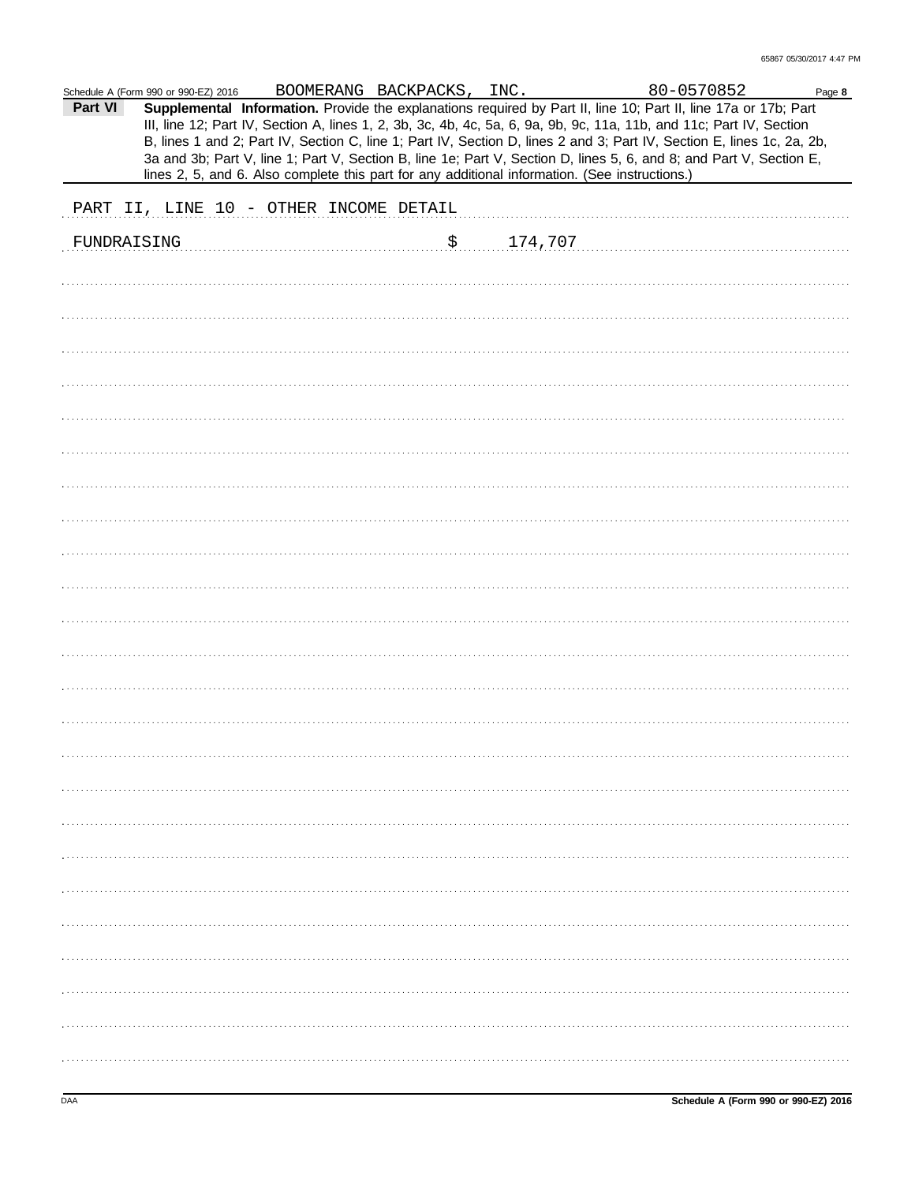|             | Schedule A (Form 990 or 990-EZ) 2016 |                                                                                                | BOOMERANG BACKPACKS, INC. |         | 80-0570852                                                                                                                                                                                                                                                                                                                                                                                                                                                                               | Page 8 |
|-------------|--------------------------------------|------------------------------------------------------------------------------------------------|---------------------------|---------|------------------------------------------------------------------------------------------------------------------------------------------------------------------------------------------------------------------------------------------------------------------------------------------------------------------------------------------------------------------------------------------------------------------------------------------------------------------------------------------|--------|
| Part VI     |                                      | lines 2, 5, and 6. Also complete this part for any additional information. (See instructions.) |                           |         | Supplemental Information. Provide the explanations required by Part II, line 10; Part II, line 17a or 17b; Part<br>III, line 12; Part IV, Section A, lines 1, 2, 3b, 3c, 4b, 4c, 5a, 6, 9a, 9b, 9c, 11a, 11b, and 11c; Part IV, Section<br>B, lines 1 and 2; Part IV, Section C, line 1; Part IV, Section D, lines 2 and 3; Part IV, Section E, lines 1c, 2a, 2b,<br>3a and 3b; Part V, line 1; Part V, Section B, line 1e; Part V, Section D, lines 5, 6, and 8; and Part V, Section E, |        |
|             |                                      | PART II, LINE 10 - OTHER INCOME DETAIL                                                         |                           |         |                                                                                                                                                                                                                                                                                                                                                                                                                                                                                          |        |
| FUNDRAISING |                                      |                                                                                                | \$                        | 174,707 |                                                                                                                                                                                                                                                                                                                                                                                                                                                                                          |        |
|             |                                      |                                                                                                |                           |         |                                                                                                                                                                                                                                                                                                                                                                                                                                                                                          |        |
|             |                                      |                                                                                                |                           |         |                                                                                                                                                                                                                                                                                                                                                                                                                                                                                          |        |
|             |                                      |                                                                                                |                           |         |                                                                                                                                                                                                                                                                                                                                                                                                                                                                                          |        |
|             |                                      |                                                                                                |                           |         |                                                                                                                                                                                                                                                                                                                                                                                                                                                                                          |        |
|             |                                      |                                                                                                |                           |         |                                                                                                                                                                                                                                                                                                                                                                                                                                                                                          |        |
|             |                                      |                                                                                                |                           |         |                                                                                                                                                                                                                                                                                                                                                                                                                                                                                          |        |
|             |                                      |                                                                                                |                           |         |                                                                                                                                                                                                                                                                                                                                                                                                                                                                                          |        |
|             |                                      |                                                                                                |                           |         |                                                                                                                                                                                                                                                                                                                                                                                                                                                                                          |        |
|             |                                      |                                                                                                |                           |         |                                                                                                                                                                                                                                                                                                                                                                                                                                                                                          |        |
|             |                                      |                                                                                                |                           |         |                                                                                                                                                                                                                                                                                                                                                                                                                                                                                          |        |
|             |                                      |                                                                                                |                           |         |                                                                                                                                                                                                                                                                                                                                                                                                                                                                                          |        |
|             |                                      |                                                                                                |                           |         |                                                                                                                                                                                                                                                                                                                                                                                                                                                                                          |        |
|             |                                      |                                                                                                |                           |         |                                                                                                                                                                                                                                                                                                                                                                                                                                                                                          |        |
|             |                                      |                                                                                                |                           |         |                                                                                                                                                                                                                                                                                                                                                                                                                                                                                          |        |
|             |                                      |                                                                                                |                           |         |                                                                                                                                                                                                                                                                                                                                                                                                                                                                                          |        |
|             |                                      |                                                                                                |                           |         |                                                                                                                                                                                                                                                                                                                                                                                                                                                                                          |        |
|             |                                      |                                                                                                |                           |         |                                                                                                                                                                                                                                                                                                                                                                                                                                                                                          |        |
|             |                                      |                                                                                                |                           |         |                                                                                                                                                                                                                                                                                                                                                                                                                                                                                          |        |
|             |                                      |                                                                                                |                           |         |                                                                                                                                                                                                                                                                                                                                                                                                                                                                                          |        |
|             |                                      |                                                                                                |                           |         |                                                                                                                                                                                                                                                                                                                                                                                                                                                                                          |        |
|             |                                      |                                                                                                |                           |         |                                                                                                                                                                                                                                                                                                                                                                                                                                                                                          |        |
|             |                                      |                                                                                                |                           |         |                                                                                                                                                                                                                                                                                                                                                                                                                                                                                          |        |
|             |                                      |                                                                                                |                           |         |                                                                                                                                                                                                                                                                                                                                                                                                                                                                                          |        |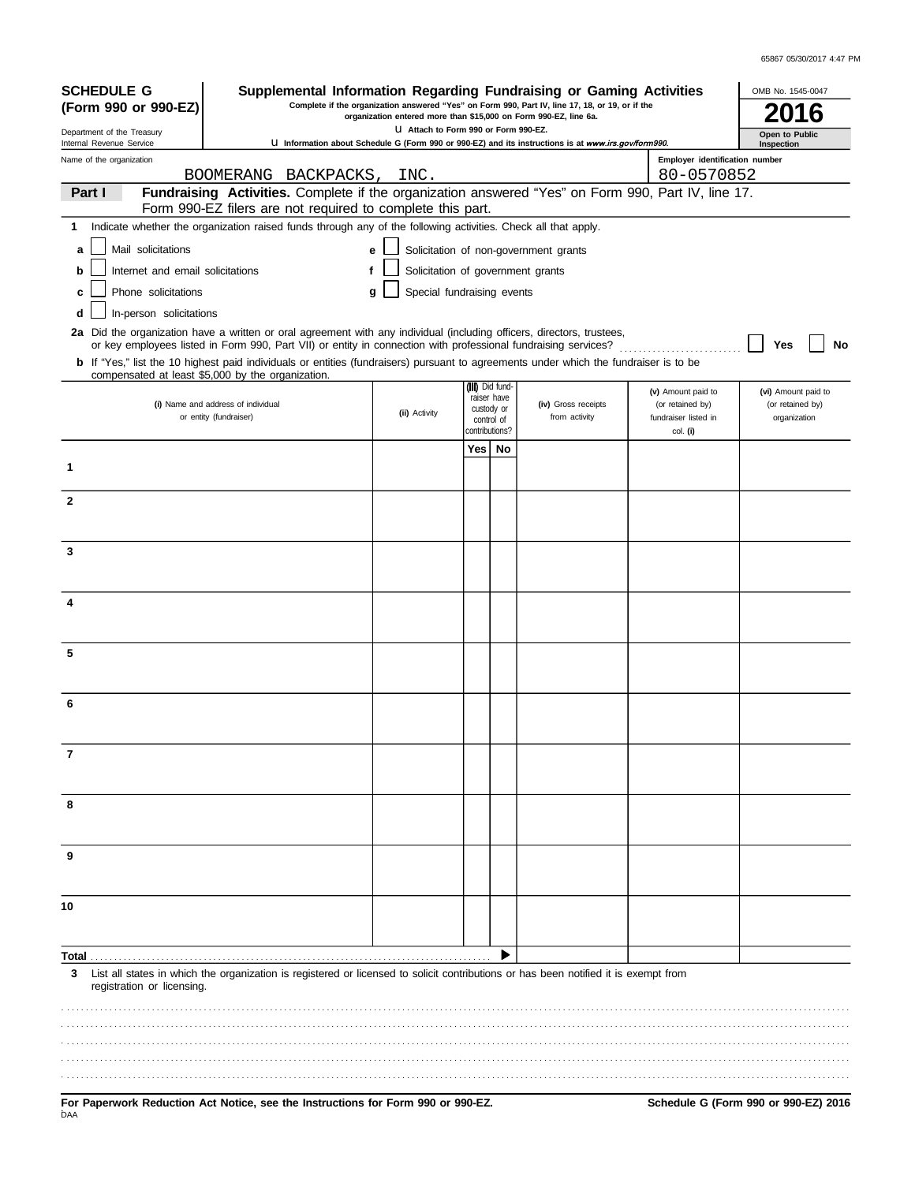| <b>SCHEDULE G</b><br>(Form 990 or 990-EZ)                                                                | Supplemental Information Regarding Fundraising or Gaming Activities                                                                                                                               |                                   |                 |             | Complete if the organization answered "Yes" on Form 990, Part IV, line 17, 18, or 19, or if the     |                                          | OMB No. 1545-0047                |
|----------------------------------------------------------------------------------------------------------|---------------------------------------------------------------------------------------------------------------------------------------------------------------------------------------------------|-----------------------------------|-----------------|-------------|-----------------------------------------------------------------------------------------------------|------------------------------------------|----------------------------------|
| organization entered more than \$15,000 on Form 990-EZ, line 6a.<br>U Attach to Form 990 or Form 990-EZ. |                                                                                                                                                                                                   |                                   |                 |             | 201<br>6                                                                                            |                                          |                                  |
| Department of the Treasury<br>Internal Revenue Service                                                   |                                                                                                                                                                                                   |                                   |                 |             | U Information about Schedule G (Form 990 or 990-EZ) and its instructions is at www.irs.gov/form990. |                                          | Open to Public<br>Inspection     |
| Name of the organization                                                                                 |                                                                                                                                                                                                   |                                   |                 |             |                                                                                                     | Employer identification number           |                                  |
| Part I                                                                                                   | BOOMERANG BACKPACKS, INC.<br>Fundraising Activities. Complete if the organization answered "Yes" on Form 990, Part IV, line 17.                                                                   |                                   |                 |             |                                                                                                     | 80-0570852                               |                                  |
|                                                                                                          | Form 990-EZ filers are not required to complete this part.                                                                                                                                        |                                   |                 |             |                                                                                                     |                                          |                                  |
| 1.                                                                                                       | Indicate whether the organization raised funds through any of the following activities. Check all that apply.                                                                                     |                                   |                 |             |                                                                                                     |                                          |                                  |
| Mail solicitations<br>a                                                                                  |                                                                                                                                                                                                   | е                                 |                 |             | Solicitation of non-government grants                                                               |                                          |                                  |
| Internet and email solicitations<br>b                                                                    |                                                                                                                                                                                                   | Solicitation of government grants |                 |             |                                                                                                     |                                          |                                  |
| Phone solicitations                                                                                      |                                                                                                                                                                                                   | Special fundraising events<br>g   |                 |             |                                                                                                     |                                          |                                  |
| In-person solicitations<br>d                                                                             | 2a Did the organization have a written or oral agreement with any individual (including officers, directors, trustees,                                                                            |                                   |                 |             |                                                                                                     |                                          |                                  |
|                                                                                                          | or key employees listed in Form 990, Part VII) or entity in connection with professional fundraising services?                                                                                    |                                   |                 |             |                                                                                                     |                                          | No<br>Yes                        |
|                                                                                                          | <b>b</b> If "Yes," list the 10 highest paid individuals or entities (fundraisers) pursuant to agreements under which the fundraiser is to be<br>compensated at least \$5,000 by the organization. |                                   |                 |             |                                                                                                     |                                          |                                  |
|                                                                                                          |                                                                                                                                                                                                   |                                   | (iii) Did fund- | raiser have |                                                                                                     | (v) Amount paid to                       | (vi) Amount paid to              |
|                                                                                                          | (i) Name and address of individual<br>or entity (fundraiser)                                                                                                                                      | (ii) Activity                     | custody or      | control of  | (iv) Gross receipts<br>from activity                                                                | (or retained by)<br>fundraiser listed in | (or retained by)<br>organization |
|                                                                                                          |                                                                                                                                                                                                   |                                   | contributions?  |             |                                                                                                     | col. (i)                                 |                                  |
|                                                                                                          |                                                                                                                                                                                                   |                                   | Yes   No        |             |                                                                                                     |                                          |                                  |
|                                                                                                          |                                                                                                                                                                                                   |                                   |                 |             |                                                                                                     |                                          |                                  |
| $\mathbf{2}$                                                                                             |                                                                                                                                                                                                   |                                   |                 |             |                                                                                                     |                                          |                                  |
|                                                                                                          |                                                                                                                                                                                                   |                                   |                 |             |                                                                                                     |                                          |                                  |
| 3                                                                                                        |                                                                                                                                                                                                   |                                   |                 |             |                                                                                                     |                                          |                                  |
|                                                                                                          |                                                                                                                                                                                                   |                                   |                 |             |                                                                                                     |                                          |                                  |
| 4                                                                                                        |                                                                                                                                                                                                   |                                   |                 |             |                                                                                                     |                                          |                                  |
|                                                                                                          |                                                                                                                                                                                                   |                                   |                 |             |                                                                                                     |                                          |                                  |
| 5                                                                                                        |                                                                                                                                                                                                   |                                   |                 |             |                                                                                                     |                                          |                                  |
|                                                                                                          |                                                                                                                                                                                                   |                                   |                 |             |                                                                                                     |                                          |                                  |
| 6                                                                                                        |                                                                                                                                                                                                   |                                   |                 |             |                                                                                                     |                                          |                                  |
|                                                                                                          |                                                                                                                                                                                                   |                                   |                 |             |                                                                                                     |                                          |                                  |
|                                                                                                          |                                                                                                                                                                                                   |                                   |                 |             |                                                                                                     |                                          |                                  |
|                                                                                                          |                                                                                                                                                                                                   |                                   |                 |             |                                                                                                     |                                          |                                  |
|                                                                                                          |                                                                                                                                                                                                   |                                   |                 |             |                                                                                                     |                                          |                                  |
| 8                                                                                                        |                                                                                                                                                                                                   |                                   |                 |             |                                                                                                     |                                          |                                  |
|                                                                                                          |                                                                                                                                                                                                   |                                   |                 |             |                                                                                                     |                                          |                                  |
| 9                                                                                                        |                                                                                                                                                                                                   |                                   |                 |             |                                                                                                     |                                          |                                  |
|                                                                                                          |                                                                                                                                                                                                   |                                   |                 |             |                                                                                                     |                                          |                                  |
| 10                                                                                                       |                                                                                                                                                                                                   |                                   |                 |             |                                                                                                     |                                          |                                  |
|                                                                                                          |                                                                                                                                                                                                   |                                   |                 |             |                                                                                                     |                                          |                                  |
|                                                                                                          |                                                                                                                                                                                                   |                                   |                 |             |                                                                                                     |                                          |                                  |
| 3                                                                                                        | List all states in which the organization is registered or licensed to solicit contributions or has been notified it is exempt from                                                               |                                   |                 |             |                                                                                                     |                                          |                                  |
| registration or licensing.                                                                               |                                                                                                                                                                                                   |                                   |                 |             |                                                                                                     |                                          |                                  |
|                                                                                                          |                                                                                                                                                                                                   |                                   |                 |             |                                                                                                     |                                          |                                  |
|                                                                                                          |                                                                                                                                                                                                   |                                   |                 |             |                                                                                                     |                                          |                                  |
|                                                                                                          |                                                                                                                                                                                                   |                                   |                 |             |                                                                                                     |                                          |                                  |
|                                                                                                          |                                                                                                                                                                                                   |                                   |                 |             |                                                                                                     |                                          |                                  |

For Paperwork Reduction Act Notice, see the Instructions for Form 990 or 990-EZ. Schedule G (Form 990 or 990-EZ) 2016<br><sub>DAA</sub>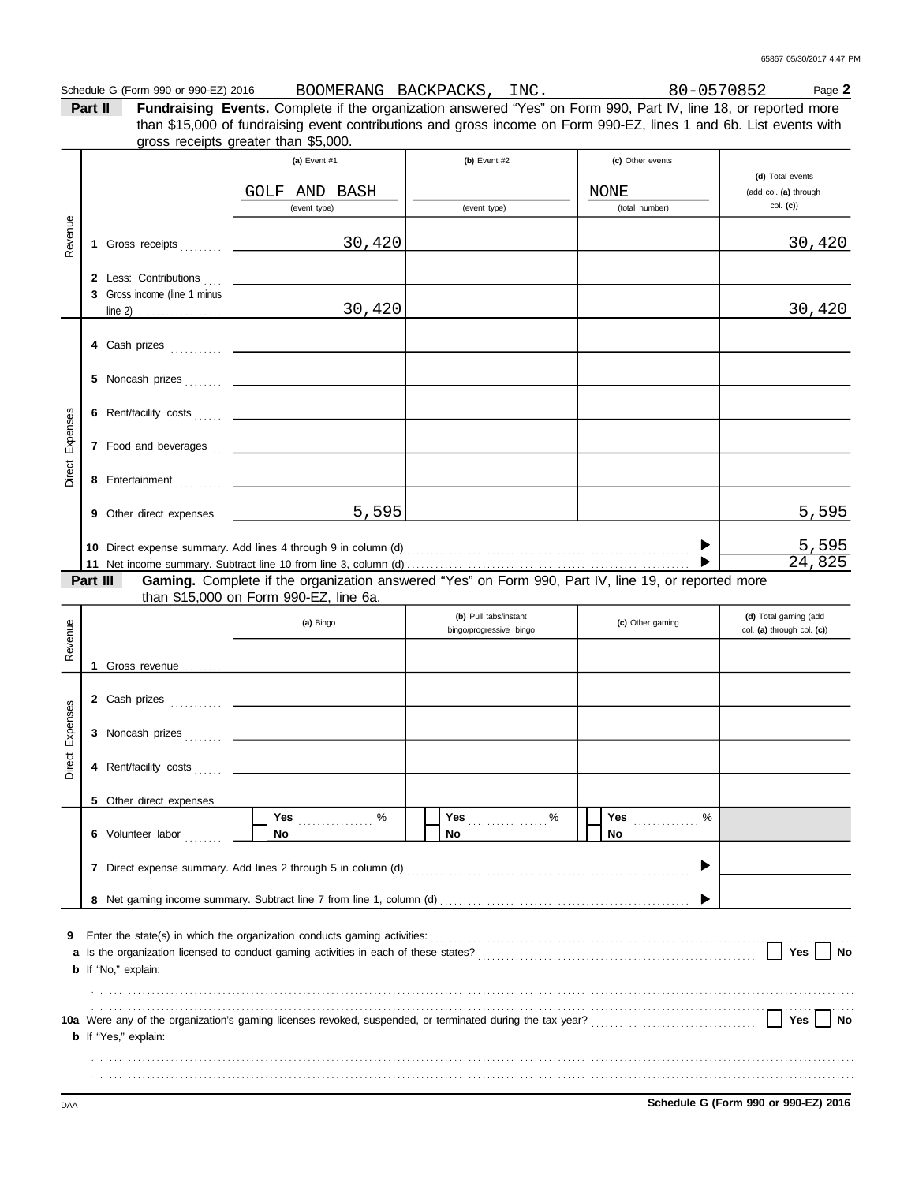|          |                              | gross receipts greater than \$5,000.<br>(a) Event #1           | (b) Event $#2$ | (c) Other events |                                      |
|----------|------------------------------|----------------------------------------------------------------|----------------|------------------|--------------------------------------|
|          |                              |                                                                |                |                  | (d) Total events                     |
|          |                              | GOLF AND BASH                                                  |                | <b>NONE</b>      | (add col. (a) through<br>$col.$ (c)) |
|          |                              | (event type)                                                   | (event type)   | (total number)   |                                      |
| Revenue  | Gross receipts               | 30,420                                                         |                |                  | 30,420                               |
|          | 2 Less: Contributions        |                                                                |                |                  |                                      |
|          | 3 Gross income (line 1 minus | 30,420                                                         |                |                  | 30,420                               |
|          | 4 Cash prizes                |                                                                |                |                  |                                      |
|          | 5 Noncash prizes             |                                                                |                |                  |                                      |
|          |                              |                                                                |                |                  |                                      |
|          | 6 Rent/facility costs        |                                                                |                |                  |                                      |
| Expenses | 7 Food and beverages         |                                                                |                |                  |                                      |
| Direct   | 8 Entertainment              |                                                                |                |                  |                                      |
|          | 9 Other direct expenses      | 5,595                                                          |                |                  | 5,595                                |
|          |                              | 10 Direct expense summary. Add lines 4 through 9 in column (d) |                | ▶                | 5,595                                |
|          |                              |                                                                |                |                  | $\overline{24,825}$                  |

| Revenue  |                             | (a) Bingo    | (b) Pull tabs/instant<br>bingo/progressive bingo | (c) Other gaming                          | (d) Total gaming (add<br>col. (a) through col. (c)) |
|----------|-----------------------------|--------------|--------------------------------------------------|-------------------------------------------|-----------------------------------------------------|
|          | Gross revenue<br>1          |              |                                                  |                                           |                                                     |
| Expenses | 2 Cash prizes               |              |                                                  |                                           |                                                     |
|          | 3 Noncash prizes            |              |                                                  |                                           |                                                     |
| Direct   | 4 Rent/facility costs       |              |                                                  |                                           |                                                     |
|          | 5 Other direct expenses     |              |                                                  |                                           |                                                     |
|          | 6 Volunteer labor           | Yes  %<br>No | Yes $\frac{9}{2}$<br><b>No</b>                   | Yes $\ldots \ldots \ldots$ %<br><b>No</b> |                                                     |
|          |                             |              |                                                  |                                           |                                                     |
|          |                             |              |                                                  |                                           |                                                     |
| 9        | <b>b</b> If "No," explain:  |              |                                                  |                                           | Yes<br><b>No</b>                                    |
|          | <b>b</b> If "Yes," explain: |              |                                                  |                                           | Yes<br>No                                           |
|          |                             |              |                                                  |                                           |                                                     |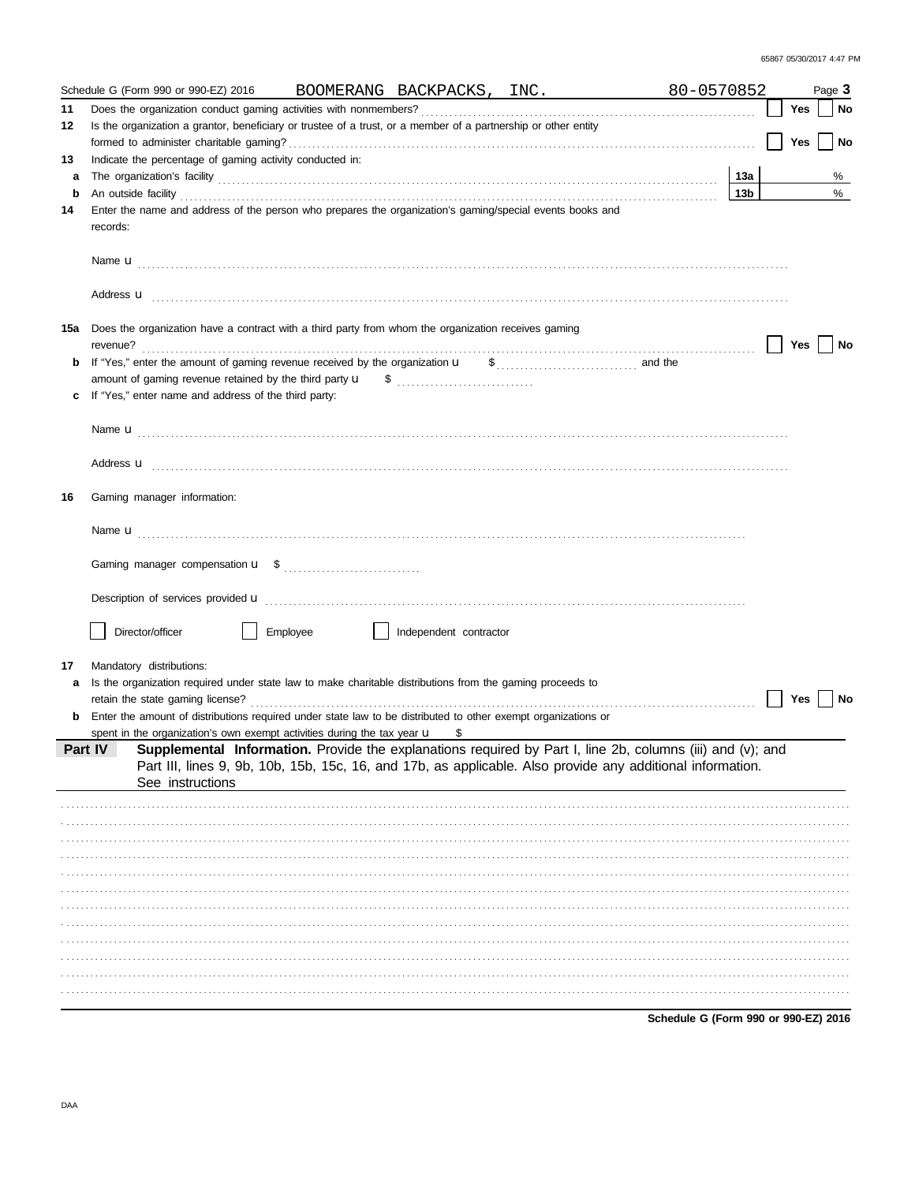|     | Schedule G (Form 990 or 990-EZ) 2016                                                                                                                                                                                                                    |          |                        | BOOMERANG BACKPACKS, INC. | 80-0570852      |     | Page 3    |
|-----|---------------------------------------------------------------------------------------------------------------------------------------------------------------------------------------------------------------------------------------------------------|----------|------------------------|---------------------------|-----------------|-----|-----------|
| 11  |                                                                                                                                                                                                                                                         |          |                        |                           |                 | Yes | No        |
| 12  | Is the organization a grantor, beneficiary or trustee of a trust, or a member of a partnership or other entity                                                                                                                                          |          |                        |                           |                 |     |           |
|     |                                                                                                                                                                                                                                                         |          |                        |                           |                 | Yes | <b>No</b> |
| 13  | Indicate the percentage of gaming activity conducted in:                                                                                                                                                                                                |          |                        |                           |                 |     |           |
| a   | The organization's facility contains and contains a series of the contact of the contact of the contact of the contact of the contact of the contact of the contact of the contact of the contact of the contact of the contac                          |          |                        |                           | 13а             |     | %         |
| b   |                                                                                                                                                                                                                                                         |          |                        |                           | 13 <sub>b</sub> |     | %         |
| 14  | Enter the name and address of the person who prepares the organization's gaming/special events books and<br>records:                                                                                                                                    |          |                        |                           |                 |     |           |
|     |                                                                                                                                                                                                                                                         |          |                        |                           |                 |     |           |
|     |                                                                                                                                                                                                                                                         |          |                        |                           |                 |     |           |
| 15а | Does the organization have a contract with a third party from whom the organization receives gaming                                                                                                                                                     |          |                        |                           |                 | Yes | No        |
| b   |                                                                                                                                                                                                                                                         |          |                        |                           |                 |     |           |
|     |                                                                                                                                                                                                                                                         |          |                        |                           |                 |     |           |
| c   | If "Yes," enter name and address of the third party:                                                                                                                                                                                                    |          |                        |                           |                 |     |           |
|     |                                                                                                                                                                                                                                                         |          |                        |                           |                 |     |           |
|     |                                                                                                                                                                                                                                                         |          |                        |                           |                 |     |           |
| 16  | Gaming manager information:                                                                                                                                                                                                                             |          |                        |                           |                 |     |           |
|     |                                                                                                                                                                                                                                                         |          |                        |                           |                 |     |           |
|     |                                                                                                                                                                                                                                                         |          |                        |                           |                 |     |           |
|     |                                                                                                                                                                                                                                                         |          |                        |                           |                 |     |           |
|     | Description of services provided u entertainment contains and contained a service of services provided u                                                                                                                                                |          |                        |                           |                 |     |           |
|     | Director/officer                                                                                                                                                                                                                                        | Employee | Independent contractor |                           |                 |     |           |
| 17  | Mandatory distributions:                                                                                                                                                                                                                                |          |                        |                           |                 |     |           |
| а   | Is the organization required under state law to make charitable distributions from the gaming proceeds to                                                                                                                                               |          |                        |                           |                 |     |           |
|     |                                                                                                                                                                                                                                                         |          |                        |                           |                 | Yes | No        |
| b   | Enter the amount of distributions required under state law to be distributed to other exempt organizations or                                                                                                                                           |          |                        |                           |                 |     |           |
|     | spent in the organization's own exempt activities during the tax year $\mu$ \$                                                                                                                                                                          |          |                        |                           |                 |     |           |
|     | Supplemental Information. Provide the explanations required by Part I, line 2b, columns (iii) and (v); and<br>Part IV<br>Part III, lines 9, 9b, 10b, 15b, 15c, 16, and 17b, as applicable. Also provide any additional information.<br>See instructions |          |                        |                           |                 |     |           |
|     |                                                                                                                                                                                                                                                         |          |                        |                           |                 |     |           |
|     |                                                                                                                                                                                                                                                         |          |                        |                           |                 |     |           |
|     |                                                                                                                                                                                                                                                         |          |                        |                           |                 |     |           |
|     |                                                                                                                                                                                                                                                         |          |                        |                           |                 |     |           |
|     |                                                                                                                                                                                                                                                         |          |                        |                           |                 |     |           |
|     |                                                                                                                                                                                                                                                         |          |                        |                           |                 |     |           |
|     |                                                                                                                                                                                                                                                         |          |                        |                           |                 |     |           |
|     |                                                                                                                                                                                                                                                         |          |                        |                           |                 |     |           |
|     |                                                                                                                                                                                                                                                         |          |                        |                           |                 |     |           |
|     |                                                                                                                                                                                                                                                         |          |                        |                           |                 |     |           |
|     |                                                                                                                                                                                                                                                         |          |                        |                           |                 |     |           |
|     |                                                                                                                                                                                                                                                         |          |                        |                           |                 |     |           |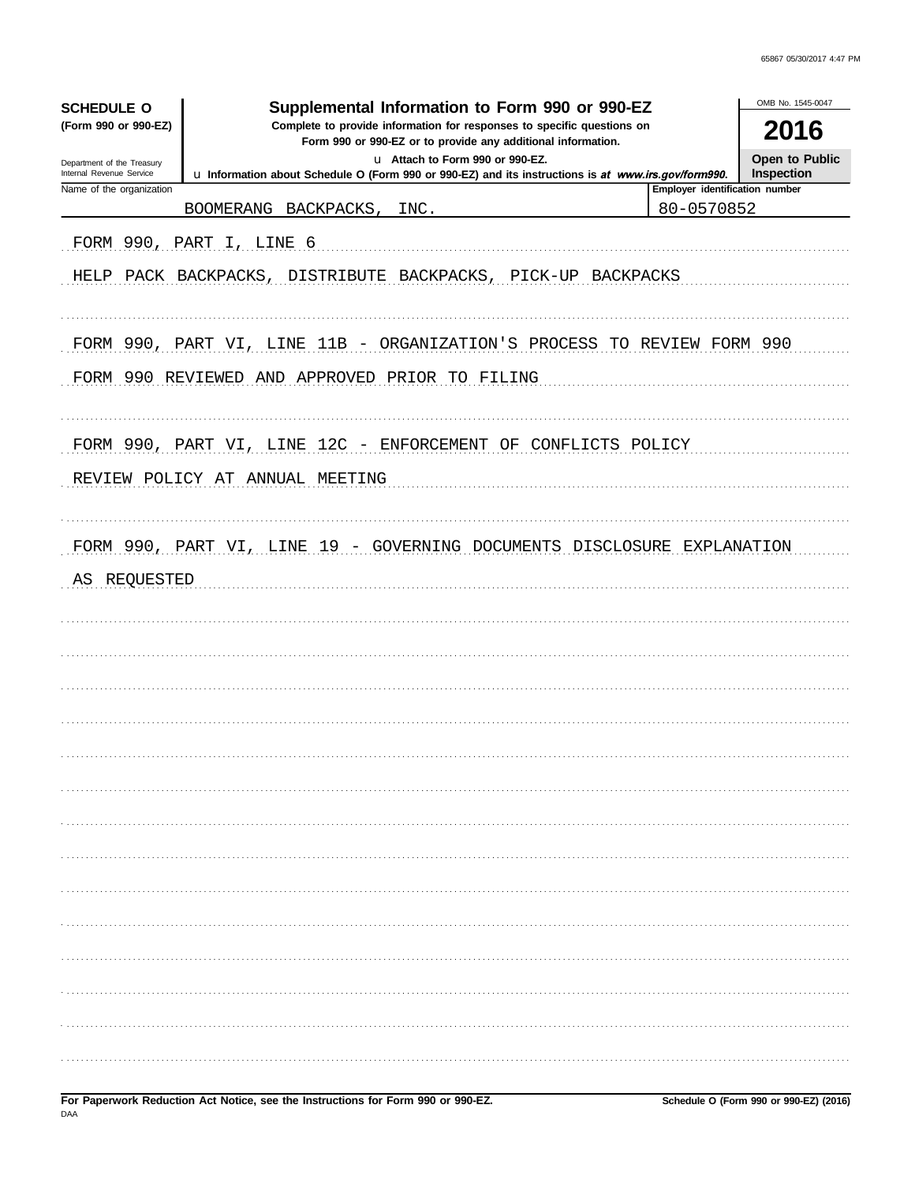| <b>SCHEDULE O</b>                                    | Supplemental Information to Form 990 or 990-EZ                                                                                         |                                | OMB No. 1545-0047 |
|------------------------------------------------------|----------------------------------------------------------------------------------------------------------------------------------------|--------------------------------|-------------------|
| (Form 990 or 990-EZ)                                 | Complete to provide information for responses to specific questions on<br>Form 990 or 990-EZ or to provide any additional information. |                                | 2016              |
| Department of the Treasury                           | u Attach to Form 990 or 990-EZ.                                                                                                        |                                | Open to Public    |
| Internal Revenue Service<br>Name of the organization | u Information about Schedule O (Form 990 or 990-EZ) and its instructions is at www.irs.gov/form990.                                    | Employer identification number | Inspection        |
|                                                      | BOOMERANG BACKPACKS,<br>INC.                                                                                                           | 80-0570852                     |                   |
|                                                      | FORM 990, PART I, LINE 6                                                                                                               |                                |                   |
|                                                      |                                                                                                                                        |                                |                   |
| HELP PACK BACKPACKS,                                 | DISTRIBUTE BACKPACKS,<br>PICK-UP BACKPACKS                                                                                             |                                |                   |
|                                                      |                                                                                                                                        |                                |                   |
|                                                      | FORM 990, PART VI, LINE 11B - ORGANIZATION'S PROCESS TO REVIEW FORM 990                                                                |                                |                   |
|                                                      | FORM 990 REVIEWED AND APPROVED PRIOR TO FILING                                                                                         |                                |                   |
|                                                      |                                                                                                                                        |                                |                   |
|                                                      |                                                                                                                                        |                                |                   |
|                                                      | FORM 990, PART VI, LINE 12C - ENFORCEMENT OF CONFLICTS POLICY                                                                          |                                |                   |
|                                                      | REVIEW POLICY AT ANNUAL MEETING                                                                                                        |                                |                   |
|                                                      |                                                                                                                                        |                                |                   |
|                                                      | FORM 990, PART VI, LINE 19 - GOVERNING DOCUMENTS DISCLOSURE EXPLANATION                                                                |                                |                   |
|                                                      |                                                                                                                                        |                                |                   |
| AS REQUESTED                                         |                                                                                                                                        |                                |                   |
|                                                      |                                                                                                                                        |                                |                   |
|                                                      |                                                                                                                                        |                                |                   |
|                                                      |                                                                                                                                        |                                |                   |
|                                                      |                                                                                                                                        |                                |                   |
|                                                      |                                                                                                                                        |                                |                   |
|                                                      |                                                                                                                                        |                                |                   |
|                                                      |                                                                                                                                        |                                |                   |
|                                                      |                                                                                                                                        |                                |                   |
|                                                      |                                                                                                                                        |                                |                   |
|                                                      |                                                                                                                                        |                                |                   |
|                                                      |                                                                                                                                        |                                |                   |
|                                                      |                                                                                                                                        |                                |                   |
|                                                      |                                                                                                                                        |                                |                   |
|                                                      |                                                                                                                                        |                                |                   |
|                                                      |                                                                                                                                        |                                |                   |
|                                                      |                                                                                                                                        |                                |                   |
|                                                      |                                                                                                                                        |                                |                   |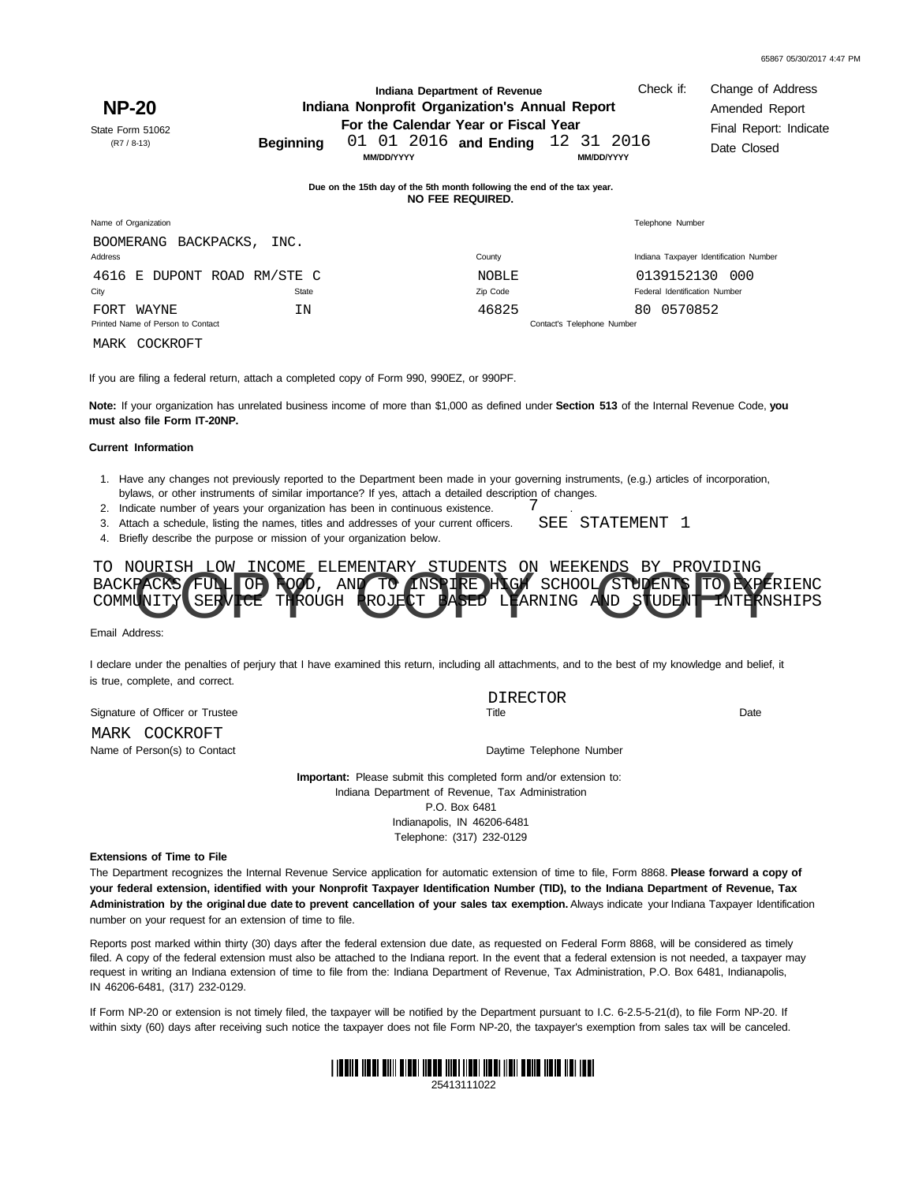| <b>NP-20</b><br>State Form 51062<br>$(R7 / 8-13)$                                           | <b>Beginning</b> | Indiana Department of Revenue<br>Indiana Nonprofit Organization's Annual Report<br>For the Calendar Year or Fiscal Year<br>01 2016 and Ending<br>01<br><b>MM/DD/YYYY</b> | 12<br>31 2016<br><b>MM/DD/YYYY</b> | Check if:<br>Change of Address<br>Amended Report<br>Final Report: Indicate<br>Date Closed |  |  |  |
|---------------------------------------------------------------------------------------------|------------------|--------------------------------------------------------------------------------------------------------------------------------------------------------------------------|------------------------------------|-------------------------------------------------------------------------------------------|--|--|--|
| Due on the 15th day of the 5th month following the end of the tax year.<br>NO FEE REQUIRED. |                  |                                                                                                                                                                          |                                    |                                                                                           |  |  |  |
| Name of Organization                                                                        |                  |                                                                                                                                                                          |                                    | Telephone Number                                                                          |  |  |  |
| <b>BOOMERANG</b><br>BACKPACKS,<br>Address                                                   | INC.             | County                                                                                                                                                                   |                                    | Indiana Taxpayer Identification Number                                                    |  |  |  |
| 4616<br>DUPONT ROAD<br>E.                                                                   | RM/STE C         | <b>NOBLE</b>                                                                                                                                                             |                                    | 0139152130<br>. NO O                                                                      |  |  |  |
| City                                                                                        | State            | Zip Code                                                                                                                                                                 |                                    | Federal Identification Number                                                             |  |  |  |
| WAYNE<br>FORT<br>Printed Name of Person to Contact                                          | ΙN               | 46825                                                                                                                                                                    | 80.<br>Contact's Telephone Number  | 0570852                                                                                   |  |  |  |
| MARK<br>COCKROFT                                                                            |                  |                                                                                                                                                                          |                                    |                                                                                           |  |  |  |

If you are filing a federal return, attach a completed copy of Form 990, 990EZ, or 990PF.

**Note:** If your organization has unrelated business income of more than \$1,000 as defined under **Section 513** of the Internal Revenue Code, **you must also file Form IT-20NP.**

## **Current Information**

- 1. Have any changes not previously reported to the Department been made in your governing instruments, (e.g.) articles of incorporation, bylaws, or other instruments of similar importance? If yes, attach a detailed description of changes.
- 2. Indicate number of years your organization has been in continuous existence. 7
- 3. Attach a schedule, listing the names, titles and addresses of your current officers. SEE STATEMENT 1
- 4. Briefly describe the purpose or mission of your organization below.



Email Address:

I declare under the penalties of perjury that I have examined this return, including all attachments, and to the best of my knowledge and belief, it is true, complete, and correct.

Signature of Officer or Trustee Name of Person(s) to Contact and Daytime Telephone Number MARK COCKROFT

Title Date DIRECTOR<br>Title

.

**Important:** Please submit this completed form and/or extension to: Indiana Department of Revenue, Tax Administration P.O. Box 6481 Indianapolis, IN 46206-6481 Telephone: (317) 232-0129

**Extensions of Time to File**

The Department recognizes the Internal Revenue Service application for automatic extension of time to file, Form 8868. **Please forward a copy of** your federal extension, identified with your Nonprofit Taxpayer Identification Number (TID), to the Indiana Department of Revenue, Tax Administration by the original due date to prevent cancellation of your sales tax exemption. Always indicate your Indiana Taxpayer Identification number on your request for an extension of time to file.

Reports post marked within thirty (30) days after the federal extension due date, as requested on Federal Form 8868, will be considered as timely filed. A copy of the federal extension must also be attached to the Indiana report. In the event that a federal extension is not needed, a taxpayer may request in writing an Indiana extension of time to file from the: Indiana Department of Revenue, Tax Administration, P.O. Box 6481, Indianapolis, IN 46206-6481, (317) 232-0129.

within sixty (60) days after receiving such notice the taxpayer does not file Form NP-20, the taxpayer's exemption from sales tax will be canceled. If Form NP-20 or extension is not timely filed, the taxpayer will be notified by the Department pursuant to I.C. 6-2.5-5-21(d), to file Form NP-20. If